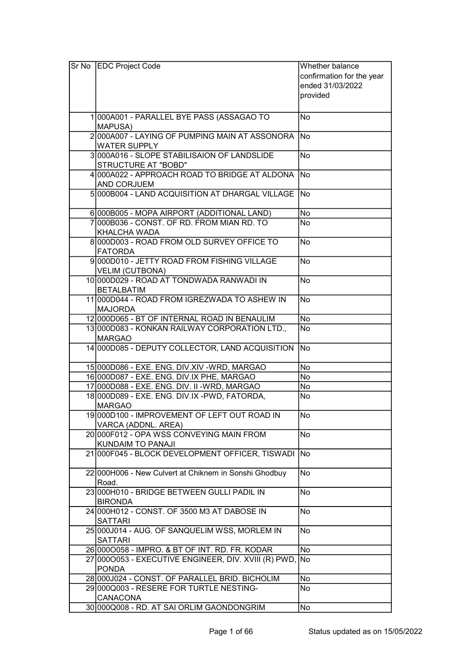| Sr No EDC Project Code                                               | Whether balance           |
|----------------------------------------------------------------------|---------------------------|
|                                                                      | confirmation for the year |
|                                                                      | ended 31/03/2022          |
|                                                                      | provided                  |
|                                                                      |                           |
| 1000A001 - PARALLEL BYE PASS (ASSAGAO TO                             | <b>No</b>                 |
| <b>MAPUSA)</b>                                                       |                           |
| 2000A007 - LAYING OF PUMPING MAIN AT ASSONORA                        | <b>No</b>                 |
| <b>WATER SUPPLY</b>                                                  |                           |
| 3000A016 - SLOPE STABILISAION OF LANDSLIDE                           | <b>No</b>                 |
| <b>STRUCTURE AT "BOBD"</b>                                           |                           |
| 4 000 A022 - APPROACH ROAD TO BRIDGE AT ALDONA                       | <b>No</b>                 |
| <b>AND CORJUEM</b>                                                   |                           |
| 5000B004 - LAND ACQUISITION AT DHARGAL VILLAGE                       | No                        |
| 6000B005 - MOPA AIRPORT (ADDITIONAL LAND)                            | <b>No</b>                 |
| 7000B036 - CONST, OF RD, FROM MIAN RD, TO                            | No                        |
| <b>KHALCHA WADA</b>                                                  |                           |
| 8000D003 - ROAD FROM OLD SURVEY OFFICE TO                            | <b>No</b>                 |
| <b>FATORDA</b>                                                       |                           |
| 9000D010 - JETTY ROAD FROM FISHING VILLAGE                           | <b>No</b>                 |
| VELIM (CUTBONA)                                                      |                           |
| 10 000 D029 - ROAD AT TONDWADA RANWADI IN                            | <b>No</b>                 |
| <b>BETALBATIM</b>                                                    |                           |
| 11 000 0044 - ROAD FROM IGREZWADA TO ASHEW IN                        | <b>No</b>                 |
| <b>MAJORDA</b>                                                       |                           |
| 12 000 D065 - BT OF INTERNAL ROAD IN BENAULIM                        | No                        |
| 13 000 D083 - KONKAN RAILWAY CORPORATION LTD.,                       | <b>No</b>                 |
| <b>MARGAO</b>                                                        |                           |
| 14 000 D085 - DEPUTY COLLECTOR, LAND ACQUISITION                     | <b>No</b>                 |
| 15000D086 - EXE. ENG. DIV.XIV - WRD, MARGAO                          | No                        |
| 16 000 D087 - EXE. ENG. DIV.IX PHE, MARGAO                           | <b>No</b>                 |
| 17 000 D088 - EXE. ENG. DIV. II - WRD, MARGAO                        | No                        |
| 18 000 D089 - EXE. ENG. DIV.IX - PWD, FATORDA,                       | No                        |
| <b>MARGAO</b>                                                        |                           |
| 19 000 D100 - IMPROVEMENT OF LEFT OUT ROAD IN<br>VARCA (ADDNL. AREA) | No                        |
| 20 000F012 - OPA WSS CONVEYING MAIN FROM                             | No                        |
| KUNDAIM TO PANAJI                                                    |                           |
| 21000F045 - BLOCK DEVELOPMENT OFFICER, TISWADI                       | <b>No</b>                 |
|                                                                      |                           |
| 22 000 H006 - New Culvert at Chiknem in Sonshi Ghodbuy               | No                        |
| Road.                                                                |                           |
| 23000H010 - BRIDGE BETWEEN GULLI PADIL IN                            | <b>No</b>                 |
| <b>BIRONDA</b>                                                       |                           |
| 24 000 H012 - CONST. OF 3500 M3 AT DABOSE IN                         | No                        |
| <b>SATTARI</b>                                                       |                           |
| 25 000 J014 - AUG. OF SANQUELIM WSS, MORLEM IN<br><b>SATTARI</b>     | No                        |
| 26 0000058 - IMPRO. & BT OF INT. RD. FR. KODAR                       | No                        |
| 27 0000053 - EXECUTIVE ENGINEER, DIV. XVIII (R) PWD, No              |                           |
| <b>PONDA</b>                                                         |                           |
| 28 000 J024 - CONST. OF PARALLEL BRID. BICHOLIM                      | No                        |
| 29 000 Q003 - RESERE FOR TURTLE NESTING-                             | No                        |
| CANACONA                                                             |                           |
| 30 000 Q008 - RD. AT SAI ORLIM GAONDONGRIM                           | No                        |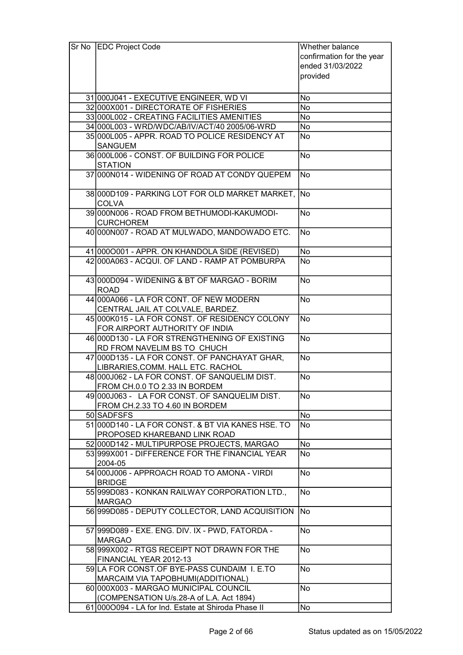| Sr No EDC Project Code                                            | Whether balance           |
|-------------------------------------------------------------------|---------------------------|
|                                                                   | confirmation for the year |
|                                                                   | ended 31/03/2022          |
|                                                                   | provided                  |
|                                                                   |                           |
| 31 000 J041 - EXECUTIVE ENGINEER, WD VI                           | No                        |
| 32 000X001 - DIRECTORATE OF FISHERIES                             | No                        |
| 33 000 L002 - CREATING FACILITIES AMENITIES                       | No                        |
|                                                                   |                           |
| 34 000L003 - WRD/WDC/AB/IV/ACT/40 2005/06-WRD                     | No                        |
| 35 000 L005 - APPR. ROAD TO POLICE RESIDENCY AT<br><b>SANGUEM</b> | <b>No</b>                 |
| 36 000L006 - CONST. OF BUILDING FOR POLICE<br><b>STATION</b>      | <b>No</b>                 |
| 37 000 N014 - WIDENING OF ROAD AT CONDY QUEPEM                    | No                        |
| 38 000 D109 - PARKING LOT FOR OLD MARKET MARKET,<br><b>COLVA</b>  | No)                       |
| 39 000 NO06 - ROAD FROM BETHUMODI-KAKUMODI-                       | <b>No</b>                 |
| <b>CURCHOREM</b>                                                  |                           |
| 40 000 N007 - ROAD AT MULWADO, MANDOWADO ETC.                     | No                        |
| 41 0000001 - APPR. ON KHANDOLA SIDE (REVISED)                     | No                        |
| 42 000 A063 - ACQUI. OF LAND - RAMP AT POMBURPA                   | <b>No</b>                 |
|                                                                   |                           |
| 43 000 D094 - WIDENING & BT OF MARGAO - BORIM<br><b>ROAD</b>      | <b>No</b>                 |
| 44 000 A066 - LA FOR CONT. OF NEW MODERN                          | <b>No</b>                 |
| CENTRAL JAIL AT COLVALE, BARDEZ.                                  |                           |
| 45 000 K015 - LA FOR CONST. OF RESIDENCY COLONY                   | No                        |
| FOR AIRPORT AUTHORITY OF INDIA                                    |                           |
| 46 000 D130 - LA FOR STRENGTHENING OF EXISTING                    | <b>No</b>                 |
| RD FROM NAVELIM BS TO CHUCH                                       |                           |
| 47 000 D135 - LA FOR CONST. OF PANCHAYAT GHAR,                    | <b>No</b>                 |
| LIBRARIES, COMM. HALL ETC. RACHOL                                 |                           |
| 48 000 J062 - LA FOR CONST. OF SANQUELIM DIST.                    | No                        |
| FROM CH.0.0 TO 2.33 IN BORDEM                                     |                           |
| 49 000 J063 - LA FOR CONST. OF SANQUELIM DIST.                    | No                        |
| FROM CH.2.33 TO 4.60 IN BORDEM                                    |                           |
| 50 SADFSFS                                                        | <b>No</b>                 |
| 51 000 D140 - LA FOR CONST. & BT VIA KANES HSE. TO                | No                        |
| PROPOSED KHAREBAND LINK ROAD                                      |                           |
| 52 000 D142 - MULTIPURPOSE PROJECTS, MARGAO                       | <b>No</b>                 |
| 53 999 X 001 - DIFFERENCE FOR THE FINANCIAL YEAR<br>2004-05       | No                        |
|                                                                   |                           |
| 54 000 J006 - APPROACH ROAD TO AMONA - VIRDI<br><b>BRIDGE</b>     | No                        |
| 55 999 D083 - KONKAN RAILWAY CORPORATION LTD.,                    | <b>No</b>                 |
| <b>MARGAO</b>                                                     |                           |
| 56 999 D085 - DEPUTY COLLECTOR, LAND ACQUISITION                  | No                        |
| 57 999 D089 - EXE. ENG. DIV. IX - PWD, FATORDA -                  | <b>No</b>                 |
| <b>MARGAO</b>                                                     |                           |
| 58 999 X 002 - RTGS RECEIPT NOT DRAWN FOR THE                     | <b>No</b>                 |
| FINANCIAL YEAR 2012-13                                            |                           |
| 59 LA FOR CONST.OF BYE-PASS CUNDAIM I. E.TO                       | <b>No</b>                 |
| MARCAIM VIA TAPOBHUMI(ADDITIONAL)                                 |                           |
| 60 000X003 - MARGAO MUNICIPAL COUNCIL                             | <b>No</b>                 |
| (COMPENSATION U/s.28-A of L.A. Act 1894)                          |                           |
| 61 000 0094 - LA for Ind. Estate at Shiroda Phase II              | No                        |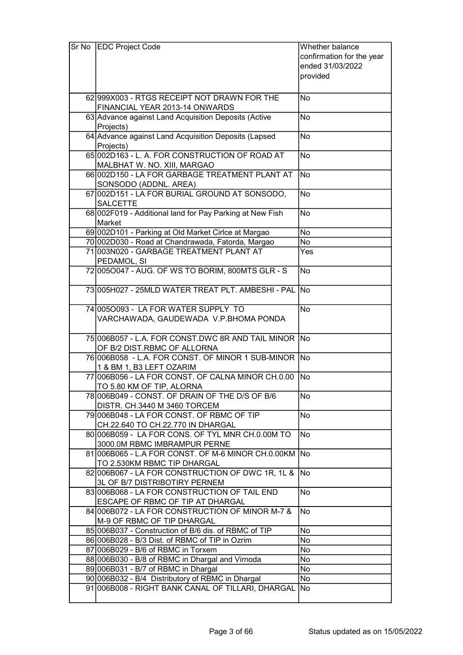| Sr No | <b>EDC Project Code</b>                                                            | Whether balance           |
|-------|------------------------------------------------------------------------------------|---------------------------|
|       |                                                                                    | confirmation for the year |
|       |                                                                                    | ended 31/03/2022          |
|       |                                                                                    | provided                  |
|       |                                                                                    |                           |
|       | 62 999 X 003 - RTGS RECEIPT NOT DRAWN FOR THE                                      | No                        |
|       | FINANCIAL YEAR 2013-14 ONWARDS                                                     |                           |
|       | 63 Advance against Land Acquisition Deposits (Active                               | No                        |
|       | Projects)                                                                          |                           |
|       | 64 Advance against Land Acquisition Deposits (Lapsed                               | No                        |
|       | Projects)                                                                          |                           |
|       | 65002D163 - L. A. FOR CONSTRUCTION OF ROAD AT<br>MALBHAT W. NO. XIII, MARGAO       | <b>No</b>                 |
|       | 66002D150 - LA FOR GARBAGE TREATMENT PLANT AT                                      | <b>No</b>                 |
|       | SONSODO (ADDNL. AREA)                                                              |                           |
|       | 67 002D151 - LA FOR BURIAL GROUND AT SONSODO,                                      | <b>No</b>                 |
|       | <b>SALCETTE</b>                                                                    |                           |
|       | 68 002 F019 - Additional land for Pay Parking at New Fish                          | <b>No</b>                 |
|       | Market                                                                             |                           |
|       | 69 002D101 - Parking at Old Market Cirlce at Margao                                | No                        |
|       | 70 002D030 - Road at Chandrawada, Fatorda, Margao                                  | No                        |
|       | 71003N020 - GARBAGE TREATMENT PLANT AT                                             | Yes                       |
|       | PEDAMOL, SI                                                                        |                           |
|       | 72 005 0047 - AUG. OF WS TO BORIM, 800 MTS GLR - S                                 | <b>No</b>                 |
|       |                                                                                    |                           |
|       | 73 005 H027 - 25 MLD WATER TREAT PLT. AMBESHI- PAL                                 | <b>No</b>                 |
|       | 74 005 0093 - LA FOR WATER SUPPLY TO                                               | <b>No</b>                 |
|       | VARCHAWADA, GAUDEWADA V.P.BHOMA PONDA                                              |                           |
|       |                                                                                    |                           |
|       | 75 006 B057 - L.A. FOR CONST.DWC 8R AND TAIL MINOR                                 | <b>No</b>                 |
|       | OF B/2 DIST.RBMC OF ALLORNA                                                        |                           |
|       | 76 006B058 - L.A. FOR CONST. OF MINOR 1 SUB-MINOR No                               |                           |
|       | 1 & BM 1, B3 LEFT OZARIM                                                           |                           |
|       | 77 006 B056 - LA FOR CONST. OF CALNA MINOR CH.0.00                                 | <b>No</b>                 |
|       | TO 5.80 KM OF TIP, ALORNA                                                          |                           |
|       | 78 006 B049 - CONST. OF DRAIN OF THE D/S OF B/6                                    | No                        |
|       | DISTR. CH.3440 M 3460 TORCEM                                                       |                           |
|       | 79 006 B048 - LA FOR CONST. OF RBMC OF TIP                                         | No                        |
|       | CH.22.640 TO CH.22.770 IN DHARGAL                                                  |                           |
|       | 80 006 B059 - LA FOR CONS. OF TYL MNR CH.0.00M TO                                  | No                        |
|       | 3000.0M RBMC IMBRAMPUR PERNE                                                       |                           |
|       | 81 006 B065 - L.A FOR CONST. OF M-6 MINOR CH.0.00KM<br>TO 2.530KM RBMC TIP DHARGAL | No                        |
|       | 82 006 B067 - LA FOR CONSTRUCTION OF DWC 1R, 1L &                                  | No                        |
|       | 3L OF B/7 DISTRIBOTIRY PERNEM                                                      |                           |
|       | 83 006 B068 - LA FOR CONSTRUCTION OF TAIL END                                      | No                        |
|       | ESCAPE OF RBMC OF TIP AT DHARGAL                                                   |                           |
|       | 84 006 B072 - LA FOR CONSTRUCTION OF MINOR M-7 &                                   | No                        |
|       | M-9 OF RBMC OF TIP DHARGAL                                                         |                           |
|       | 85 006 B037 - Construction of B/6 dis. of RBMC of TIP                              | No                        |
|       | 86 006B028 - B/3 Dist. of RBMC of TIP in Ozrim                                     | No                        |
|       | 87 006 B029 - B/6 of RBMC in Torxem                                                | No                        |
|       | 88 006 B030 - B/8 of RBMC in Dhargal and Virnoda                                   | No                        |
|       | 89 006 B031 - B/7 of RBMC in Dhargal                                               | No                        |
|       | 90 006B032 - B/4 Distributory of RBMC in Dhargal                                   | No                        |
|       | 91 006 B008 - RIGHT BANK CANAL OF TILLARI, DHARGAL                                 | No                        |
|       |                                                                                    |                           |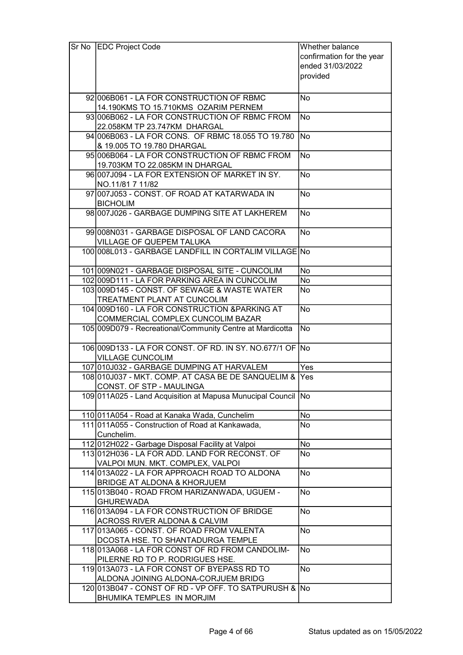| Sr No EDC Project Code                                         | Whether balance           |
|----------------------------------------------------------------|---------------------------|
|                                                                | confirmation for the year |
|                                                                | ended 31/03/2022          |
|                                                                | provided                  |
|                                                                |                           |
| 92 006 B061 - LA FOR CONSTRUCTION OF RBMC                      | No                        |
| 14.190KMS TO 15.710KMS OZARIM PERNEM                           |                           |
|                                                                |                           |
| 93 006 B062 - LA FOR CONSTRUCTION OF RBMC FROM                 | <b>No</b>                 |
| 22.058KM TP 23.747KM DHARGAL                                   |                           |
| 94 006 B063 - LA FOR CONS. OF RBMC 18.055 TO 19.780            | <b>No</b>                 |
| & 19.005 TO 19.780 DHARGAL                                     |                           |
| 95 006 B064 - LA FOR CONSTRUCTION OF RBMC FROM                 | <b>No</b>                 |
| 19.703KM TO 22.085KM IN DHARGAL                                |                           |
| 96 007 J094 - LA FOR EXTENSION OF MARKET IN SY.                | <b>No</b>                 |
| NO.11/81 7 11/82                                               |                           |
| 97 007 J053 - CONST, OF ROAD AT KATARWADA IN                   | <b>No</b>                 |
| <b>BICHOLIM</b>                                                |                           |
| 98 007 J026 - GARBAGE DUMPING SITE AT LAKHEREM                 | <b>No</b>                 |
| 99 008 N031 - GARBAGE DISPOSAL OF LAND CACORA                  | <b>No</b>                 |
|                                                                |                           |
| VILLAGE OF QUEPEM TALUKA                                       |                           |
| 100 008L013 - GARBAGE LANDFILL IN CORTALIM VILLAGE No          |                           |
| 101 009N021 - GARBAGE DISPOSAL SITE - CUNCOLIM                 | No                        |
| 102 009 D111 - LA FOR PARKING AREA IN CUNCOLIM                 | No                        |
| 103 009 D145 - CONST. OF SEWAGE & WASTE WATER                  | No                        |
| <b>TREATMENT PLANT AT CUNCOLIM</b>                             |                           |
| 104 009 D160 - LA FOR CONSTRUCTION & PARKING AT                | <b>No</b>                 |
| COMMERCIAL COMPLEX CUNCOLIM BAZAR                              |                           |
| 105 009 D079 - Recreational/Community Centre at Mardicotta     | <b>No</b>                 |
|                                                                |                           |
| 106 009 D133 - LA FOR CONST. OF RD. IN SY. NO.677/1 OF No      |                           |
| <b>VILLAGE CUNCOLIM</b>                                        |                           |
| 107 010 J032 - GARBAGE DUMPING AT HARVALEM                     | Yes                       |
| 108 010 J037 - MKT. COMP. AT CASA BE DE SANQUELIM &            | Yes                       |
| CONST. OF STP - MAULINGA                                       |                           |
| 109 011 A025 - Land Acquisition at Mapusa Munucipal Council No |                           |
|                                                                |                           |
| 110 011A054 - Road at Kanaka Wada, Cunchelim                   | No                        |
| 111 011 A055 - Construction of Road at Kankawada,              | No                        |
| Cunchelim.                                                     |                           |
| 112 012 H022 - Garbage Disposal Facility at Valpoi             | No                        |
| 113012H036 - LA FOR ADD. LAND FOR RECONST. OF                  | No                        |
| VALPOI MUN. MKT. COMPLEX, VALPOI                               |                           |
| 114 013A022 - LA FOR APPROACH ROAD TO ALDONA                   | No                        |
| BRIDGE AT ALDONA & KHORJUEM                                    |                           |
| 115 013 B040 - ROAD FROM HARIZANWADA, UGUEM -                  | No                        |
| <b>GHUREWADA</b>                                               |                           |
| 116 013A094 - LA FOR CONSTRUCTION OF BRIDGE                    | No                        |
| ACROSS RIVER ALDONA & CALVIM                                   |                           |
| 117 013 A065 - CONST. OF ROAD FROM VALENTA                     | No                        |
| DCOSTA HSE. TO SHANTADURGA TEMPLE                              |                           |
| 118 013 A068 - LA FOR CONST OF RD FROM CANDOLIM-               | <b>No</b>                 |
| PILERNE RD TO P. RODRIGUES HSE.                                |                           |
| 119013A073 - LA FOR CONST OF BYEPASS RD TO                     | <b>No</b>                 |
| ALDONA JOINING ALDONA-CORJUEM BRIDG                            |                           |
| 120 013 B047 - CONST OF RD - VP OFF. TO SATPURUSH & No         |                           |
| BHUMIKA TEMPLES IN MORJIM                                      |                           |
|                                                                |                           |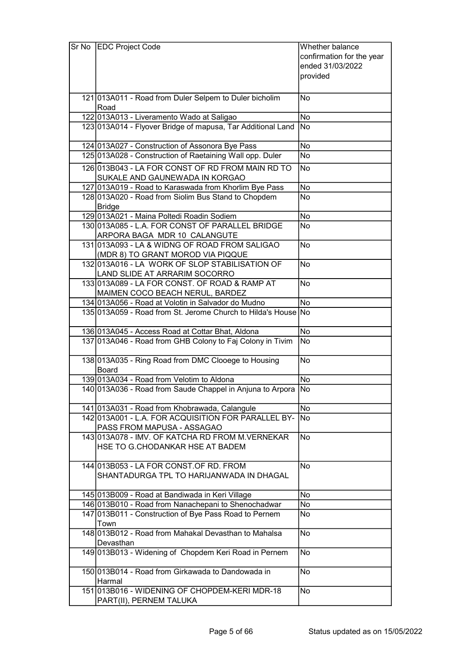| Sr No | <b>EDC Project Code</b>                                                               | Whether balance           |
|-------|---------------------------------------------------------------------------------------|---------------------------|
|       |                                                                                       | confirmation for the year |
|       |                                                                                       | ended 31/03/2022          |
|       |                                                                                       | provided                  |
|       |                                                                                       |                           |
|       | 121 013A011 - Road from Duler Selpem to Duler bicholim                                | No                        |
|       | Road                                                                                  |                           |
|       | 122 013 A013 - Liveramento Wado at Saligao                                            | <b>No</b>                 |
|       | 123 013A014 - Flyover Bridge of mapusa, Tar Additional Land                           | No                        |
|       |                                                                                       |                           |
|       | 124 013 A027 - Construction of Assonora Bye Pass                                      | No                        |
|       | 125 013 A028 - Construction of Raetaining Wall opp. Duler                             | <b>No</b>                 |
|       | 126 013 B043 - LA FOR CONST OF RD FROM MAIN RD TO                                     | <b>No</b>                 |
|       | SUKALE AND GAUNEWADA IN KORGAO                                                        |                           |
|       | 127 013A019 - Road to Karaswada from Khorlim Bye Pass                                 | No                        |
|       | 128 013A020 - Road from Siolim Bus Stand to Chopdem                                   | No                        |
|       | <b>Bridge</b>                                                                         |                           |
|       | 129 013A021 - Maina Poltedi Roadin Sodiem                                             | <b>No</b>                 |
|       | 130 013A085 - L.A. FOR CONST OF PARALLEL BRIDGE                                       | <b>No</b>                 |
|       | ARPORA BAGA MDR 10 CALANGUTE                                                          |                           |
|       | 131 013A093 - LA & WIDNG OF ROAD FROM SALIGAO                                         | No                        |
|       | (MDR 8) TO GRANT MOROD VIA PIQQUE                                                     |                           |
|       | 132 013A016 - LA WORK OF SLOP STABILISATION OF                                        | <b>No</b>                 |
|       | LAND SLIDE AT ARRARIM SOCORRO                                                         |                           |
|       | 133 013 A089 - LA FOR CONST. OF ROAD & RAMP AT                                        | <b>No</b>                 |
|       | MAIMEN COCO BEACH NERUL, BARDEZ<br>134 013A056 - Road at Volotin in Salvador do Mudno | $\overline{No}$           |
|       | 135 013A059 - Road from St. Jerome Church to Hilda's House No                         |                           |
|       |                                                                                       |                           |
|       | 136 013 A045 - Access Road at Cottar Bhat, Aldona                                     | <b>No</b>                 |
|       | 137 013A046 - Road from GHB Colony to Faj Colony in Tivim                             | No                        |
|       |                                                                                       |                           |
|       | 138 013A035 - Ring Road from DMC Clooege to Housing                                   | No                        |
|       | Board                                                                                 |                           |
|       | 139 013A034 - Road from Velotim to Aldona                                             | <b>No</b>                 |
|       | 140 013A036 - Road from Saude Chappel in Anjuna to Arpora                             | No                        |
|       | 141 013 A031 - Road from Khobrawada, Calangule                                        | <b>No</b>                 |
|       | 142 013A001 - L.A. FOR ACQUISITION FOR PARALLEL BY-                                   | No                        |
|       | PASS FROM MAPUSA - ASSAGAO                                                            |                           |
|       | 143013A078 - IMV. OF KATCHA RD FROM M.VERNEKAR                                        | <b>No</b>                 |
|       | HSE TO G.CHODANKAR HSE AT BADEM                                                       |                           |
|       |                                                                                       |                           |
|       | 144 013 B053 - LA FOR CONST. OF RD. FROM                                              | <b>No</b>                 |
|       | SHANTADURGA TPL TO HARIJANWADA IN DHAGAL                                              |                           |
|       |                                                                                       |                           |
|       | 145 013 B009 - Road at Bandiwada in Keri Village                                      | No                        |
|       | 146 013 B010 - Road from Nanachepani to Shenochadwar                                  | No                        |
|       | 147 013 B011 - Construction of Bye Pass Road to Pernem                                | No                        |
|       | Town<br>148 013 B012 - Road from Mahakal Devasthan to Mahalsa                         | <b>No</b>                 |
|       | Devasthan                                                                             |                           |
|       | 149 013 B013 - Widening of Chopdem Keri Road in Pernem                                | <b>No</b>                 |
|       |                                                                                       |                           |
|       | 150 013 B014 - Road from Girkawada to Dandowada in                                    | <b>No</b>                 |
|       | Harmal                                                                                |                           |
|       | 151 013B016 - WIDENING OF CHOPDEM-KERI MDR-18                                         | No                        |
|       | PART(II), PERNEM TALUKA                                                               |                           |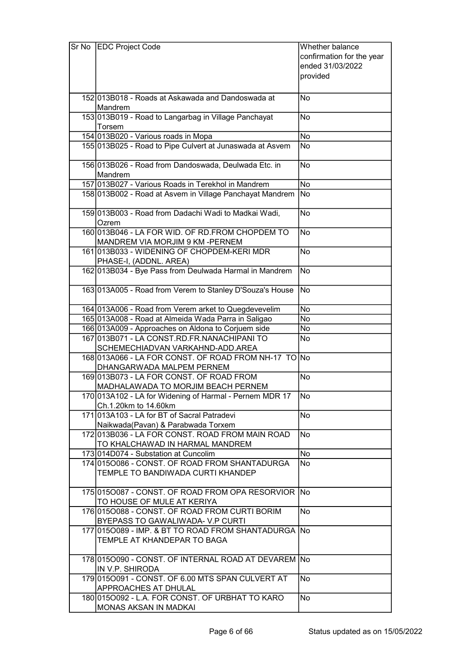| confirmation for the year<br>ended 31/03/2022<br>provided<br>152 013 B018 - Roads at Askawada and Dandoswada at<br>No<br>Mandrem<br>153 013B019 - Road to Langarbag in Village Panchayat<br><b>No</b><br>Torsem<br>154 013B020 - Various roads in Mopa<br>No<br>155 013B025 - Road to Pipe Culvert at Junaswada at Asvem<br>No<br>156 013B026 - Road from Dandoswada, Deulwada Etc. in<br><b>No</b><br><b>Mandrem</b><br>157 013B027 - Various Roads in Terekhol in Mandrem<br><b>No</b><br>158 013B002 - Road at Asvem in Village Panchayat Mandrem<br><b>No</b><br>159 013 B003 - Road from Dadachi Wadi to Madkai Wadi,<br><b>No</b><br>Ozrem<br>160 013 B046 - LA FOR WID. OF RD. FROM CHOPDEM TO<br><b>No</b><br>MANDREM VIA MORJIM 9 KM-PERNEM<br><b>No</b><br>161 013 B033 - WIDENING OF CHOPDEM-KERI MDR<br>PHASE-I, (ADDNL. AREA)<br><b>No</b><br>162 013 B034 - Bye Pass from Deulwada Harmal in Mandrem<br><b>No</b><br>163 013 A005 - Road from Verem to Stanley D'Souza's House<br>164 013A006 - Road from Verem arket to Quegdevevelim<br>No<br>165 013A008 - Road at Almeida Wada Parra in Saligao<br>No<br>166 013A009 - Approaches on Aldona to Corjuem side<br>No<br>167 013B071 - LA CONST.RD.FR.NANACHIPANI TO<br><b>No</b><br>SCHEMECHIADVAN VARKAHND-ADD.AREA<br>168 013A066 - LA FOR CONST. OF ROAD FROM NH-17 TO No<br>DHANGARWADA MALPEM PERNEM<br>169 013 B073 - LA FOR CONST. OF ROAD FROM<br>No<br>MADHALAWADA TO MORJIM BEACH PERNEM<br>170 013A102 - LA for Widening of Harmal - Pernem MDR 17<br>No<br>Ch.1.20km to 14.60km<br>171 013A103 - LA for BT of Sacral Patradevi<br><b>No</b><br>Naikwada(Pavan) & Parabwada Torxem<br><b>No</b><br>172 013 B036 - LA FOR CONST. ROAD FROM MAIN ROAD<br>TO KHALCHAWAD IN HARMAL MANDREM<br>No<br>173 014 D074 - Substation at Cuncolim<br>174 015 0086 - CONST. OF ROAD FROM SHANTADURGA<br>No<br>TEMPLE TO BANDIWADA CURTI KHANDEP<br>175 015 0087 - CONST. OF ROAD FROM OPA RESORVIOR No<br>TO HOUSE OF MULE AT KERIYA<br>176 015 0088 - CONST. OF ROAD FROM CURTI BORIM<br><b>No</b><br>BYEPASS TO GAWALIWADA- V.P CURTI<br>177 0150089 - IMP. & BT TO ROAD FROM SHANTADURGA No<br>TEMPLE AT KHANDEPAR TO BAGA<br>178 0150090 - CONST. OF INTERNAL ROAD AT DEVAREM No<br>IN V.P. SHIRODA<br>179 015 0091 - CONST. OF 6.00 MTS SPAN CULVERT AT<br><b>No</b><br>APPROACHES AT DHULAL<br><b>No</b><br>180 0150092 - L.A. FOR CONST. OF URBHAT TO KARO | Sr No | <b>EDC Project Code</b> | Whether balance |
|--------------------------------------------------------------------------------------------------------------------------------------------------------------------------------------------------------------------------------------------------------------------------------------------------------------------------------------------------------------------------------------------------------------------------------------------------------------------------------------------------------------------------------------------------------------------------------------------------------------------------------------------------------------------------------------------------------------------------------------------------------------------------------------------------------------------------------------------------------------------------------------------------------------------------------------------------------------------------------------------------------------------------------------------------------------------------------------------------------------------------------------------------------------------------------------------------------------------------------------------------------------------------------------------------------------------------------------------------------------------------------------------------------------------------------------------------------------------------------------------------------------------------------------------------------------------------------------------------------------------------------------------------------------------------------------------------------------------------------------------------------------------------------------------------------------------------------------------------------------------------------------------------------------------------------------------------------------------------------------------------------------------------------------------------------------------------------------------------------------------------------------------------------------------------------------------------------------------------------------------------------------------------------------------------------------------------------------------------------------------------------------------------------------------------------|-------|-------------------------|-----------------|
|                                                                                                                                                                                                                                                                                                                                                                                                                                                                                                                                                                                                                                                                                                                                                                                                                                                                                                                                                                                                                                                                                                                                                                                                                                                                                                                                                                                                                                                                                                                                                                                                                                                                                                                                                                                                                                                                                                                                                                                                                                                                                                                                                                                                                                                                                                                                                                                                                                |       |                         |                 |
|                                                                                                                                                                                                                                                                                                                                                                                                                                                                                                                                                                                                                                                                                                                                                                                                                                                                                                                                                                                                                                                                                                                                                                                                                                                                                                                                                                                                                                                                                                                                                                                                                                                                                                                                                                                                                                                                                                                                                                                                                                                                                                                                                                                                                                                                                                                                                                                                                                |       |                         |                 |
|                                                                                                                                                                                                                                                                                                                                                                                                                                                                                                                                                                                                                                                                                                                                                                                                                                                                                                                                                                                                                                                                                                                                                                                                                                                                                                                                                                                                                                                                                                                                                                                                                                                                                                                                                                                                                                                                                                                                                                                                                                                                                                                                                                                                                                                                                                                                                                                                                                |       |                         |                 |
|                                                                                                                                                                                                                                                                                                                                                                                                                                                                                                                                                                                                                                                                                                                                                                                                                                                                                                                                                                                                                                                                                                                                                                                                                                                                                                                                                                                                                                                                                                                                                                                                                                                                                                                                                                                                                                                                                                                                                                                                                                                                                                                                                                                                                                                                                                                                                                                                                                |       |                         |                 |
|                                                                                                                                                                                                                                                                                                                                                                                                                                                                                                                                                                                                                                                                                                                                                                                                                                                                                                                                                                                                                                                                                                                                                                                                                                                                                                                                                                                                                                                                                                                                                                                                                                                                                                                                                                                                                                                                                                                                                                                                                                                                                                                                                                                                                                                                                                                                                                                                                                |       |                         |                 |
|                                                                                                                                                                                                                                                                                                                                                                                                                                                                                                                                                                                                                                                                                                                                                                                                                                                                                                                                                                                                                                                                                                                                                                                                                                                                                                                                                                                                                                                                                                                                                                                                                                                                                                                                                                                                                                                                                                                                                                                                                                                                                                                                                                                                                                                                                                                                                                                                                                |       |                         |                 |
|                                                                                                                                                                                                                                                                                                                                                                                                                                                                                                                                                                                                                                                                                                                                                                                                                                                                                                                                                                                                                                                                                                                                                                                                                                                                                                                                                                                                                                                                                                                                                                                                                                                                                                                                                                                                                                                                                                                                                                                                                                                                                                                                                                                                                                                                                                                                                                                                                                |       |                         |                 |
|                                                                                                                                                                                                                                                                                                                                                                                                                                                                                                                                                                                                                                                                                                                                                                                                                                                                                                                                                                                                                                                                                                                                                                                                                                                                                                                                                                                                                                                                                                                                                                                                                                                                                                                                                                                                                                                                                                                                                                                                                                                                                                                                                                                                                                                                                                                                                                                                                                |       |                         |                 |
|                                                                                                                                                                                                                                                                                                                                                                                                                                                                                                                                                                                                                                                                                                                                                                                                                                                                                                                                                                                                                                                                                                                                                                                                                                                                                                                                                                                                                                                                                                                                                                                                                                                                                                                                                                                                                                                                                                                                                                                                                                                                                                                                                                                                                                                                                                                                                                                                                                |       |                         |                 |
|                                                                                                                                                                                                                                                                                                                                                                                                                                                                                                                                                                                                                                                                                                                                                                                                                                                                                                                                                                                                                                                                                                                                                                                                                                                                                                                                                                                                                                                                                                                                                                                                                                                                                                                                                                                                                                                                                                                                                                                                                                                                                                                                                                                                                                                                                                                                                                                                                                |       |                         |                 |
|                                                                                                                                                                                                                                                                                                                                                                                                                                                                                                                                                                                                                                                                                                                                                                                                                                                                                                                                                                                                                                                                                                                                                                                                                                                                                                                                                                                                                                                                                                                                                                                                                                                                                                                                                                                                                                                                                                                                                                                                                                                                                                                                                                                                                                                                                                                                                                                                                                |       |                         |                 |
|                                                                                                                                                                                                                                                                                                                                                                                                                                                                                                                                                                                                                                                                                                                                                                                                                                                                                                                                                                                                                                                                                                                                                                                                                                                                                                                                                                                                                                                                                                                                                                                                                                                                                                                                                                                                                                                                                                                                                                                                                                                                                                                                                                                                                                                                                                                                                                                                                                |       |                         |                 |
|                                                                                                                                                                                                                                                                                                                                                                                                                                                                                                                                                                                                                                                                                                                                                                                                                                                                                                                                                                                                                                                                                                                                                                                                                                                                                                                                                                                                                                                                                                                                                                                                                                                                                                                                                                                                                                                                                                                                                                                                                                                                                                                                                                                                                                                                                                                                                                                                                                |       |                         |                 |
|                                                                                                                                                                                                                                                                                                                                                                                                                                                                                                                                                                                                                                                                                                                                                                                                                                                                                                                                                                                                                                                                                                                                                                                                                                                                                                                                                                                                                                                                                                                                                                                                                                                                                                                                                                                                                                                                                                                                                                                                                                                                                                                                                                                                                                                                                                                                                                                                                                |       |                         |                 |
|                                                                                                                                                                                                                                                                                                                                                                                                                                                                                                                                                                                                                                                                                                                                                                                                                                                                                                                                                                                                                                                                                                                                                                                                                                                                                                                                                                                                                                                                                                                                                                                                                                                                                                                                                                                                                                                                                                                                                                                                                                                                                                                                                                                                                                                                                                                                                                                                                                |       |                         |                 |
|                                                                                                                                                                                                                                                                                                                                                                                                                                                                                                                                                                                                                                                                                                                                                                                                                                                                                                                                                                                                                                                                                                                                                                                                                                                                                                                                                                                                                                                                                                                                                                                                                                                                                                                                                                                                                                                                                                                                                                                                                                                                                                                                                                                                                                                                                                                                                                                                                                |       |                         |                 |
|                                                                                                                                                                                                                                                                                                                                                                                                                                                                                                                                                                                                                                                                                                                                                                                                                                                                                                                                                                                                                                                                                                                                                                                                                                                                                                                                                                                                                                                                                                                                                                                                                                                                                                                                                                                                                                                                                                                                                                                                                                                                                                                                                                                                                                                                                                                                                                                                                                |       |                         |                 |
|                                                                                                                                                                                                                                                                                                                                                                                                                                                                                                                                                                                                                                                                                                                                                                                                                                                                                                                                                                                                                                                                                                                                                                                                                                                                                                                                                                                                                                                                                                                                                                                                                                                                                                                                                                                                                                                                                                                                                                                                                                                                                                                                                                                                                                                                                                                                                                                                                                |       |                         |                 |
|                                                                                                                                                                                                                                                                                                                                                                                                                                                                                                                                                                                                                                                                                                                                                                                                                                                                                                                                                                                                                                                                                                                                                                                                                                                                                                                                                                                                                                                                                                                                                                                                                                                                                                                                                                                                                                                                                                                                                                                                                                                                                                                                                                                                                                                                                                                                                                                                                                |       |                         |                 |
|                                                                                                                                                                                                                                                                                                                                                                                                                                                                                                                                                                                                                                                                                                                                                                                                                                                                                                                                                                                                                                                                                                                                                                                                                                                                                                                                                                                                                                                                                                                                                                                                                                                                                                                                                                                                                                                                                                                                                                                                                                                                                                                                                                                                                                                                                                                                                                                                                                |       |                         |                 |
|                                                                                                                                                                                                                                                                                                                                                                                                                                                                                                                                                                                                                                                                                                                                                                                                                                                                                                                                                                                                                                                                                                                                                                                                                                                                                                                                                                                                                                                                                                                                                                                                                                                                                                                                                                                                                                                                                                                                                                                                                                                                                                                                                                                                                                                                                                                                                                                                                                |       |                         |                 |
|                                                                                                                                                                                                                                                                                                                                                                                                                                                                                                                                                                                                                                                                                                                                                                                                                                                                                                                                                                                                                                                                                                                                                                                                                                                                                                                                                                                                                                                                                                                                                                                                                                                                                                                                                                                                                                                                                                                                                                                                                                                                                                                                                                                                                                                                                                                                                                                                                                |       |                         |                 |
|                                                                                                                                                                                                                                                                                                                                                                                                                                                                                                                                                                                                                                                                                                                                                                                                                                                                                                                                                                                                                                                                                                                                                                                                                                                                                                                                                                                                                                                                                                                                                                                                                                                                                                                                                                                                                                                                                                                                                                                                                                                                                                                                                                                                                                                                                                                                                                                                                                |       |                         |                 |
|                                                                                                                                                                                                                                                                                                                                                                                                                                                                                                                                                                                                                                                                                                                                                                                                                                                                                                                                                                                                                                                                                                                                                                                                                                                                                                                                                                                                                                                                                                                                                                                                                                                                                                                                                                                                                                                                                                                                                                                                                                                                                                                                                                                                                                                                                                                                                                                                                                |       |                         |                 |
|                                                                                                                                                                                                                                                                                                                                                                                                                                                                                                                                                                                                                                                                                                                                                                                                                                                                                                                                                                                                                                                                                                                                                                                                                                                                                                                                                                                                                                                                                                                                                                                                                                                                                                                                                                                                                                                                                                                                                                                                                                                                                                                                                                                                                                                                                                                                                                                                                                |       |                         |                 |
|                                                                                                                                                                                                                                                                                                                                                                                                                                                                                                                                                                                                                                                                                                                                                                                                                                                                                                                                                                                                                                                                                                                                                                                                                                                                                                                                                                                                                                                                                                                                                                                                                                                                                                                                                                                                                                                                                                                                                                                                                                                                                                                                                                                                                                                                                                                                                                                                                                |       |                         |                 |
|                                                                                                                                                                                                                                                                                                                                                                                                                                                                                                                                                                                                                                                                                                                                                                                                                                                                                                                                                                                                                                                                                                                                                                                                                                                                                                                                                                                                                                                                                                                                                                                                                                                                                                                                                                                                                                                                                                                                                                                                                                                                                                                                                                                                                                                                                                                                                                                                                                |       |                         |                 |
|                                                                                                                                                                                                                                                                                                                                                                                                                                                                                                                                                                                                                                                                                                                                                                                                                                                                                                                                                                                                                                                                                                                                                                                                                                                                                                                                                                                                                                                                                                                                                                                                                                                                                                                                                                                                                                                                                                                                                                                                                                                                                                                                                                                                                                                                                                                                                                                                                                |       |                         |                 |
|                                                                                                                                                                                                                                                                                                                                                                                                                                                                                                                                                                                                                                                                                                                                                                                                                                                                                                                                                                                                                                                                                                                                                                                                                                                                                                                                                                                                                                                                                                                                                                                                                                                                                                                                                                                                                                                                                                                                                                                                                                                                                                                                                                                                                                                                                                                                                                                                                                |       |                         |                 |
|                                                                                                                                                                                                                                                                                                                                                                                                                                                                                                                                                                                                                                                                                                                                                                                                                                                                                                                                                                                                                                                                                                                                                                                                                                                                                                                                                                                                                                                                                                                                                                                                                                                                                                                                                                                                                                                                                                                                                                                                                                                                                                                                                                                                                                                                                                                                                                                                                                |       |                         |                 |
|                                                                                                                                                                                                                                                                                                                                                                                                                                                                                                                                                                                                                                                                                                                                                                                                                                                                                                                                                                                                                                                                                                                                                                                                                                                                                                                                                                                                                                                                                                                                                                                                                                                                                                                                                                                                                                                                                                                                                                                                                                                                                                                                                                                                                                                                                                                                                                                                                                |       |                         |                 |
|                                                                                                                                                                                                                                                                                                                                                                                                                                                                                                                                                                                                                                                                                                                                                                                                                                                                                                                                                                                                                                                                                                                                                                                                                                                                                                                                                                                                                                                                                                                                                                                                                                                                                                                                                                                                                                                                                                                                                                                                                                                                                                                                                                                                                                                                                                                                                                                                                                |       |                         |                 |
|                                                                                                                                                                                                                                                                                                                                                                                                                                                                                                                                                                                                                                                                                                                                                                                                                                                                                                                                                                                                                                                                                                                                                                                                                                                                                                                                                                                                                                                                                                                                                                                                                                                                                                                                                                                                                                                                                                                                                                                                                                                                                                                                                                                                                                                                                                                                                                                                                                |       |                         |                 |
|                                                                                                                                                                                                                                                                                                                                                                                                                                                                                                                                                                                                                                                                                                                                                                                                                                                                                                                                                                                                                                                                                                                                                                                                                                                                                                                                                                                                                                                                                                                                                                                                                                                                                                                                                                                                                                                                                                                                                                                                                                                                                                                                                                                                                                                                                                                                                                                                                                |       |                         |                 |
|                                                                                                                                                                                                                                                                                                                                                                                                                                                                                                                                                                                                                                                                                                                                                                                                                                                                                                                                                                                                                                                                                                                                                                                                                                                                                                                                                                                                                                                                                                                                                                                                                                                                                                                                                                                                                                                                                                                                                                                                                                                                                                                                                                                                                                                                                                                                                                                                                                |       |                         |                 |
|                                                                                                                                                                                                                                                                                                                                                                                                                                                                                                                                                                                                                                                                                                                                                                                                                                                                                                                                                                                                                                                                                                                                                                                                                                                                                                                                                                                                                                                                                                                                                                                                                                                                                                                                                                                                                                                                                                                                                                                                                                                                                                                                                                                                                                                                                                                                                                                                                                |       |                         |                 |
|                                                                                                                                                                                                                                                                                                                                                                                                                                                                                                                                                                                                                                                                                                                                                                                                                                                                                                                                                                                                                                                                                                                                                                                                                                                                                                                                                                                                                                                                                                                                                                                                                                                                                                                                                                                                                                                                                                                                                                                                                                                                                                                                                                                                                                                                                                                                                                                                                                |       |                         |                 |
|                                                                                                                                                                                                                                                                                                                                                                                                                                                                                                                                                                                                                                                                                                                                                                                                                                                                                                                                                                                                                                                                                                                                                                                                                                                                                                                                                                                                                                                                                                                                                                                                                                                                                                                                                                                                                                                                                                                                                                                                                                                                                                                                                                                                                                                                                                                                                                                                                                |       |                         |                 |
|                                                                                                                                                                                                                                                                                                                                                                                                                                                                                                                                                                                                                                                                                                                                                                                                                                                                                                                                                                                                                                                                                                                                                                                                                                                                                                                                                                                                                                                                                                                                                                                                                                                                                                                                                                                                                                                                                                                                                                                                                                                                                                                                                                                                                                                                                                                                                                                                                                |       |                         |                 |
|                                                                                                                                                                                                                                                                                                                                                                                                                                                                                                                                                                                                                                                                                                                                                                                                                                                                                                                                                                                                                                                                                                                                                                                                                                                                                                                                                                                                                                                                                                                                                                                                                                                                                                                                                                                                                                                                                                                                                                                                                                                                                                                                                                                                                                                                                                                                                                                                                                |       |                         |                 |
|                                                                                                                                                                                                                                                                                                                                                                                                                                                                                                                                                                                                                                                                                                                                                                                                                                                                                                                                                                                                                                                                                                                                                                                                                                                                                                                                                                                                                                                                                                                                                                                                                                                                                                                                                                                                                                                                                                                                                                                                                                                                                                                                                                                                                                                                                                                                                                                                                                |       |                         |                 |
|                                                                                                                                                                                                                                                                                                                                                                                                                                                                                                                                                                                                                                                                                                                                                                                                                                                                                                                                                                                                                                                                                                                                                                                                                                                                                                                                                                                                                                                                                                                                                                                                                                                                                                                                                                                                                                                                                                                                                                                                                                                                                                                                                                                                                                                                                                                                                                                                                                |       |                         |                 |
|                                                                                                                                                                                                                                                                                                                                                                                                                                                                                                                                                                                                                                                                                                                                                                                                                                                                                                                                                                                                                                                                                                                                                                                                                                                                                                                                                                                                                                                                                                                                                                                                                                                                                                                                                                                                                                                                                                                                                                                                                                                                                                                                                                                                                                                                                                                                                                                                                                |       |                         |                 |
|                                                                                                                                                                                                                                                                                                                                                                                                                                                                                                                                                                                                                                                                                                                                                                                                                                                                                                                                                                                                                                                                                                                                                                                                                                                                                                                                                                                                                                                                                                                                                                                                                                                                                                                                                                                                                                                                                                                                                                                                                                                                                                                                                                                                                                                                                                                                                                                                                                |       |                         |                 |
|                                                                                                                                                                                                                                                                                                                                                                                                                                                                                                                                                                                                                                                                                                                                                                                                                                                                                                                                                                                                                                                                                                                                                                                                                                                                                                                                                                                                                                                                                                                                                                                                                                                                                                                                                                                                                                                                                                                                                                                                                                                                                                                                                                                                                                                                                                                                                                                                                                |       |                         |                 |
|                                                                                                                                                                                                                                                                                                                                                                                                                                                                                                                                                                                                                                                                                                                                                                                                                                                                                                                                                                                                                                                                                                                                                                                                                                                                                                                                                                                                                                                                                                                                                                                                                                                                                                                                                                                                                                                                                                                                                                                                                                                                                                                                                                                                                                                                                                                                                                                                                                |       |                         |                 |
|                                                                                                                                                                                                                                                                                                                                                                                                                                                                                                                                                                                                                                                                                                                                                                                                                                                                                                                                                                                                                                                                                                                                                                                                                                                                                                                                                                                                                                                                                                                                                                                                                                                                                                                                                                                                                                                                                                                                                                                                                                                                                                                                                                                                                                                                                                                                                                                                                                |       |                         |                 |
|                                                                                                                                                                                                                                                                                                                                                                                                                                                                                                                                                                                                                                                                                                                                                                                                                                                                                                                                                                                                                                                                                                                                                                                                                                                                                                                                                                                                                                                                                                                                                                                                                                                                                                                                                                                                                                                                                                                                                                                                                                                                                                                                                                                                                                                                                                                                                                                                                                |       |                         |                 |
|                                                                                                                                                                                                                                                                                                                                                                                                                                                                                                                                                                                                                                                                                                                                                                                                                                                                                                                                                                                                                                                                                                                                                                                                                                                                                                                                                                                                                                                                                                                                                                                                                                                                                                                                                                                                                                                                                                                                                                                                                                                                                                                                                                                                                                                                                                                                                                                                                                |       |                         |                 |
|                                                                                                                                                                                                                                                                                                                                                                                                                                                                                                                                                                                                                                                                                                                                                                                                                                                                                                                                                                                                                                                                                                                                                                                                                                                                                                                                                                                                                                                                                                                                                                                                                                                                                                                                                                                                                                                                                                                                                                                                                                                                                                                                                                                                                                                                                                                                                                                                                                |       |                         |                 |
|                                                                                                                                                                                                                                                                                                                                                                                                                                                                                                                                                                                                                                                                                                                                                                                                                                                                                                                                                                                                                                                                                                                                                                                                                                                                                                                                                                                                                                                                                                                                                                                                                                                                                                                                                                                                                                                                                                                                                                                                                                                                                                                                                                                                                                                                                                                                                                                                                                |       |                         |                 |
|                                                                                                                                                                                                                                                                                                                                                                                                                                                                                                                                                                                                                                                                                                                                                                                                                                                                                                                                                                                                                                                                                                                                                                                                                                                                                                                                                                                                                                                                                                                                                                                                                                                                                                                                                                                                                                                                                                                                                                                                                                                                                                                                                                                                                                                                                                                                                                                                                                |       |                         |                 |
|                                                                                                                                                                                                                                                                                                                                                                                                                                                                                                                                                                                                                                                                                                                                                                                                                                                                                                                                                                                                                                                                                                                                                                                                                                                                                                                                                                                                                                                                                                                                                                                                                                                                                                                                                                                                                                                                                                                                                                                                                                                                                                                                                                                                                                                                                                                                                                                                                                |       |                         |                 |
|                                                                                                                                                                                                                                                                                                                                                                                                                                                                                                                                                                                                                                                                                                                                                                                                                                                                                                                                                                                                                                                                                                                                                                                                                                                                                                                                                                                                                                                                                                                                                                                                                                                                                                                                                                                                                                                                                                                                                                                                                                                                                                                                                                                                                                                                                                                                                                                                                                |       |                         |                 |
|                                                                                                                                                                                                                                                                                                                                                                                                                                                                                                                                                                                                                                                                                                                                                                                                                                                                                                                                                                                                                                                                                                                                                                                                                                                                                                                                                                                                                                                                                                                                                                                                                                                                                                                                                                                                                                                                                                                                                                                                                                                                                                                                                                                                                                                                                                                                                                                                                                |       |                         |                 |
|                                                                                                                                                                                                                                                                                                                                                                                                                                                                                                                                                                                                                                                                                                                                                                                                                                                                                                                                                                                                                                                                                                                                                                                                                                                                                                                                                                                                                                                                                                                                                                                                                                                                                                                                                                                                                                                                                                                                                                                                                                                                                                                                                                                                                                                                                                                                                                                                                                |       |                         |                 |
|                                                                                                                                                                                                                                                                                                                                                                                                                                                                                                                                                                                                                                                                                                                                                                                                                                                                                                                                                                                                                                                                                                                                                                                                                                                                                                                                                                                                                                                                                                                                                                                                                                                                                                                                                                                                                                                                                                                                                                                                                                                                                                                                                                                                                                                                                                                                                                                                                                |       |                         |                 |
|                                                                                                                                                                                                                                                                                                                                                                                                                                                                                                                                                                                                                                                                                                                                                                                                                                                                                                                                                                                                                                                                                                                                                                                                                                                                                                                                                                                                                                                                                                                                                                                                                                                                                                                                                                                                                                                                                                                                                                                                                                                                                                                                                                                                                                                                                                                                                                                                                                |       | MONAS AKSAN IN MADKAI   |                 |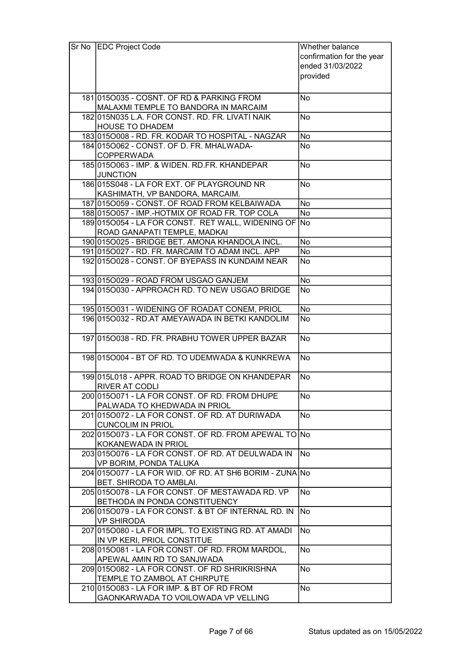| Sr No EDC Project Code                                                              | Whether balance           |
|-------------------------------------------------------------------------------------|---------------------------|
|                                                                                     | confirmation for the year |
|                                                                                     | ended 31/03/2022          |
|                                                                                     | provided                  |
|                                                                                     |                           |
| 181 015 0035 - COSNT. OF RD & PARKING FROM                                          | No                        |
| MALAXMI TEMPLE TO BANDORA IN MARCAIM                                                |                           |
| 182 015 NO35 L.A. FOR CONST. RD. FR. LIVATI NAIK                                    | <b>No</b>                 |
| <b>HOUSE TO DHADEM</b>                                                              |                           |
| 183 015 0008 - RD. FR. KODAR TO HOSPITAL - NAGZAR                                   | No                        |
| 184 0150062 - CONST. OF D. FR. MHALWADA-                                            | <b>No</b>                 |
| <b>COPPERWADA</b>                                                                   |                           |
| 1850150063 - IMP. & WIDEN. RD.FR. KHANDEPAR                                         | <b>No</b>                 |
| <b>JUNCTION</b>                                                                     |                           |
| 186015S048 - LA FOR EXT. OF PLAYGROUND NR                                           | <b>No</b>                 |
| KASHIMATH, VP BANDORA, MARCAIM.                                                     |                           |
| 187 0150059 - CONST. OF ROAD FROM KELBAIWADA                                        | <b>No</b>                 |
| 188 0150057 - IMP.-HOTMIX OF ROAD FR. TOP COLA                                      | No                        |
| 1890150054 - LA FOR CONST. RET WALL, WIDENING OF No<br>ROAD GANAPATI TEMPLE, MADKAI |                           |
| 190 0150025 - BRIDGE BET. AMONA KHANDOLA INCL.                                      | No                        |
| 191 0150027 - RD. FR. MARCAIM TO ADAM INCL. APP                                     | No                        |
| 192 015 0028 - CONST, OF BYEPASS IN KUNDAIM NEAR                                    | No                        |
|                                                                                     |                           |
| 193 015 0029 - ROAD FROM USGAO GANJEM                                               | No                        |
| 194 015 0030 - APPROACH RD. TO NEW USGAO BRIDGE                                     | No                        |
|                                                                                     |                           |
| 195 015 0031 - WIDENING OF ROADAT CONEM, PRIOL                                      | <b>No</b>                 |
| 196 015 0032 - RD. AT AMEYAWADA IN BETKI KANDOLIM                                   | <b>No</b>                 |
|                                                                                     |                           |
| 197 015 0038 - RD. FR. PRABHU TOWER UPPER BAZAR                                     | No                        |
|                                                                                     |                           |
| 1980150004 - BT OF RD. TO UDEMWADA & KUNKREWA                                       | No                        |
| 199 015 L018 - APPR. ROAD TO BRIDGE ON KHANDEPAR                                    | No                        |
| <b>RIVER AT CODLI</b>                                                               |                           |
| 200 015 0071 - LA FOR CONST. OF RD. FROM DHUPE                                      | No                        |
| PALWADA TO KHEDWADA IN PRIOL                                                        |                           |
| 2010150072 - LA FOR CONST. OF RD. AT DURIWADA                                       | No                        |
| <b>CUNCOLIM IN PRIOL</b>                                                            |                           |
| 202 015 0073 - LA FOR CONST. OF RD. FROM APEWAL TO No                               |                           |
| KOKANEWADA IN PRIOL                                                                 |                           |
| 203 015 0076 - LA FOR CONST. OF RD. AT DEULWADA IN                                  | No                        |
| VP BORIM, PONDA TALUKA                                                              |                           |
| 204 015 0077 - LA FOR WID, OF RD, AT SH6 BORIM - ZUNAINO                            |                           |
| BET. SHIRODA TO AMBLAI.                                                             |                           |
| 205 015 0078 - LA FOR CONST. OF MESTAWADA RD. VP                                    | No                        |
| BETHODA IN PONDA CONSTITUENCY                                                       |                           |
| 206 015 0079 - LA FOR CONST. & BT OF INTERNAL RD. IN                                | <b>No</b>                 |
| <b>VP SHIRODA</b>                                                                   |                           |
| 207 015 0080 - LA FOR IMPL. TO EXISTING RD. AT AMADI                                | <b>No</b>                 |
| IN VP KERI, PRIOL CONSTITUE<br>208 015 0081 - LA FOR CONST. OF RD. FROM MARDOL,     | <b>No</b>                 |
| APEWAL AMIN RD TO SANJWADA                                                          |                           |
| 209 015 0082 - LA FOR CONST. OF RD SHRIKRISHNA                                      | No                        |
| TEMPLE TO ZAMBOL AT CHIRPUTE                                                        |                           |
| 210 015 0083 - LA FOR IMP. & BT OF RD FROM                                          | No                        |
| GAONKARWADA TO VOILOWADA VP VELLING                                                 |                           |
|                                                                                     |                           |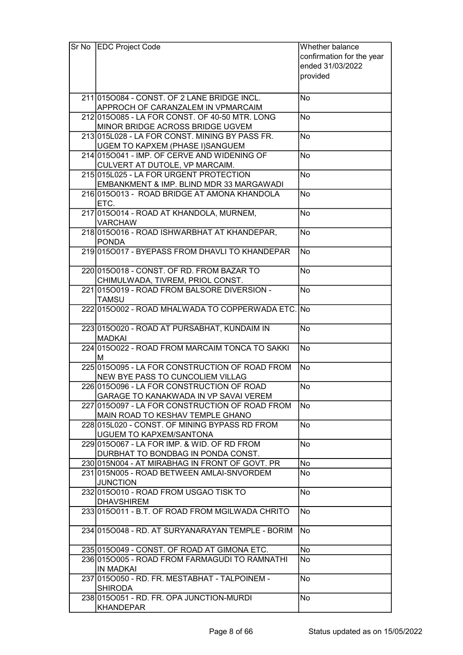| Sr No EDC Project Code                             | Whether balance           |
|----------------------------------------------------|---------------------------|
|                                                    | confirmation for the year |
|                                                    | ended 31/03/2022          |
|                                                    | provided                  |
|                                                    |                           |
| 211 015 0084 - CONST, OF 2 LANE BRIDGE INCL.       | No                        |
| APPROCH OF CARANZALEM IN VPMARCAIM                 |                           |
| 212 015 0085 - LA FOR CONST. OF 40-50 MTR. LONG    | <b>No</b>                 |
| MINOR BRIDGE ACROSS BRIDGE UGVEM                   |                           |
| 213 015 L028 - LA FOR CONST. MINING BY PASS FR.    | <b>No</b>                 |
| UGEM TO KAPXEM (PHASE I)SANGUEM                    |                           |
| 214 015 0041 - IMP. OF CERVE AND WIDENING OF       | <b>No</b>                 |
| CULVERT AT DUTOLE, VP MARCAIM.                     |                           |
| 215 015 L025 - LA FOR URGENT PROTECTION            | No                        |
| EMBANKMENT & IMP. BLIND MDR 33 MARGAWADI           |                           |
| 2160150013 - ROAD BRIDGE AT AMONA KHANDOLA         | <b>No</b>                 |
| ETC.                                               |                           |
| 217 0150014 - ROAD AT KHANDOLA, MURNEM,            | No                        |
| <b>VARCHAW</b>                                     |                           |
| 2180150016 - ROAD ISHWARBHAT AT KHANDEPAR,         | <b>No</b>                 |
| <b>PONDA</b>                                       |                           |
| 219 015 0017 - BYEPASS FROM DHAVLI TO KHANDEPAR    | <b>No</b>                 |
|                                                    |                           |
| 220 015 0018 - CONST. OF RD. FROM BAZAR TO         | <b>No</b>                 |
| CHIMULWADA, TIVREM, PRIOL CONST.                   |                           |
| 221 015 0019 - ROAD FROM BALSORE DIVERSION -       | <b>No</b>                 |
| <b>TAMSU</b>                                       |                           |
| 222 015 0002 - ROAD MHALWADA TO COPPERWADA ETC. No |                           |
|                                                    |                           |
| 223 015 0020 - ROAD AT PURSABHAT, KUNDAIM IN       | No                        |
| <b>MADKAI</b>                                      |                           |
| 224 015 0022 - ROAD FROM MARCAIM TONCA TO SAKKI    | <b>No</b>                 |
| м                                                  |                           |
| 225 015 0095 - LA FOR CONSTRUCTION OF ROAD FROM    | No.                       |
| NEW BYE PASS TO CUNCOLIEM VILLAG                   |                           |
| 226 015 0096 - LA FOR CONSTRUCTION OF ROAD         | <b>No</b>                 |
| <b>GARAGE TO KANAKWADA IN VP SAVAI VEREM</b>       |                           |
| 227 015 0097 - LA FOR CONSTRUCTION OF ROAD FROM    | <b>No</b>                 |
| MAIN ROAD TO KESHAV TEMPLE GHANO                   |                           |
| 228 015 L020 - CONST. OF MINING BYPASS RD FROM     | <b>No</b>                 |
| <b>UGUEM TO KAPXEM/SANTONA</b>                     |                           |
| 229 015 0067 - LA FOR IMP. & WID. OF RD FROM       | No                        |
| DURBHAT TO BONDBAG IN PONDA CONST.                 |                           |
| 230 015 NO04 - AT MIRABHAG IN FRONT OF GOVT. PR    | No                        |
| 231 015 NO05 - ROAD BETWEEN AMLAI-SNVORDEM         | No                        |
| <b>JUNCTION</b>                                    |                           |
| 232 015 0010 - ROAD FROM USGAO TISK TO             | No                        |
| <b>DHAVSHIREM</b>                                  |                           |
| 233 015 0011 - B.T. OF ROAD FROM MGILWADA CHRITO   | <b>No</b>                 |
|                                                    |                           |
| 23410150048 - RD. AT SURYANARAYAN TEMPLE - BORIM   | <b>No</b>                 |
|                                                    |                           |
| 235 015 0049 - CONST. OF ROAD AT GIMONA ETC.       | No                        |
| 236 015 0005 - ROAD FROM FARMAGUDI TO RAMNATHI     | <b>No</b>                 |
| <b>IN MADKAI</b>                                   |                           |
| 237 015 0050 - RD. FR. MESTABHAT - TALPOINEM -     | <b>No</b>                 |
| <b>SHIRODA</b>                                     |                           |
| 238 015 0051 - RD. FR. OPA JUNCTION-MURDI          | No                        |
| <b>KHANDEPAR</b>                                   |                           |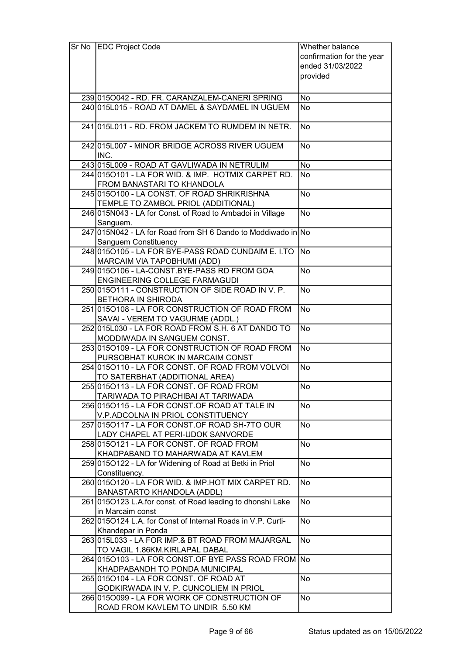| Sr No EDC Project Code                                                                     | Whether balance           |
|--------------------------------------------------------------------------------------------|---------------------------|
|                                                                                            | confirmation for the year |
|                                                                                            | ended 31/03/2022          |
|                                                                                            | provided                  |
|                                                                                            |                           |
| 239 015 0042 - RD. FR. CARANZALEM-CANERISPRING                                             | No                        |
| 240 015 L015 - ROAD AT DAMEL & SAYDAMEL IN UGUEM                                           | <b>No</b>                 |
|                                                                                            |                           |
| 241 015 L011 - RD. FROM JACKEM TO RUMDEM IN NETR.                                          | <b>No</b>                 |
|                                                                                            |                           |
| 242 015 L007 - MINOR BRIDGE ACROSS RIVER UGUEM                                             | <b>No</b>                 |
| INC.<br>243 015 L009 - ROAD AT GAVLIWADA IN NETRULIM                                       | <b>No</b>                 |
| 244 015 0101 - LA FOR WID. & IMP. HOTMIX CARPET RD.                                        | <b>No</b>                 |
| FROM BANASTARI TO KHANDOLA                                                                 |                           |
| 245 015 0100 - LA CONST. OF ROAD SHRIKRISHNA                                               | <b>No</b>                 |
| TEMPLE TO ZAMBOL PRIOL (ADDITIONAL)                                                        |                           |
| 246 015 N043 - LA for Const. of Road to Ambadoi in Village                                 | <b>No</b>                 |
| Sanguem.                                                                                   |                           |
| 247 015 N042 - LA for Road from SH 6 Dando to Moddiwado in No                              |                           |
| Sanguem Constituency                                                                       |                           |
| 248 015 0105 - LA FOR BYE-PASS ROAD CUNDAIM E. I.TO                                        | lNo                       |
| MARCAIM VIA TAPOBHUMI (ADD)<br>249 015 0106 - LA-CONST.BYE-PASS RD FROM GOA                | <b>No</b>                 |
| ENGINEERING COLLEGE FARMAGUDI                                                              |                           |
| 250 0150111 - CONSTRUCTION OF SIDE ROAD IN V. P.                                           | <b>No</b>                 |
| <b>BETHORA IN SHIRODA</b>                                                                  |                           |
| 251 0150108 - LA FOR CONSTRUCTION OF ROAD FROM                                             | <b>No</b>                 |
| SAVAI - VEREM TO VAGURME (ADDL.)                                                           |                           |
| 252 015 L030 - LA FOR ROAD FROM S.H. 6 AT DANDO TO                                         | $\overline{No}$           |
| MODDIWADA IN SANGUEM CONST.                                                                |                           |
| 253 015 0109 - LA FOR CONSTRUCTION OF ROAD FROM                                            | <b>No</b>                 |
| PURSOBHAT KUROK IN MARCAIM CONST                                                           |                           |
| 254 015 0110 - LA FOR CONST. OF ROAD FROM VOLVOL<br>TO SATERBHAT (ADDITIONAL AREA)         | <b>No</b>                 |
| 255 015 0113 - LA FOR CONST. OF ROAD FROM                                                  | No                        |
| TARIWADA TO PIRACHIBAI AT TARIWADA                                                         |                           |
| 256 015 O115 - LA FOR CONST. OF ROAD AT TALE IN                                            | <b>No</b>                 |
| V.P.ADCOLNA IN PRIOL CONSTITUENCY                                                          |                           |
| 257 0150117 - LA FOR CONST.OF ROAD SH-7TO OUR                                              | <b>No</b>                 |
| LADY CHAPEL AT PERI-UDOK SANVORDE                                                          |                           |
| 258 015 0121 - LA FOR CONST. OF ROAD FROM                                                  | No                        |
| KHADPABAND TO MAHARWADA AT KAVLEM                                                          |                           |
| 259 015 0122 - LA for Widening of Road at Betki in Priol                                   | No                        |
| Constituency.                                                                              |                           |
| 260 015 0120 - LA FOR WID. & IMP. HOT MIX CARPET RD.                                       | <b>No</b>                 |
| BANASTARTO KHANDOLA (ADDL)<br>261 015 O123 L.A. for const. of Road leading to dhonshi Lake | <b>No</b>                 |
| in Marcaim const                                                                           |                           |
| 262 015 0124 L.A. for Const of Internal Roads in V.P. Curti-                               | <b>No</b>                 |
| Khandepar in Ponda                                                                         |                           |
| 263 015 L033 - LA FOR IMP.& BT ROAD FROM MAJARGAL                                          | <b>No</b>                 |
| TO VAGIL 1.86KM.KIRLAPAL DABAL                                                             |                           |
| 264 015 0103 - LA FOR CONST. OF BYE PASS ROAD FROM No                                      |                           |
| KHADPABANDH TO PONDA MUNICIPAL                                                             |                           |
| 265 015 0104 - LA FOR CONST. OF ROAD AT                                                    | N <sub>o</sub>            |
| GODKIRWADA IN V. P. CUNCOLIEM IN PRIOL                                                     |                           |
| 266 0150099 - LA FOR WORK OF CONSTRUCTION OF<br>ROAD FROM KAVLEM TO UNDIR 5.50 KM          | No                        |
|                                                                                            |                           |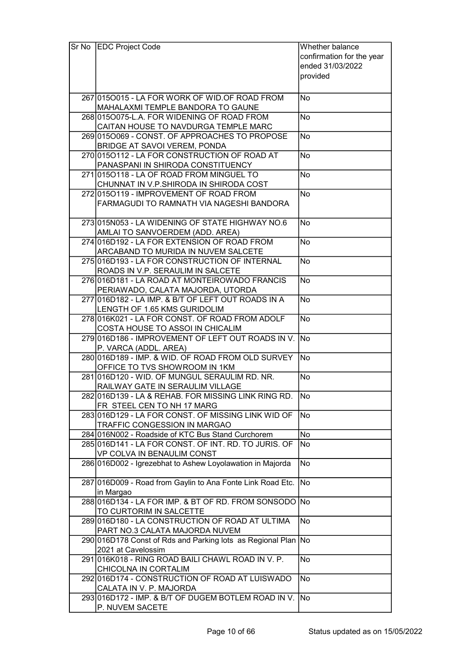| Sr No | <b>EDC Project Code</b>                                             | Whether balance           |
|-------|---------------------------------------------------------------------|---------------------------|
|       |                                                                     | confirmation for the year |
|       |                                                                     | ended 31/03/2022          |
|       |                                                                     | provided                  |
|       |                                                                     |                           |
|       | 267 015 0015 - LA FOR WORK OF WID. OF ROAD FROM                     | No                        |
|       | MAHALAXMI TEMPLE BANDORA TO GAUNE                                   |                           |
|       | 268 015 0075-L.A. FOR WIDENING OF ROAD FROM                         | No                        |
|       | CAITAN HOUSE TO NAVDURGA TEMPLE MARC                                |                           |
|       | 269 015 0069 - CONST. OF APPROACHES TO PROPOSE                      | No                        |
|       | BRIDGE AT SAVOI VEREM, PONDA                                        |                           |
|       | 270 015 0112 - LA FOR CONSTRUCTION OF ROAD AT                       | <b>No</b>                 |
|       | PANASPANI IN SHIRODA CONSTITUENCY                                   |                           |
|       | 271 015 0118 - LA OF ROAD FROM MINGUEL TO                           | No                        |
|       |                                                                     |                           |
|       | CHUNNAT IN V.P.SHIRODA IN SHIRODA COST                              |                           |
|       | 272 015 0119 - IMPROVEMENT OF ROAD FROM                             | <b>No</b>                 |
|       | FARMAGUDI TO RAMNATH VIA NAGESHI BANDORA                            |                           |
|       | 273 015 NO <sub>53</sub> - LA WIDENING OF STATE HIGHWAY NO.6        | <b>No</b>                 |
|       | AMLAI TO SANVOERDEM (ADD. AREA)                                     |                           |
|       | 274 016 D192 - LA FOR EXTENSION OF ROAD FROM                        | <b>No</b>                 |
|       |                                                                     |                           |
|       | ARCABAND TO MURIDA IN NUVEM SALCETE                                 | <b>No</b>                 |
|       | 275 016 D193 - LA FOR CONSTRUCTION OF INTERNAL                      |                           |
|       | ROADS IN V.P. SERAULIM IN SALCETE                                   |                           |
|       | 276 016 D181 - LA ROAD AT MONTEIROWADO FRANCIS                      | <b>No</b>                 |
|       | PERIAWADO, CALATA MAJORDA, UTORDA                                   |                           |
|       | 277 016 D182 - LA IMP. & B/T OF LEFT OUT ROADS IN A                 | <b>No</b>                 |
|       | LENGTH OF 1.65 KMS GURIDOLIM                                        |                           |
|       | 278 016K021 - LA FOR CONST. OF ROAD FROM ADOLF                      | <b>No</b>                 |
|       | COSTA HOUSE TO ASSOI IN CHICALIM                                    |                           |
|       | 279 016 D186 - IMPROVEMENT OF LEFT OUT ROADS IN V. No               |                           |
|       | P. VARCA (ADDL. AREA)                                               |                           |
|       | 280 016 D189 - IMP. & WID. OF ROAD FROM OLD SURVEY                  | .<br>No                   |
|       | OFFICE TO TVS SHOWROOM IN 1KM                                       |                           |
|       | 281016D120 - WID. OF MUNGUL SERAULIM RD. NR.                        | No                        |
|       | RAILWAY GATE IN SERAULIM VILLAGE                                    |                           |
|       | 282 016 D139 - LA & REHAB. FOR MISSING LINK RING RD.                | No                        |
|       | FR STEEL CEN TO NH 17 MARG                                          |                           |
|       | 283 016 D129 - LA FOR CONST. OF MISSING LINK WID OF                 | <b>No</b>                 |
|       | TRAFFIC CONGESSION IN MARGAO                                        |                           |
|       | 284 016 NOO2 - Roadside of KTC Bus Stand Curchorem                  | No                        |
|       | 285 016 D141 - LA FOR CONST. OF INT. RD. TO JURIS. OF               | No                        |
|       | VP COLVA IN BENAULIM CONST                                          |                           |
|       | 286 016 D002 - Igrezebhat to Ashew Loyolawation in Majorda          | $\overline{No}$           |
|       | 287 016 D009 - Road from Gaylin to Ana Fonte Link Road Etc.         | <b>No</b>                 |
|       |                                                                     |                           |
|       | in Margao<br>288 016 D134 - LA FOR IMP. & BT OF RD. FROM SONSODO No |                           |
|       | TO CURTORIM IN SALCETTE                                             |                           |
|       | 289 016 D180 - LA CONSTRUCTION OF ROAD AT ULTIMA                    | <b>No</b>                 |
|       | PART NO.3 CALATA MAJORDA NUVEM                                      |                           |
|       | 290 016 D178 Const of Rds and Parking lots as Regional Plan No      |                           |
|       | 2021 at Cavelossim                                                  |                           |
|       | 291 016K018 - RING ROAD BAILI CHAWL ROAD IN V. P.                   | <b>No</b>                 |
|       | CHICOLNA IN CORTALIM                                                |                           |
|       | 292 016 D174 - CONSTRUCTION OF ROAD AT LUISWADO                     | <b>No</b>                 |
|       | CALATA IN V. P. MAJORDA                                             |                           |
|       | 293 016 D172 - IMP. & B/T OF DUGEM BOTLEM ROAD IN V.                | <b>No</b>                 |
|       | P. NUVEM SACETE                                                     |                           |
|       |                                                                     |                           |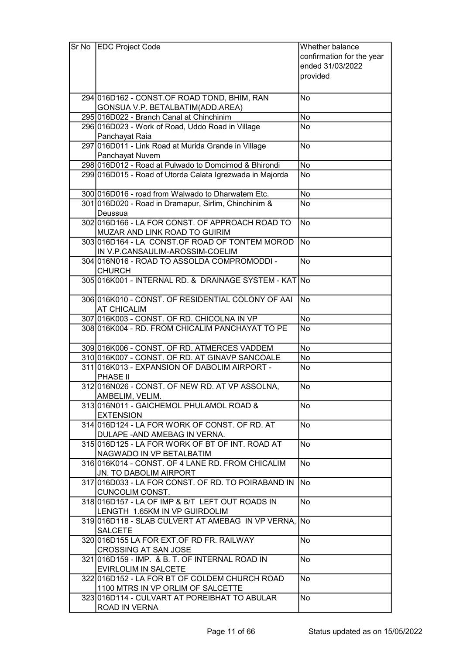| Sr No   EDC Project Code                                  | Whether balance           |
|-----------------------------------------------------------|---------------------------|
|                                                           | confirmation for the year |
|                                                           | ended 31/03/2022          |
|                                                           | provided                  |
|                                                           |                           |
|                                                           |                           |
| 294 016 D162 - CONST. OF ROAD TOND, BHIM, RAN             | No                        |
| GONSUA V.P. BETALBATIM(ADD.AREA)                          |                           |
| 295 016 D022 - Branch Canal at Chinchinim                 | <b>No</b>                 |
| 296 016 D023 - Work of Road, Uddo Road in Village         | <b>No</b>                 |
| Panchayat Raia                                            |                           |
| 297 016 D011 - Link Road at Murida Grande in Village      | No                        |
| Panchayat Nuvem                                           |                           |
| 298 016 D012 - Road at Pulwado to Domcimod & Bhirondi     | No                        |
| 299 016 D015 - Road of Utorda Calata Igrezwada in Majorda | No                        |
|                                                           |                           |
| 300 016 D016 - road from Walwado to Dharwatem Etc.        | No                        |
| 301 016 D020 - Road in Dramapur, Sirlim, Chinchinim &     | <b>No</b>                 |
| Deussua                                                   |                           |
| 302 016 D166 - LA FOR CONST. OF APPROACH ROAD TO          | <b>No</b>                 |
| MUZAR AND LINK ROAD TO GUIRIM                             |                           |
| 303 016 D164 - LA CONST. OF ROAD OF TONTEM MOROD          | <b>No</b>                 |
| IN V.P.CANSAULIM-AROSSIM-COELIM                           |                           |
| 304 016 NO16 - ROAD TO ASSOLDA COMPROMODDI -              | <b>No</b>                 |
| <b>CHURCH</b>                                             |                           |
| 305 016 K001 - INTERNAL RD. & DRAINAGE SYSTEM - KAT No    |                           |
|                                                           |                           |
|                                                           |                           |
| 306 016K010 - CONST. OF RESIDENTIAL COLONY OF AAI         | <b>No</b>                 |
| <b>AT CHICALIM</b>                                        |                           |
| 307 016 K003 - CONST. OF RD. CHICOLNA IN VP               | No                        |
| 308 016K004 - RD. FROM CHICALIM PANCHAYAT TO PE           | $\overline{No}$           |
|                                                           |                           |
| 309 016 K006 - CONST. OF RD. ATMERCES VADDEM              | No                        |
| 310 016K007 - CONST. OF RD. AT GINAVP SANCOALE            | No                        |
| 311016K013 - EXPANSION OF DABOLIM AIRPORT -               | No                        |
| PHASE II                                                  |                           |
| 312 016 NO26 - CONST. OF NEW RD. AT VP ASSOLNA,           | No                        |
| AMBELIM, VELIM.                                           |                           |
| 313 016 NO11 - GAICHEMOL PHULAMOL ROAD &                  | <b>No</b>                 |
| <b>EXTENSION</b>                                          |                           |
| 314 016 D124 - LA FOR WORK OF CONST. OF RD. AT            | No                        |
| DULAPE - AND AMEBAG IN VERNA.                             |                           |
| 315 016 D125 - LA FOR WORK OF BT OF INT. ROAD AT          | No.                       |
| NAGWADO IN VP BETALBATIM                                  |                           |
| 316 016 K014 - CONST. OF 4 LANE RD. FROM CHICALIM         | No                        |
| JN. TO DABOLIM AIRPORT                                    |                           |
|                                                           | No                        |
| 317 016 D033 - LA FOR CONST. OF RD. TO POIRABAND IN       |                           |
| <b>CUNCOLIM CONST.</b>                                    |                           |
| 318 016 D157 - LA OF IMP & B/T LEFT OUT ROADS IN          | No                        |
| LENGTH 1.65KM IN VP GUIRDOLIM                             |                           |
| 319 016 D118 - SLAB CULVERT AT AMEBAG IN VP VERNA,        | <b>No</b>                 |
| <b>SALCETE</b>                                            |                           |
| 320 016 D155 LA FOR EXT. OF RD FR. RAILWAY                | No                        |
| <b>CROSSING AT SAN JOSE</b>                               |                           |
| 321 016 D159 - IMP. & B. T. OF INTERNAL ROAD IN           | <b>No</b>                 |
| EVIRLOLIM IN SALCETE                                      |                           |
| 322 016 D152 - LA FOR BT OF COLDEM CHURCH ROAD            | No                        |
| 1100 MTRS IN VP ORLIM OF SALCETTE                         |                           |
| 323 016 D114 - CULVART AT POREIBHAT TO ABULAR             | <b>No</b>                 |
| ROAD IN VERNA                                             |                           |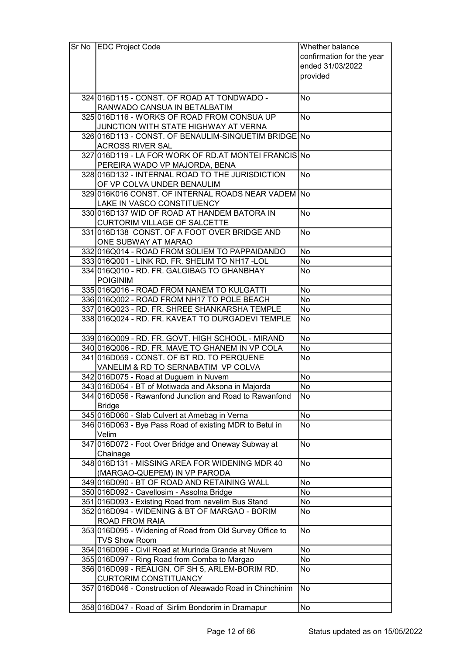| Sr No | <b>EDC Project Code</b>                                    | Whether balance           |
|-------|------------------------------------------------------------|---------------------------|
|       |                                                            | confirmation for the year |
|       |                                                            | ended 31/03/2022          |
|       |                                                            | provided                  |
|       |                                                            |                           |
|       |                                                            |                           |
|       | 324 016 D115 - CONST. OF ROAD AT TONDWADO -                | No                        |
|       | RANWADO CANSUA IN BETALBATIM                               |                           |
|       | 325 016 D116 - WORKS OF ROAD FROM CONSUA UP                | <b>No</b>                 |
|       | JUNCTION WITH STATE HIGHWAY AT VERNA                       |                           |
|       | 326 016 D113 - CONST. OF BENAULIM-SINQUETIM BRIDGE No      |                           |
|       | <b>ACROSS RIVER SAL</b>                                    |                           |
|       | 327 016 D119 - LA FOR WORK OF RD. AT MONTEL FRANCIS No     |                           |
|       | PEREIRA WADO VP MAJORDA, BENA                              |                           |
|       | 328 016 D132 - INTERNAL ROAD TO THE JURISDICTION           | <b>No</b>                 |
|       | OF VP COLVA UNDER BENAULIM                                 |                           |
|       | 329 016K016 CONST. OF INTERNAL ROADS NEAR VADEM No         |                           |
|       | LAKE IN VASCO CONSTITUENCY                                 |                           |
|       | 330 016 D137 WID OF ROAD AT HANDEM BATORA IN               | <b>No</b>                 |
|       |                                                            |                           |
|       | <b>CURTORIM VILLAGE OF SALCETTE</b>                        |                           |
|       | 331 016 D138 CONST. OF A FOOT OVER BRIDGE AND              | <b>No</b>                 |
|       | ONE SUBWAY AT MARAO                                        |                           |
|       | 332 016 Q 014 - ROAD FROM SOLIEM TO PAPPAIDANDO            | No                        |
|       | 333 016 Q 001 - LINK RD. FR. SHELIM TO NH17 - LOL          | No                        |
|       | 334 016 Q 010 - RD. FR. GALGIBAG TO GHAN BHAY              | No                        |
|       | <b>POIGINIM</b>                                            |                           |
|       | 335 016 Q 016 - ROAD FROM NANEM TO KULGATTI                | No                        |
|       | 336 016 Q002 - ROAD FROM NH17 TO POLE BEACH                | No                        |
|       | 337 016 Q 023 - RD. FR. SHREE SHANKARSHA TEMPLE            | No                        |
|       | 338 016 Q 024 - RD. FR. KAVEAT TO DURGADEVI TEMPLE         | No                        |
|       |                                                            |                           |
|       | 339 016 Q 009 - RD. FR. GOVT. HIGH SCHOOL - MIRAND         | No                        |
|       | 340 016 Q006 - RD. FR. MAVE TO GHANEM IN VP COLA           | No                        |
|       | 341 016 D059 - CONST. OF BT RD. TO PERQUENE                | No                        |
|       | VANELIM & RD TO SERNABATIM VP COLVA                        |                           |
|       | 342 016 D075 - Road at Duguem in Nuvem                     | No                        |
|       | 343 016 D054 - BT of Motiwada and Aksona in Majorda        | No                        |
|       | 344 016 D056 - Rawanfond Junction and Road to Rawanfond    | No                        |
|       | <b>Bridge</b>                                              |                           |
|       | 345 016 D060 - Slab Culvert at Amebag in Verna             | No                        |
|       |                                                            |                           |
|       | 346 016 D063 - Bye Pass Road of existing MDR to Betul in   | No                        |
|       | Velim                                                      |                           |
|       | 347 016 D072 - Foot Over Bridge and Oneway Subway at       | No                        |
|       | Chainage                                                   |                           |
|       | 348 016 D131 - MISSING AREA FOR WIDENING MDR 40            | No                        |
|       | (MARGAO-QUEPEM) IN VP PARODA                               |                           |
|       | 349 016 D090 - BT OF ROAD AND RETAINING WALL               | No                        |
|       | 350 016D092 - Cavellosim - Assolna Bridge                  | No                        |
|       | 351 016D093 - Existing Road from navelim Bus Stand         | No                        |
|       | 352 016 D094 - WIDENING & BT OF MARGAO - BORIM             | No                        |
|       | <b>ROAD FROM RAIA</b>                                      |                           |
|       | 353 016 D095 - Widening of Road from Old Survey Office to  | No                        |
|       | <b>TVS Show Room</b>                                       |                           |
|       | 354 016 D096 - Civil Road at Murinda Grande at Nuvem       | No                        |
|       | 355 016 D097 - Ring Road from Comba to Margao              | No                        |
|       | 356 016 D099 - REALIGN. OF SH 5, ARLEM-BORIM RD.           | No                        |
|       | <b>CURTORIM CONSTITUANCY</b>                               |                           |
|       | 357 016 D046 - Construction of Aleawado Road in Chinchinim | No                        |
|       |                                                            |                           |
|       |                                                            |                           |
|       | 358 016 D047 - Road of Sirlim Bondorim in Dramapur         | No                        |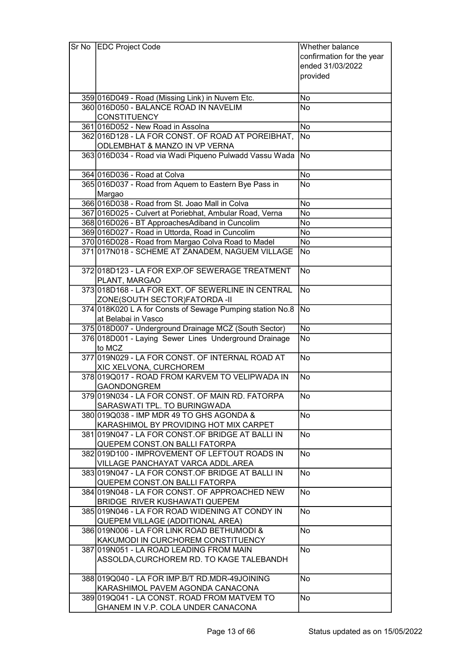| Sr No | <b>EDC Project Code</b>                                    | Whether balance           |
|-------|------------------------------------------------------------|---------------------------|
|       |                                                            | confirmation for the year |
|       |                                                            | ended 31/03/2022          |
|       |                                                            | provided                  |
|       |                                                            |                           |
|       | 359 016 D049 - Road (Missing Link) in Nuvem Etc.           | No                        |
|       | 360 016 D050 - BALANCE ROAD IN NAVELIM                     | <b>No</b>                 |
|       | <b>CONSTITUENCY</b>                                        |                           |
|       | 361 016 D052 - New Road in Assolna                         | No                        |
|       | 362 016 D128 - LA FOR CONST. OF ROAD AT POREIBHAT,         | <b>No</b>                 |
|       | ODLEMBHAT & MANZO IN VP VERNA                              |                           |
|       | 363 016 D034 - Road via Wadi Piqueno Pulwadd Vassu Wada    | No                        |
|       |                                                            |                           |
|       | 364 016 D036 - Road at Colva                               | No                        |
|       | 365 016 D037 - Road from Aquem to Eastern Bye Pass in      | <b>No</b>                 |
|       | Margao                                                     |                           |
|       | 366 016D038 - Road from St. Joao Mall in Colva             | No                        |
|       | 367 016 D025 - Culvert at Poriebhat, Ambular Road, Verna   | No                        |
|       | 368 016 D026 - BT Approaches Adiband in Cuncolim           | No                        |
|       | 369 016 D027 - Road in Uttorda, Road in Cuncolim           | No                        |
|       | 370 016 D028 - Road from Margao Colva Road to Madel        | No                        |
|       | 371 017N018 - SCHEME AT ZANADEM, NAGUEM VILLAGE            | No                        |
|       |                                                            |                           |
|       | 372 018 D123 - LA FOR EXP. OF SEWERAGE TREATMENT           | <b>No</b>                 |
|       | PLANT, MARGAO                                              |                           |
|       | 373 018 D168 - LA FOR EXT. OF SEWERLINE IN CENTRAL         | <b>No</b>                 |
|       | ZONE(SOUTH SECTOR)FATORDA -II                              |                           |
|       | 374 018 K020 L A for Consts of Sewage Pumping station No.8 | No                        |
|       | at Belabai in Vasco                                        |                           |
|       | 375 018 D007 - Underground Drainage MCZ (South Sector)     | No                        |
|       | 376 018 D001 - Laying Sewer Lines Underground Drainage     | $\overline{No}$           |
|       | to MCZ                                                     |                           |
|       | 377 019 NO29 - LA FOR CONST. OF INTERNAL ROAD AT           | <b>No</b>                 |
|       | XIC XELVONA, CURCHOREM                                     |                           |
|       | 378 019 Q017 - ROAD FROM KARVEM TO VELIPWADA IN            | No                        |
|       | <b>GAONDONGREM</b>                                         |                           |
|       | 379 019 NO34 - LA FOR CONST. OF MAIN RD. FATORPA           | No                        |
|       | SARASWATI TPL. TO BURINGWADA                               |                           |
|       | 380 019 Q 038 - IMP MDR 49 TO GHS AGONDA &                 | No                        |
|       | KARASHIMOL BY PROVIDING HOT MIX CARPET                     |                           |
|       | 381 019 NO47 - LA FOR CONST. OF BRIDGE AT BALLI IN         | No                        |
|       | QUEPEM CONST.ON BALLI FATORPA                              |                           |
|       | 382 019 D100 - IMPROVEMENT OF LEFTOUT ROADS IN             | No                        |
|       | VILLAGE PANCHAYAT VARCA ADDL.AREA                          |                           |
|       | 383 019 NO47 - LA FOR CONST. OF BRIDGE AT BALLI IN         | No                        |
|       | QUEPEM CONST.ON BALLI FATORPA                              |                           |
|       | 384 019 NO48 - LA FOR CONST. OF APPROACHED NEW             | No                        |
|       | BRIDGE RIVER KUSHAWATI QUEPEM                              |                           |
|       | 385 019 N046 - LA FOR ROAD WIDENING AT CONDY IN            | No                        |
|       | QUEPEM VILLAGE (ADDITIONAL AREA)                           |                           |
|       | 386 019 NOO6 - LA FOR LINK ROAD BETHUMODI &                | No                        |
|       | KAKUMODI IN CURCHOREM CONSTITUENCY                         |                           |
|       | 387 019 NOS1 - LA ROAD LEADING FROM MAIN                   | <b>No</b>                 |
|       | ASSOLDA, CURCHOREM RD. TO KAGE TALEBANDH                   |                           |
|       |                                                            |                           |
|       | 388 019 Q 040 - LA FOR IMP. B/T RD. MDR-49JOINING          | <b>No</b>                 |
|       | KARASHIMOL PAVEM AGONDA CANACONA                           |                           |
|       | 389 019 Q041 - LA CONST. ROAD FROM MATVEM TO               | No                        |
|       | GHANEM IN V.P. COLA UNDER CANACONA                         |                           |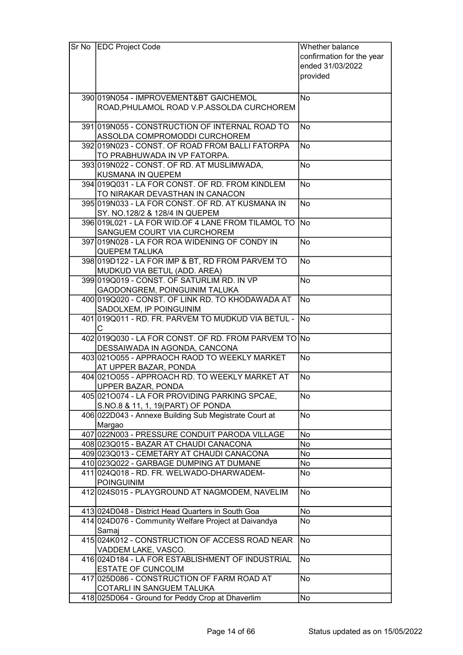| Sr No EDC Project Code                                              | Whether balance           |
|---------------------------------------------------------------------|---------------------------|
|                                                                     | confirmation for the year |
|                                                                     | ended 31/03/2022          |
|                                                                     | provided                  |
|                                                                     |                           |
|                                                                     |                           |
| 390 019 N054 - IMPROVEMENT& BT GAICHEMOL                            | <b>No</b>                 |
| ROAD, PHULAMOL ROAD V.P. ASSOLDA CURCHOREM                          |                           |
| 391 019 N055 - CONSTRUCTION OF INTERNAL ROAD TO                     | <b>No</b>                 |
| ASSOLDA COMPROMODDI CURCHOREM                                       |                           |
| 392 019 NO23 - CONST. OF ROAD FROM BALLI FATORPA                    | No                        |
| TO PRABHUWADA IN VP FATORPA.                                        |                           |
| 393 019 NO22 - CONST. OF RD. AT MUSLIMWADA,                         | <b>No</b>                 |
| KUSMANA IN QUEPEM                                                   |                           |
| 394 019 Q031 - LA FOR CONST. OF RD. FROM KINDLEM                    | <b>No</b>                 |
| TO NIRAKAR DEVASTHAN IN CANACON                                     |                           |
| 395 019 NO33 - LA FOR CONST. OF RD. AT KUSMANA IN                   | <b>No</b>                 |
| SY. NO.128/2 & 128/4 IN QUEPEM                                      |                           |
| 396 019 L021 - LA FOR WID. OF 4 LANE FROM TILAMOL TO No             |                           |
| SANGUEM COURT VIA CURCHOREM                                         |                           |
| 397 019 NO28 - LA FOR ROA WIDENING OF CONDY IN                      | <b>No</b>                 |
| <b>QUEPEM TALUKA</b>                                                |                           |
| 398 019 D122 - LA FOR IMP & BT, RD FROM PARVEM TO                   | <b>No</b>                 |
| MUDKUD VIA BETUL (ADD. AREA)                                        |                           |
| 399 019 Q 019 - CONST. OF SATURLIM RD. IN VP                        | <b>No</b>                 |
| GAODONGREM, POINGUINIM TALUKA                                       |                           |
| 400 019 Q 020 - CONST. OF LINK RD. TO KHODAWADA AT                  | <b>No</b>                 |
| SADOLXEM, IP POINGUINIM                                             |                           |
| 401 019 Q 011 - RD. FR. PARVEM TO MUDKUD VIA BETUL -                | $\overline{No}$           |
| C.                                                                  |                           |
| 402 019 Q030 - LA FOR CONST. OF RD. FROM PARVEM TO No               |                           |
| DESSAIWADA IN AGONDA, CANCONA                                       |                           |
| 403 0210055 - APPRAOCH RAOD TO WEEKLY MARKET                        | <b>No</b>                 |
| AT UPPER BAZAR, PONDA                                               |                           |
| 404 0210055 - APPROACH RD. TO WEEKLY MARKET AT                      | <b>No</b>                 |
| UPPER BAZAR, PONDA                                                  |                           |
| 405 021 0074 - LA FOR PROVIDING PARKING SPCAE,                      | No                        |
| S.NO.8 & 11, 1, 19 (PART) OF PONDA                                  |                           |
| 406 022D043 - Annexe Building Sub Megistrate Court at               | <b>No</b>                 |
| Margao                                                              |                           |
| 407 022N003 - PRESSURE CONDUIT PARODA VILLAGE                       | No                        |
| 408 023 Q 015 - BAZAR AT CHAUDI CANACONA                            | No                        |
| 409 023 Q 013 - CEMETARY AT CHAUDI CANACONA                         | No                        |
| 410 023 Q 022 - GARBAGE DUMPING AT DUMANE                           | No                        |
| 411 024 Q 018 - RD. FR. WELWADO-DHARWADEM-                          | No                        |
| <b>POINGUINIM</b><br>412 024 S015 - PLAYGROUND AT NAGMODEM, NAVELIM | <b>No</b>                 |
|                                                                     |                           |
| 413 024 D048 - District Head Quarters in South Goa                  | No                        |
| 414 024 D076 - Community Welfare Project at Daivandya               | No                        |
| Samaj                                                               |                           |
| 415 024K012 - CONSTRUCTION OF ACCESS ROAD NEAR                      | <b>No</b>                 |
| VADDEM LAKE, VASCO.                                                 |                           |
| 416 024 D184 - LA FOR ESTABLISHMENT OF INDUSTRIAL                   | <b>No</b>                 |
| ESTATE OF CUNCOLIM                                                  |                           |
| 417 025 D086 - CONSTRUCTION OF FARM ROAD AT                         | <b>No</b>                 |
| COTARLI IN SANGUEM TALUKA                                           |                           |
| 418 025 D064 - Ground for Peddy Crop at Dhaverlim                   | No                        |
|                                                                     |                           |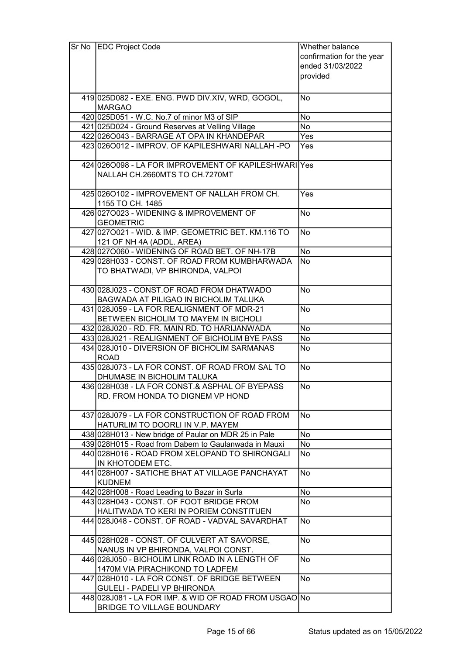| Sr No EDC Project Code                                              | Whether balance           |
|---------------------------------------------------------------------|---------------------------|
|                                                                     | confirmation for the year |
|                                                                     | ended 31/03/2022          |
|                                                                     | provided                  |
|                                                                     |                           |
|                                                                     | <b>No</b>                 |
| 419 025 D082 - EXE. ENG. PWD DIV. XIV, WRD, GOGOL,<br><b>MARGAO</b> |                           |
|                                                                     |                           |
| 420 025 D051 - W.C. No.7 of minor M3 of SIP                         | No                        |
| 421 025 D024 - Ground Reserves at Velling Village                   | <b>No</b>                 |
| 422 026 0043 - BARRAGE AT OPA IN KHANDEPAR                          | Yes                       |
| 423 026 0012 - IMPROV. OF KAPILESHWARI NALLAH - PO                  | Yes                       |
| 424 026 0098 - LA FOR IMPROVEMENT OF KAPILESHWARI Yes               |                           |
| NALLAH CH.2660MTS TO CH.7270MT                                      |                           |
|                                                                     |                           |
| 425 026 0102 - IMPROVEMENT OF NALLAH FROM CH.                       | Yes                       |
| 1155 TO CH. 1485                                                    |                           |
| 426 0270023 - WIDENING & IMPROVEMENT OF                             | <b>No</b>                 |
| <b>GEOMETRIC</b>                                                    |                           |
| 427 027 0021 - WID. & IMP. GEOMETRIC BET. KM.116 TO                 | <b>No</b>                 |
|                                                                     |                           |
| 121 OF NH 4A (ADDL. AREA)                                           |                           |
| 428 0270060 - WIDENING OF ROAD BET. OF NH-17B                       | No                        |
| 429 028 H033 - CONST. OF ROAD FROM KUMBHARWADA                      | <b>No</b>                 |
| TO BHATWADI, VP BHIRONDA, VALPOI                                    |                           |
|                                                                     |                           |
| 430 028 J023 - CONST.OF ROAD FROM DHATWADO                          | <b>No</b>                 |
| <b>BAGWADA AT PILIGAO IN BICHOLIM TALUKA</b>                        |                           |
| 431 028 J059 - LA FOR REALIGNMENT OF MDR-21                         | <b>No</b>                 |
| BETWEEN BICHOLIM TO MAYEM IN BICHOLI                                |                           |
| 432 028 J020 - RD. FR. MAIN RD. TO HARIJANWADA                      | <b>No</b>                 |
| 433 028 J021 - REALIGNMENT OF BICHOLIM BYE PASS                     | <b>No</b>                 |
| 434 028 J010 - DIVERSION OF BICHOLIM SARMANAS                       | No                        |
| <b>ROAD</b>                                                         |                           |
| 435 028 J073 - LA FOR CONST. OF ROAD FROM SAL TO                    | <b>No</b>                 |
| DHUMASE IN BICHOLIM TALUKA                                          |                           |
| 436 028 H038 - LA FOR CONST & ASPHAL OF BYEPASS                     | No                        |
| RD. FROM HONDA TO DIGNEM VP HOND                                    |                           |
|                                                                     |                           |
| 437 028 J079 - LA FOR CONSTRUCTION OF ROAD FROM                     | No                        |
| HATURLIM TO DOORLI IN V.P. MAYEM                                    |                           |
| 438 028 H013 - New bridge of Paular on MDR 25 in Pale               | No                        |
| 439 028 H015 - Road from Dabem to Gaulanwada in Mauxi               | No                        |
|                                                                     |                           |
| 440 028 H016 - ROAD FROM XELOPAND TO SHIRONGALI<br>IN KHOTODEM ETC. | No                        |
|                                                                     |                           |
| 441 028 H007 - SATICHE BHAT AT VILLAGE PANCHAYAT                    | <b>No</b>                 |
| <b>KUDNEM</b>                                                       |                           |
| 442 028 H008 - Road Leading to Bazar in Surla                       | No                        |
| 443 028 H043 - CONST. OF FOOT BRIDGE FROM                           | No                        |
| HALITWADA TO KERI IN PORIEM CONSTITUEN                              |                           |
| 444 028 J048 - CONST. OF ROAD - VADVAL SAVARDHAT                    | No                        |
|                                                                     |                           |
| 445 028 H028 - CONST. OF CULVERT AT SAVORSE,                        | <b>No</b>                 |
| NANUS IN VP BHIRONDA, VALPOI CONST.                                 |                           |
| 446 028 J050 - BICHOLIM LINK ROAD IN A LENGTH OF                    | <b>No</b>                 |
| 1470M VIA PIRACHIKOND TO LADFEM                                     |                           |
| 447 028 H010 - LA FOR CONST. OF BRIDGE BETWEEN                      | <b>No</b>                 |
| GULELI - PADELI VP BHIRONDA                                         |                           |
| 448 028 J081 - LA FOR IMP. & WID OF ROAD FROM USGAO No              |                           |
| <b>BRIDGE TO VILLAGE BOUNDARY</b>                                   |                           |
|                                                                     |                           |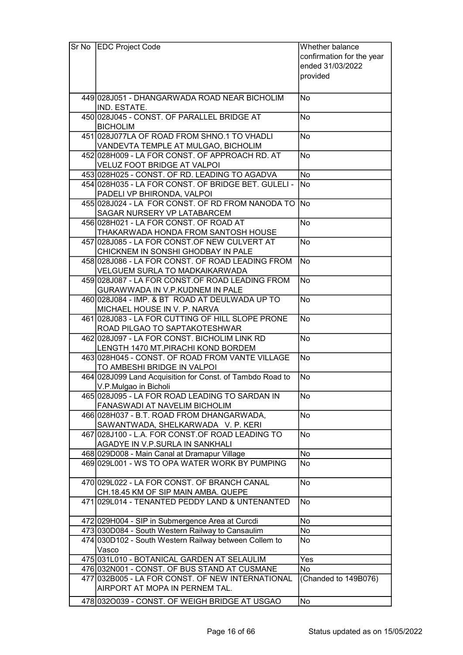| $Sr$ No | <b>EDC Project Code</b>                                                                | Whether balance           |
|---------|----------------------------------------------------------------------------------------|---------------------------|
|         |                                                                                        | confirmation for the year |
|         |                                                                                        | ended 31/03/2022          |
|         |                                                                                        | provided                  |
|         |                                                                                        |                           |
|         | 449 028 J051 - DHANGARWADA ROAD NEAR BICHOLIM                                          | <b>No</b>                 |
|         | IND. ESTATE.                                                                           |                           |
|         | 450 028 J045 - CONST. OF PARALLEL BRIDGE AT                                            | <b>No</b>                 |
|         | <b>BICHOLIM</b>                                                                        |                           |
|         | 451 028 J077LA OF ROAD FROM SHNO.1 TO VHADLI                                           | <b>No</b>                 |
|         | VANDEVTA TEMPLE AT MULGAO, BICHOLIM                                                    |                           |
|         | 452 028 H009 - LA FOR CONST. OF APPROACH RD. AT                                        | <b>No</b>                 |
|         | VELUZ FOOT BRIDGE AT VALPOI                                                            |                           |
|         | 453 028 H025 - CONST. OF RD. LEADING TO AGADVA                                         | No                        |
|         | 454 028 H035 - LA FOR CONST. OF BRIDGE BET. GULELI -                                   | <b>No</b>                 |
|         | PADELI VP BHIRONDA, VALPOI                                                             |                           |
|         | 455 028 J024 - LA FOR CONST. OF RD FROM NANODA TO                                      | <b>INo</b>                |
|         | SAGAR NURSERY VP LATABARCEM<br>456 028 H021 - LA FOR CONST. OF ROAD AT                 | <b>No</b>                 |
|         | THAKARWADA HONDA FROM SANTOSH HOUSE                                                    |                           |
|         | 457 028 J085 - LA FOR CONST.OF NEW CULVERT AT                                          | <b>No</b>                 |
|         | CHICKNEM IN SONSHI GHODBAY IN PALE                                                     |                           |
|         | 458 028 J086 - LA FOR CONST. OF ROAD LEADING FROM                                      | No                        |
|         | VELGUEM SURLA TO MADKAIKARWADA                                                         |                           |
|         | 459 028 J087 - LA FOR CONST. OF ROAD LEADING FROM                                      | <b>No</b>                 |
|         | GURAWWADA IN V.P.KUDNEM IN PALE                                                        |                           |
|         | 460 028 J084 - IMP. & BT ROAD AT DEULWADA UP TO                                        | <b>No</b>                 |
|         | MICHAEL HOUSE IN V. P. NARVA                                                           |                           |
|         | 461 028 J083 - LA FOR CUTTING OF HILL SLOPE PRONE                                      | <b>No</b>                 |
|         | ROAD PILGAO TO SAPTAKOTESHWAR                                                          |                           |
|         | 462 028 J097 - LA FOR CONST. BICHOLIM LINK RD                                          | <b>No</b>                 |
|         | LENGTH 1470 MT.PIRACHI KOND BORDEM                                                     | <b>No</b>                 |
|         | 463 028 H045 - CONST. OF ROAD FROM VANTE VILLAGE<br>TO AMBESHI BRIDGE IN VALPOI        |                           |
|         | 464 028 J099 Land Acquisition for Const. of Tambdo Road to                             | <b>No</b>                 |
|         | V.P.Mulgao in Bicholi                                                                  |                           |
|         | 465 028 J095 - LA FOR ROAD LEADING TO SARDAN IN                                        | No                        |
|         | FANASWADI AT NAVELIM BICHOLIM                                                          |                           |
|         | 466 028 H037 - B.T. ROAD FROM DHANGARWADA,                                             | <b>No</b>                 |
|         | SAWANTWADA, SHELKARWADA V. P. KERI                                                     |                           |
|         | 467 028 J100 - L.A. FOR CONST.OF ROAD LEADING TO                                       | <b>No</b>                 |
|         | AGADYE IN V.P.SURLA IN SANKHALI                                                        |                           |
|         | 468 029 D008 - Main Canal at Dramapur Village                                          | No                        |
|         | 469 029 L001 - WS TO OPA WATER WORK BY PUMPING                                         | No                        |
|         |                                                                                        |                           |
|         | 470 029 L022 - LA FOR CONST. OF BRANCH CANAL                                           | <b>No</b>                 |
|         | CH.18.45 KM OF SIP MAIN AMBA. QUEPE<br>471 029 L014 - TENANTED PEDDY LAND & UNTENANTED | No                        |
|         |                                                                                        |                           |
|         | 472 029 H004 - SIP in Submergence Area at Curcdi                                       | No                        |
|         | 473 030 D084 - South Western Railway to Cansaulim                                      | No                        |
|         | 474 030D102 - South Western Railway between Collem to                                  | No                        |
|         | Vasco                                                                                  |                           |
|         | 475 031 L010 - BOTANICAL GARDEN AT SELAULIM                                            | Yes                       |
|         | 476 032N001 - CONST. OF BUS STAND AT CUSMANE                                           | No                        |
|         | 477 032B005 - LA FOR CONST. OF NEW INTERNATIONAL                                       | (Chanded to 149B076)      |
|         | AIRPORT AT MOPA IN PERNEM TAL.                                                         |                           |
|         | 478 0320039 - CONST. OF WEIGH BRIDGE AT USGAO                                          | <b>No</b>                 |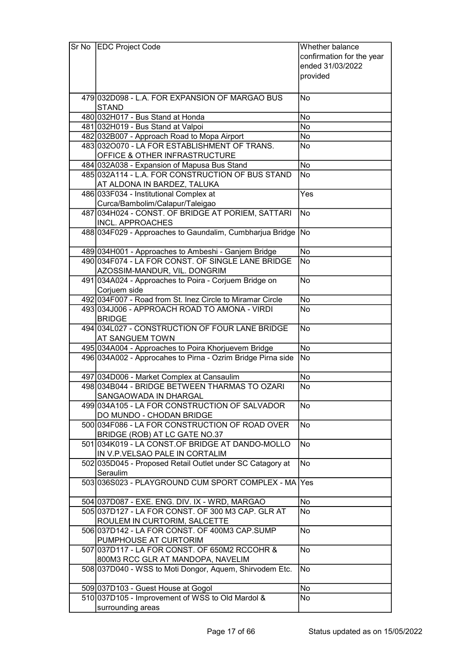| Sr No | <b>EDC Project Code</b>                                     | Whether balance           |
|-------|-------------------------------------------------------------|---------------------------|
|       |                                                             | confirmation for the year |
|       |                                                             | ended 31/03/2022          |
|       |                                                             | provided                  |
|       |                                                             |                           |
|       | 479 032D098 - L.A. FOR EXPANSION OF MARGAO BUS              | No                        |
|       | <b>STAND</b>                                                |                           |
|       | 480 032 H017 - Bus Stand at Honda                           | No                        |
|       |                                                             |                           |
|       | 481 032 H019 - Bus Stand at Valpoi                          | No                        |
|       | 482 032 B007 - Approach Road to Mopa Airport                | No                        |
|       | 483 0320070 - LA FOR ESTABLISHMENT OF TRANS.                | No                        |
|       | OFFICE & OTHER INFRASTRUCTURE                               |                           |
|       | 484 032A038 - Expansion of Mapusa Bus Stand                 | <b>No</b>                 |
|       | 485 032A114 - L.A. FOR CONSTRUCTION OF BUS STAND            | <b>No</b>                 |
|       | AT ALDONA IN BARDEZ, TALUKA                                 |                           |
|       | 486 033 F034 - Institutional Complex at                     | Yes                       |
|       | Curca/Bambolim/Calapur/Taleigao                             |                           |
|       | 487 034 H024 - CONST. OF BRIDGE AT PORIEM, SATTARI          | <b>No</b>                 |
|       | <b>INCL. APPROACHES</b>                                     |                           |
|       | 488 034 F029 - Approaches to Gaundalim, Cumbharjua Bridge   | <b>No</b>                 |
|       |                                                             |                           |
|       | 489 034 H001 - Approaches to Ambeshi - Ganjem Bridge        | No                        |
|       | 490 034 F074 - LA FOR CONST. OF SINGLE LANE BRIDGE          | <b>No</b>                 |
|       | AZOSSIM-MANDUR, VIL. DONGRIM                                |                           |
|       | 491 034A024 - Approaches to Poira - Corjuem Bridge on       | <b>No</b>                 |
|       |                                                             |                           |
|       | Corjuem side                                                |                           |
|       | 492 034 F007 - Road from St. Inez Circle to Miramar Circle  | No                        |
|       | 493 034 J006 - APPROACH ROAD TO AMONA - VIRDI               | No                        |
|       | <b>BRIDGE</b>                                               |                           |
|       | 494 034 L027 - CONSTRUCTION OF FOUR LANE BRIDGE             | <b>No</b>                 |
|       | <b>AT SANGUEM TOWN</b>                                      |                           |
|       | 495 034A004 - Approaches to Poira Khorjuevem Bridge         | <b>No</b>                 |
|       | 496 034A002 - Approcahes to Pirna - Ozrim Bridge Pirna side | <b>No</b>                 |
|       |                                                             |                           |
|       | 497 034 D006 - Market Complex at Cansaulim                  | <b>No</b>                 |
|       | 498 034 B044 - BRIDGE BETWEEN THARMAS TO OZARI              | No                        |
|       | SANGAOWADA IN DHARGAL                                       |                           |
|       | 499 034A105 - LA FOR CONSTRUCTION OF SALVADOR               | <b>No</b>                 |
|       | DO MUNDO - CHODAN BRIDGE                                    |                           |
|       | 500 034 F086 - LA FOR CONSTRUCTION OF ROAD OVER             | <b>No</b>                 |
|       | BRIDGE (ROB) AT LC GATE NO.37                               |                           |
|       | 501 034K019 - LA CONST.OF BRIDGE AT DANDO-MOLLO             | <b>No</b>                 |
|       | IN V.P.VELSAO PALE IN CORTALIM                              |                           |
|       | 502 035 D045 - Proposed Retail Outlet under SC Catagory at  | <b>No</b>                 |
|       | Seraulim                                                    |                           |
|       | 503 036 S023 - PLAYGROUND CUM SPORT COMPLEX - MA Yes        |                           |
|       |                                                             |                           |
|       | 504 037 D087 - EXE. ENG. DIV. IX - WRD, MARGAO              | No                        |
|       | 505 037 D127 - LA FOR CONST. OF 300 M3 CAP. GLR AT          | No                        |
|       |                                                             |                           |
|       | ROULEM IN CURTORIM, SALCETTE                                |                           |
|       | 506 037D142 - LA FOR CONST. OF 400M3 CAP.SUMP               | <b>No</b>                 |
|       | PUMPHOUSE AT CURTORIM                                       |                           |
|       | 507 037 D117 - LA FOR CONST. OF 650M2 RCCOHR &              | <b>No</b>                 |
|       | 800M3 RCC GLR AT MANDOPA, NAVELIM                           |                           |
|       | 508 037D040 - WSS to Moti Dongor, Aquem, Shirvodem Etc.     | <b>No</b>                 |
|       |                                                             |                           |
|       | 509 037D103 - Guest House at Gogol                          | No                        |
|       | 510 037D105 - Improvement of WSS to Old Mardol &            | No                        |
|       | surrounding areas                                           |                           |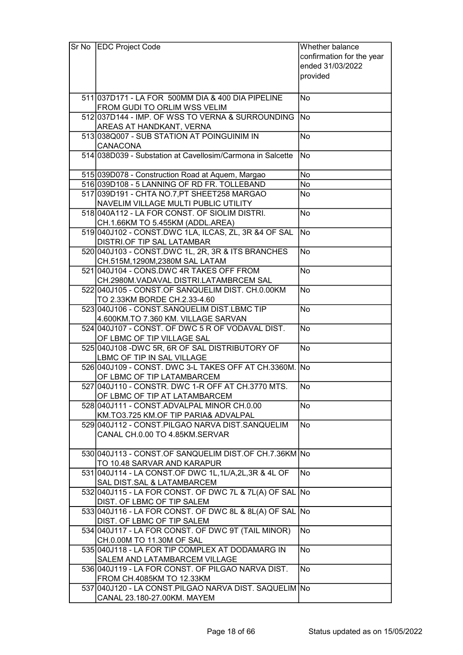| confirmation for the year<br>ended 31/03/2022<br>provided<br>511 037 D171 - LA FOR 500 MM DIA & 400 DIA PIPELINE<br>No<br>FROM GUDI TO ORLIM WSS VELIM<br>512 037 D144 - IMP. OF WSS TO VERNA & SURROUNDING<br><b>No</b><br>AREAS AT HANDKANT, VERNA<br>513 038 Q 007 - SUB STATION AT POINGUINIM IN<br>No<br><b>CANACONA</b><br>514 038D039 - Substation at Cavellosim/Carmona in Salcette<br><b>No</b><br>No<br>515 039 D078 - Construction Road at Aquem, Margao<br>516 039 D108 - 5 LANNING OF RD FR. TOLLEBAND<br>No<br>517 039 D191 - CHTA NO.7, PT SHEET 258 MARGAO<br>No<br>NAVELIM VILLAGE MULTI PUBLIC UTILITY<br>518 040 A 112 - LA FOR CONST. OF SIOLIM DISTRI.<br><b>No</b><br>CH.1.66KM TO 5.455KM (ADDL.AREA)<br>519 040 J102 - CONST.DWC 1LA, ILCAS, ZL, 3R & 4 OF SAL<br>$\overline{No}$<br>DISTRI.OF TIP SAL LATAMBAR<br><b>No</b><br>520 040 J103 - CONST.DWC 1L, 2R, 3R & ITS BRANCHES<br>CH.515M,1290M,2380M SAL LATAM<br>521 040 J104 - CONS.DWC 4R TAKES OFF FROM<br><b>No</b><br>CH.2980M.VADAVAL DISTRI.LATAMBRCEM SAL<br><b>No</b><br>522 040 J105 - CONST.OF SANQUELIM DIST. CH.0.00KM<br>TO 2.33KM BORDE CH.2.33-4.60<br>523 040 J106 - CONST. SANQUELIM DIST. LBMC TIP<br><b>No</b><br>4.600KM.TO 7.360 KM. VILLAGE SARVAN<br>524 040 J107 - CONST. OF DWC 5 R OF VODAVAL DIST.<br><b>No</b><br>OF LBMC OF TIP VILLAGE SAL<br>525 040J108 - DWC 5R, 6R OF SAL DISTRIBUTORY OF<br>No<br>LBMC OF TIP IN SAL VILLAGE<br>526 040 J109 - CONST. DWC 3-L TAKES OFF AT CH.3360M. No<br>OF LBMC OF TIP LATAMBARCEM<br>527 040 J110 - CONSTR. DWC 1-R OFF AT CH.3770 MTS.<br>No<br>OF LBMC OF TIP AT LATAMBARCEM<br>528 040 J111 - CONST. ADVALPAL MINOR CH.0.00<br>No<br>KM.TO3.725 KM.OF TIP PARIA& ADVALPAL<br><b>No</b><br>529 040 J112 - CONST. PILGAO NARVA DIST. SANQUELIM<br>CANAL CH.0.00 TO 4.85KM.SERVAR<br>530 040 J113 - CONST.OF SANQUELIM DIST.OF CH.7.36KM<br>No<br>TO 10.48 SARVAR AND KARAPUR<br>531 040 J114 - LA CONST.OF DWC 1L, 1L/A, 2L, 3R & 4L OF<br><b>No</b><br>SAL DIST.SAL & LATAMBARCEM<br>532 040 J115 - LA FOR CONST. OF DWC 7L & 7L(A) OF SAL<br><b>No</b><br>DIST. OF LBMC OF TIP SALEM<br>533 040 J116 - LA FOR CONST. OF DWC 8L & 8L(A) OF SAL<br><b>No</b><br>DIST. OF LBMC OF TIP SALEM<br>534 040J117 - LA FOR CONST. OF DWC 9T (TAIL MINOR)<br>No<br>CH.0.00M TO 11.30M OF SAL<br>535 040J118 - LA FOR TIP COMPLEX AT DODAMARG IN<br><b>No</b><br>SALEM AND LATAMBARCEM VILLAGE<br><b>No</b><br>536 040 J119 - LA FOR CONST. OF PILGAO NARVA DIST.<br>FROM CH.4085KM TO 12.33KM<br>537 040 J120 - LA CONST. PILGAO NARVA DIST. SAQUELIM No<br>CANAL 23.180-27.00KM. MAYEM | Sr No | <b>EDC Project Code</b> | Whether balance |
|---------------------------------------------------------------------------------------------------------------------------------------------------------------------------------------------------------------------------------------------------------------------------------------------------------------------------------------------------------------------------------------------------------------------------------------------------------------------------------------------------------------------------------------------------------------------------------------------------------------------------------------------------------------------------------------------------------------------------------------------------------------------------------------------------------------------------------------------------------------------------------------------------------------------------------------------------------------------------------------------------------------------------------------------------------------------------------------------------------------------------------------------------------------------------------------------------------------------------------------------------------------------------------------------------------------------------------------------------------------------------------------------------------------------------------------------------------------------------------------------------------------------------------------------------------------------------------------------------------------------------------------------------------------------------------------------------------------------------------------------------------------------------------------------------------------------------------------------------------------------------------------------------------------------------------------------------------------------------------------------------------------------------------------------------------------------------------------------------------------------------------------------------------------------------------------------------------------------------------------------------------------------------------------------------------------------------------------------------------------------------------------------------------------------------------------------------------------------------------------------------------------------------------------------------------------------------------------------------------------------------------------|-------|-------------------------|-----------------|
|                                                                                                                                                                                                                                                                                                                                                                                                                                                                                                                                                                                                                                                                                                                                                                                                                                                                                                                                                                                                                                                                                                                                                                                                                                                                                                                                                                                                                                                                                                                                                                                                                                                                                                                                                                                                                                                                                                                                                                                                                                                                                                                                                                                                                                                                                                                                                                                                                                                                                                                                                                                                                                       |       |                         |                 |
|                                                                                                                                                                                                                                                                                                                                                                                                                                                                                                                                                                                                                                                                                                                                                                                                                                                                                                                                                                                                                                                                                                                                                                                                                                                                                                                                                                                                                                                                                                                                                                                                                                                                                                                                                                                                                                                                                                                                                                                                                                                                                                                                                                                                                                                                                                                                                                                                                                                                                                                                                                                                                                       |       |                         |                 |
|                                                                                                                                                                                                                                                                                                                                                                                                                                                                                                                                                                                                                                                                                                                                                                                                                                                                                                                                                                                                                                                                                                                                                                                                                                                                                                                                                                                                                                                                                                                                                                                                                                                                                                                                                                                                                                                                                                                                                                                                                                                                                                                                                                                                                                                                                                                                                                                                                                                                                                                                                                                                                                       |       |                         |                 |
|                                                                                                                                                                                                                                                                                                                                                                                                                                                                                                                                                                                                                                                                                                                                                                                                                                                                                                                                                                                                                                                                                                                                                                                                                                                                                                                                                                                                                                                                                                                                                                                                                                                                                                                                                                                                                                                                                                                                                                                                                                                                                                                                                                                                                                                                                                                                                                                                                                                                                                                                                                                                                                       |       |                         |                 |
|                                                                                                                                                                                                                                                                                                                                                                                                                                                                                                                                                                                                                                                                                                                                                                                                                                                                                                                                                                                                                                                                                                                                                                                                                                                                                                                                                                                                                                                                                                                                                                                                                                                                                                                                                                                                                                                                                                                                                                                                                                                                                                                                                                                                                                                                                                                                                                                                                                                                                                                                                                                                                                       |       |                         |                 |
|                                                                                                                                                                                                                                                                                                                                                                                                                                                                                                                                                                                                                                                                                                                                                                                                                                                                                                                                                                                                                                                                                                                                                                                                                                                                                                                                                                                                                                                                                                                                                                                                                                                                                                                                                                                                                                                                                                                                                                                                                                                                                                                                                                                                                                                                                                                                                                                                                                                                                                                                                                                                                                       |       |                         |                 |
|                                                                                                                                                                                                                                                                                                                                                                                                                                                                                                                                                                                                                                                                                                                                                                                                                                                                                                                                                                                                                                                                                                                                                                                                                                                                                                                                                                                                                                                                                                                                                                                                                                                                                                                                                                                                                                                                                                                                                                                                                                                                                                                                                                                                                                                                                                                                                                                                                                                                                                                                                                                                                                       |       |                         |                 |
|                                                                                                                                                                                                                                                                                                                                                                                                                                                                                                                                                                                                                                                                                                                                                                                                                                                                                                                                                                                                                                                                                                                                                                                                                                                                                                                                                                                                                                                                                                                                                                                                                                                                                                                                                                                                                                                                                                                                                                                                                                                                                                                                                                                                                                                                                                                                                                                                                                                                                                                                                                                                                                       |       |                         |                 |
|                                                                                                                                                                                                                                                                                                                                                                                                                                                                                                                                                                                                                                                                                                                                                                                                                                                                                                                                                                                                                                                                                                                                                                                                                                                                                                                                                                                                                                                                                                                                                                                                                                                                                                                                                                                                                                                                                                                                                                                                                                                                                                                                                                                                                                                                                                                                                                                                                                                                                                                                                                                                                                       |       |                         |                 |
|                                                                                                                                                                                                                                                                                                                                                                                                                                                                                                                                                                                                                                                                                                                                                                                                                                                                                                                                                                                                                                                                                                                                                                                                                                                                                                                                                                                                                                                                                                                                                                                                                                                                                                                                                                                                                                                                                                                                                                                                                                                                                                                                                                                                                                                                                                                                                                                                                                                                                                                                                                                                                                       |       |                         |                 |
|                                                                                                                                                                                                                                                                                                                                                                                                                                                                                                                                                                                                                                                                                                                                                                                                                                                                                                                                                                                                                                                                                                                                                                                                                                                                                                                                                                                                                                                                                                                                                                                                                                                                                                                                                                                                                                                                                                                                                                                                                                                                                                                                                                                                                                                                                                                                                                                                                                                                                                                                                                                                                                       |       |                         |                 |
|                                                                                                                                                                                                                                                                                                                                                                                                                                                                                                                                                                                                                                                                                                                                                                                                                                                                                                                                                                                                                                                                                                                                                                                                                                                                                                                                                                                                                                                                                                                                                                                                                                                                                                                                                                                                                                                                                                                                                                                                                                                                                                                                                                                                                                                                                                                                                                                                                                                                                                                                                                                                                                       |       |                         |                 |
|                                                                                                                                                                                                                                                                                                                                                                                                                                                                                                                                                                                                                                                                                                                                                                                                                                                                                                                                                                                                                                                                                                                                                                                                                                                                                                                                                                                                                                                                                                                                                                                                                                                                                                                                                                                                                                                                                                                                                                                                                                                                                                                                                                                                                                                                                                                                                                                                                                                                                                                                                                                                                                       |       |                         |                 |
|                                                                                                                                                                                                                                                                                                                                                                                                                                                                                                                                                                                                                                                                                                                                                                                                                                                                                                                                                                                                                                                                                                                                                                                                                                                                                                                                                                                                                                                                                                                                                                                                                                                                                                                                                                                                                                                                                                                                                                                                                                                                                                                                                                                                                                                                                                                                                                                                                                                                                                                                                                                                                                       |       |                         |                 |
|                                                                                                                                                                                                                                                                                                                                                                                                                                                                                                                                                                                                                                                                                                                                                                                                                                                                                                                                                                                                                                                                                                                                                                                                                                                                                                                                                                                                                                                                                                                                                                                                                                                                                                                                                                                                                                                                                                                                                                                                                                                                                                                                                                                                                                                                                                                                                                                                                                                                                                                                                                                                                                       |       |                         |                 |
|                                                                                                                                                                                                                                                                                                                                                                                                                                                                                                                                                                                                                                                                                                                                                                                                                                                                                                                                                                                                                                                                                                                                                                                                                                                                                                                                                                                                                                                                                                                                                                                                                                                                                                                                                                                                                                                                                                                                                                                                                                                                                                                                                                                                                                                                                                                                                                                                                                                                                                                                                                                                                                       |       |                         |                 |
|                                                                                                                                                                                                                                                                                                                                                                                                                                                                                                                                                                                                                                                                                                                                                                                                                                                                                                                                                                                                                                                                                                                                                                                                                                                                                                                                                                                                                                                                                                                                                                                                                                                                                                                                                                                                                                                                                                                                                                                                                                                                                                                                                                                                                                                                                                                                                                                                                                                                                                                                                                                                                                       |       |                         |                 |
|                                                                                                                                                                                                                                                                                                                                                                                                                                                                                                                                                                                                                                                                                                                                                                                                                                                                                                                                                                                                                                                                                                                                                                                                                                                                                                                                                                                                                                                                                                                                                                                                                                                                                                                                                                                                                                                                                                                                                                                                                                                                                                                                                                                                                                                                                                                                                                                                                                                                                                                                                                                                                                       |       |                         |                 |
|                                                                                                                                                                                                                                                                                                                                                                                                                                                                                                                                                                                                                                                                                                                                                                                                                                                                                                                                                                                                                                                                                                                                                                                                                                                                                                                                                                                                                                                                                                                                                                                                                                                                                                                                                                                                                                                                                                                                                                                                                                                                                                                                                                                                                                                                                                                                                                                                                                                                                                                                                                                                                                       |       |                         |                 |
|                                                                                                                                                                                                                                                                                                                                                                                                                                                                                                                                                                                                                                                                                                                                                                                                                                                                                                                                                                                                                                                                                                                                                                                                                                                                                                                                                                                                                                                                                                                                                                                                                                                                                                                                                                                                                                                                                                                                                                                                                                                                                                                                                                                                                                                                                                                                                                                                                                                                                                                                                                                                                                       |       |                         |                 |
|                                                                                                                                                                                                                                                                                                                                                                                                                                                                                                                                                                                                                                                                                                                                                                                                                                                                                                                                                                                                                                                                                                                                                                                                                                                                                                                                                                                                                                                                                                                                                                                                                                                                                                                                                                                                                                                                                                                                                                                                                                                                                                                                                                                                                                                                                                                                                                                                                                                                                                                                                                                                                                       |       |                         |                 |
|                                                                                                                                                                                                                                                                                                                                                                                                                                                                                                                                                                                                                                                                                                                                                                                                                                                                                                                                                                                                                                                                                                                                                                                                                                                                                                                                                                                                                                                                                                                                                                                                                                                                                                                                                                                                                                                                                                                                                                                                                                                                                                                                                                                                                                                                                                                                                                                                                                                                                                                                                                                                                                       |       |                         |                 |
|                                                                                                                                                                                                                                                                                                                                                                                                                                                                                                                                                                                                                                                                                                                                                                                                                                                                                                                                                                                                                                                                                                                                                                                                                                                                                                                                                                                                                                                                                                                                                                                                                                                                                                                                                                                                                                                                                                                                                                                                                                                                                                                                                                                                                                                                                                                                                                                                                                                                                                                                                                                                                                       |       |                         |                 |
|                                                                                                                                                                                                                                                                                                                                                                                                                                                                                                                                                                                                                                                                                                                                                                                                                                                                                                                                                                                                                                                                                                                                                                                                                                                                                                                                                                                                                                                                                                                                                                                                                                                                                                                                                                                                                                                                                                                                                                                                                                                                                                                                                                                                                                                                                                                                                                                                                                                                                                                                                                                                                                       |       |                         |                 |
|                                                                                                                                                                                                                                                                                                                                                                                                                                                                                                                                                                                                                                                                                                                                                                                                                                                                                                                                                                                                                                                                                                                                                                                                                                                                                                                                                                                                                                                                                                                                                                                                                                                                                                                                                                                                                                                                                                                                                                                                                                                                                                                                                                                                                                                                                                                                                                                                                                                                                                                                                                                                                                       |       |                         |                 |
|                                                                                                                                                                                                                                                                                                                                                                                                                                                                                                                                                                                                                                                                                                                                                                                                                                                                                                                                                                                                                                                                                                                                                                                                                                                                                                                                                                                                                                                                                                                                                                                                                                                                                                                                                                                                                                                                                                                                                                                                                                                                                                                                                                                                                                                                                                                                                                                                                                                                                                                                                                                                                                       |       |                         |                 |
|                                                                                                                                                                                                                                                                                                                                                                                                                                                                                                                                                                                                                                                                                                                                                                                                                                                                                                                                                                                                                                                                                                                                                                                                                                                                                                                                                                                                                                                                                                                                                                                                                                                                                                                                                                                                                                                                                                                                                                                                                                                                                                                                                                                                                                                                                                                                                                                                                                                                                                                                                                                                                                       |       |                         |                 |
|                                                                                                                                                                                                                                                                                                                                                                                                                                                                                                                                                                                                                                                                                                                                                                                                                                                                                                                                                                                                                                                                                                                                                                                                                                                                                                                                                                                                                                                                                                                                                                                                                                                                                                                                                                                                                                                                                                                                                                                                                                                                                                                                                                                                                                                                                                                                                                                                                                                                                                                                                                                                                                       |       |                         |                 |
|                                                                                                                                                                                                                                                                                                                                                                                                                                                                                                                                                                                                                                                                                                                                                                                                                                                                                                                                                                                                                                                                                                                                                                                                                                                                                                                                                                                                                                                                                                                                                                                                                                                                                                                                                                                                                                                                                                                                                                                                                                                                                                                                                                                                                                                                                                                                                                                                                                                                                                                                                                                                                                       |       |                         |                 |
|                                                                                                                                                                                                                                                                                                                                                                                                                                                                                                                                                                                                                                                                                                                                                                                                                                                                                                                                                                                                                                                                                                                                                                                                                                                                                                                                                                                                                                                                                                                                                                                                                                                                                                                                                                                                                                                                                                                                                                                                                                                                                                                                                                                                                                                                                                                                                                                                                                                                                                                                                                                                                                       |       |                         |                 |
|                                                                                                                                                                                                                                                                                                                                                                                                                                                                                                                                                                                                                                                                                                                                                                                                                                                                                                                                                                                                                                                                                                                                                                                                                                                                                                                                                                                                                                                                                                                                                                                                                                                                                                                                                                                                                                                                                                                                                                                                                                                                                                                                                                                                                                                                                                                                                                                                                                                                                                                                                                                                                                       |       |                         |                 |
|                                                                                                                                                                                                                                                                                                                                                                                                                                                                                                                                                                                                                                                                                                                                                                                                                                                                                                                                                                                                                                                                                                                                                                                                                                                                                                                                                                                                                                                                                                                                                                                                                                                                                                                                                                                                                                                                                                                                                                                                                                                                                                                                                                                                                                                                                                                                                                                                                                                                                                                                                                                                                                       |       |                         |                 |
|                                                                                                                                                                                                                                                                                                                                                                                                                                                                                                                                                                                                                                                                                                                                                                                                                                                                                                                                                                                                                                                                                                                                                                                                                                                                                                                                                                                                                                                                                                                                                                                                                                                                                                                                                                                                                                                                                                                                                                                                                                                                                                                                                                                                                                                                                                                                                                                                                                                                                                                                                                                                                                       |       |                         |                 |
|                                                                                                                                                                                                                                                                                                                                                                                                                                                                                                                                                                                                                                                                                                                                                                                                                                                                                                                                                                                                                                                                                                                                                                                                                                                                                                                                                                                                                                                                                                                                                                                                                                                                                                                                                                                                                                                                                                                                                                                                                                                                                                                                                                                                                                                                                                                                                                                                                                                                                                                                                                                                                                       |       |                         |                 |
|                                                                                                                                                                                                                                                                                                                                                                                                                                                                                                                                                                                                                                                                                                                                                                                                                                                                                                                                                                                                                                                                                                                                                                                                                                                                                                                                                                                                                                                                                                                                                                                                                                                                                                                                                                                                                                                                                                                                                                                                                                                                                                                                                                                                                                                                                                                                                                                                                                                                                                                                                                                                                                       |       |                         |                 |
|                                                                                                                                                                                                                                                                                                                                                                                                                                                                                                                                                                                                                                                                                                                                                                                                                                                                                                                                                                                                                                                                                                                                                                                                                                                                                                                                                                                                                                                                                                                                                                                                                                                                                                                                                                                                                                                                                                                                                                                                                                                                                                                                                                                                                                                                                                                                                                                                                                                                                                                                                                                                                                       |       |                         |                 |
|                                                                                                                                                                                                                                                                                                                                                                                                                                                                                                                                                                                                                                                                                                                                                                                                                                                                                                                                                                                                                                                                                                                                                                                                                                                                                                                                                                                                                                                                                                                                                                                                                                                                                                                                                                                                                                                                                                                                                                                                                                                                                                                                                                                                                                                                                                                                                                                                                                                                                                                                                                                                                                       |       |                         |                 |
|                                                                                                                                                                                                                                                                                                                                                                                                                                                                                                                                                                                                                                                                                                                                                                                                                                                                                                                                                                                                                                                                                                                                                                                                                                                                                                                                                                                                                                                                                                                                                                                                                                                                                                                                                                                                                                                                                                                                                                                                                                                                                                                                                                                                                                                                                                                                                                                                                                                                                                                                                                                                                                       |       |                         |                 |
|                                                                                                                                                                                                                                                                                                                                                                                                                                                                                                                                                                                                                                                                                                                                                                                                                                                                                                                                                                                                                                                                                                                                                                                                                                                                                                                                                                                                                                                                                                                                                                                                                                                                                                                                                                                                                                                                                                                                                                                                                                                                                                                                                                                                                                                                                                                                                                                                                                                                                                                                                                                                                                       |       |                         |                 |
|                                                                                                                                                                                                                                                                                                                                                                                                                                                                                                                                                                                                                                                                                                                                                                                                                                                                                                                                                                                                                                                                                                                                                                                                                                                                                                                                                                                                                                                                                                                                                                                                                                                                                                                                                                                                                                                                                                                                                                                                                                                                                                                                                                                                                                                                                                                                                                                                                                                                                                                                                                                                                                       |       |                         |                 |
|                                                                                                                                                                                                                                                                                                                                                                                                                                                                                                                                                                                                                                                                                                                                                                                                                                                                                                                                                                                                                                                                                                                                                                                                                                                                                                                                                                                                                                                                                                                                                                                                                                                                                                                                                                                                                                                                                                                                                                                                                                                                                                                                                                                                                                                                                                                                                                                                                                                                                                                                                                                                                                       |       |                         |                 |
|                                                                                                                                                                                                                                                                                                                                                                                                                                                                                                                                                                                                                                                                                                                                                                                                                                                                                                                                                                                                                                                                                                                                                                                                                                                                                                                                                                                                                                                                                                                                                                                                                                                                                                                                                                                                                                                                                                                                                                                                                                                                                                                                                                                                                                                                                                                                                                                                                                                                                                                                                                                                                                       |       |                         |                 |
|                                                                                                                                                                                                                                                                                                                                                                                                                                                                                                                                                                                                                                                                                                                                                                                                                                                                                                                                                                                                                                                                                                                                                                                                                                                                                                                                                                                                                                                                                                                                                                                                                                                                                                                                                                                                                                                                                                                                                                                                                                                                                                                                                                                                                                                                                                                                                                                                                                                                                                                                                                                                                                       |       |                         |                 |
|                                                                                                                                                                                                                                                                                                                                                                                                                                                                                                                                                                                                                                                                                                                                                                                                                                                                                                                                                                                                                                                                                                                                                                                                                                                                                                                                                                                                                                                                                                                                                                                                                                                                                                                                                                                                                                                                                                                                                                                                                                                                                                                                                                                                                                                                                                                                                                                                                                                                                                                                                                                                                                       |       |                         |                 |
|                                                                                                                                                                                                                                                                                                                                                                                                                                                                                                                                                                                                                                                                                                                                                                                                                                                                                                                                                                                                                                                                                                                                                                                                                                                                                                                                                                                                                                                                                                                                                                                                                                                                                                                                                                                                                                                                                                                                                                                                                                                                                                                                                                                                                                                                                                                                                                                                                                                                                                                                                                                                                                       |       |                         |                 |
|                                                                                                                                                                                                                                                                                                                                                                                                                                                                                                                                                                                                                                                                                                                                                                                                                                                                                                                                                                                                                                                                                                                                                                                                                                                                                                                                                                                                                                                                                                                                                                                                                                                                                                                                                                                                                                                                                                                                                                                                                                                                                                                                                                                                                                                                                                                                                                                                                                                                                                                                                                                                                                       |       |                         |                 |
|                                                                                                                                                                                                                                                                                                                                                                                                                                                                                                                                                                                                                                                                                                                                                                                                                                                                                                                                                                                                                                                                                                                                                                                                                                                                                                                                                                                                                                                                                                                                                                                                                                                                                                                                                                                                                                                                                                                                                                                                                                                                                                                                                                                                                                                                                                                                                                                                                                                                                                                                                                                                                                       |       |                         |                 |
|                                                                                                                                                                                                                                                                                                                                                                                                                                                                                                                                                                                                                                                                                                                                                                                                                                                                                                                                                                                                                                                                                                                                                                                                                                                                                                                                                                                                                                                                                                                                                                                                                                                                                                                                                                                                                                                                                                                                                                                                                                                                                                                                                                                                                                                                                                                                                                                                                                                                                                                                                                                                                                       |       |                         |                 |
|                                                                                                                                                                                                                                                                                                                                                                                                                                                                                                                                                                                                                                                                                                                                                                                                                                                                                                                                                                                                                                                                                                                                                                                                                                                                                                                                                                                                                                                                                                                                                                                                                                                                                                                                                                                                                                                                                                                                                                                                                                                                                                                                                                                                                                                                                                                                                                                                                                                                                                                                                                                                                                       |       |                         |                 |
|                                                                                                                                                                                                                                                                                                                                                                                                                                                                                                                                                                                                                                                                                                                                                                                                                                                                                                                                                                                                                                                                                                                                                                                                                                                                                                                                                                                                                                                                                                                                                                                                                                                                                                                                                                                                                                                                                                                                                                                                                                                                                                                                                                                                                                                                                                                                                                                                                                                                                                                                                                                                                                       |       |                         |                 |
|                                                                                                                                                                                                                                                                                                                                                                                                                                                                                                                                                                                                                                                                                                                                                                                                                                                                                                                                                                                                                                                                                                                                                                                                                                                                                                                                                                                                                                                                                                                                                                                                                                                                                                                                                                                                                                                                                                                                                                                                                                                                                                                                                                                                                                                                                                                                                                                                                                                                                                                                                                                                                                       |       |                         |                 |
|                                                                                                                                                                                                                                                                                                                                                                                                                                                                                                                                                                                                                                                                                                                                                                                                                                                                                                                                                                                                                                                                                                                                                                                                                                                                                                                                                                                                                                                                                                                                                                                                                                                                                                                                                                                                                                                                                                                                                                                                                                                                                                                                                                                                                                                                                                                                                                                                                                                                                                                                                                                                                                       |       |                         |                 |
|                                                                                                                                                                                                                                                                                                                                                                                                                                                                                                                                                                                                                                                                                                                                                                                                                                                                                                                                                                                                                                                                                                                                                                                                                                                                                                                                                                                                                                                                                                                                                                                                                                                                                                                                                                                                                                                                                                                                                                                                                                                                                                                                                                                                                                                                                                                                                                                                                                                                                                                                                                                                                                       |       |                         |                 |
|                                                                                                                                                                                                                                                                                                                                                                                                                                                                                                                                                                                                                                                                                                                                                                                                                                                                                                                                                                                                                                                                                                                                                                                                                                                                                                                                                                                                                                                                                                                                                                                                                                                                                                                                                                                                                                                                                                                                                                                                                                                                                                                                                                                                                                                                                                                                                                                                                                                                                                                                                                                                                                       |       |                         |                 |
|                                                                                                                                                                                                                                                                                                                                                                                                                                                                                                                                                                                                                                                                                                                                                                                                                                                                                                                                                                                                                                                                                                                                                                                                                                                                                                                                                                                                                                                                                                                                                                                                                                                                                                                                                                                                                                                                                                                                                                                                                                                                                                                                                                                                                                                                                                                                                                                                                                                                                                                                                                                                                                       |       |                         |                 |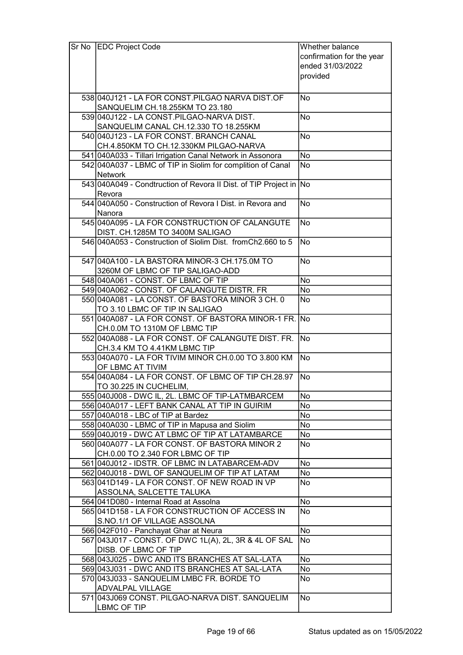| Sr No | <b>EDC Project Code</b>                                                        | Whether balance           |
|-------|--------------------------------------------------------------------------------|---------------------------|
|       |                                                                                | confirmation for the year |
|       |                                                                                | ended 31/03/2022          |
|       |                                                                                | provided                  |
|       |                                                                                |                           |
|       | 538 040 J121 - LA FOR CONST. PILGAO NARVA DIST. OF                             | No                        |
|       | SANQUELIM CH.18.255KM TO 23.180                                                |                           |
|       | 539 040 J122 - LA CONST. PILGAO-NARVA DIST.                                    | <b>No</b>                 |
|       | SANQUELIM CANAL CH.12.330 TO 18.255KM                                          |                           |
|       | 540 040 J123 - LA FOR CONST. BRANCH CANAL                                      | <b>No</b>                 |
|       | CH.4.850KM TO CH.12.330KM PILGAO-NARVA                                         |                           |
|       | 541 040 A033 - Tillari Irrigation Canal Network in Assonora                    | <b>No</b>                 |
|       | 542 040 A037 - LBMC of TIP in Siolim for complition of Canal                   | <b>No</b>                 |
|       | <b>Network</b>                                                                 |                           |
|       | 543 040 A049 - Condtruction of Revora II Dist. of TIP Project in No            |                           |
|       | Revora                                                                         |                           |
|       | 544 040 A050 - Construction of Revora I Dist. in Revora and                    | <b>No</b>                 |
|       | Nanora                                                                         |                           |
|       | 545 040 A095 - LA FOR CONSTRUCTION OF CALANGUTE                                | <b>No</b>                 |
|       | DIST. CH.1285M TO 3400M SALIGAO                                                |                           |
|       | 546 040 A053 - Construction of Siolim Dist. from Ch2.660 to 5                  | No                        |
|       | 547 040 A 100 - LA BASTORA MINOR-3 CH. 175.0M TO                               | <b>No</b>                 |
|       | 3260M OF LBMC OF TIP SALIGAO-ADD                                               |                           |
|       | 548 040 A061 - CONST. OF LBMC OF TIP                                           | No                        |
|       | 549 040 A062 - CONST. OF CALANGUTE DISTR. FR                                   | No                        |
|       | 550 040 A081 - LA CONST. OF BASTORA MINOR 3 CH. 0                              | <b>No</b>                 |
|       | TO 3.10 LBMC OF TIP IN SALIGAO                                                 |                           |
|       | 551 040A087 - LA FOR CONST. OF BASTORA MINOR-1 FR. No                          |                           |
|       | CH.0.0M TO 1310M OF LBMC TIP                                                   |                           |
|       | 552 040 A088 - LA FOR CONST. OF CALANGUTE DIST. FR.                            | No                        |
|       | CH.3.4 KM TO 4.41KM LBMC TIP                                                   |                           |
|       | 553 040 A070 - LA FOR TIVIM MINOR CH.0.00 TO 3.800 KM<br>OF LBMC AT TIVIM      | No                        |
|       | 554 040 A084 - LA FOR CONST. OF LBMC OF TIP CH.28.97                           | No.                       |
|       | TO 30.225 IN CUCHELIM,                                                         |                           |
|       | 555 040 J008 - DWC IL, 2L. LBMC OF TIP-LATMBARCEM                              | No                        |
|       | 556 040A017 - LEFT BANK CANAL AT TIP IN GUIRIM                                 | No                        |
|       | 557 040A018 - LBC of TIP at Bardez                                             | No                        |
|       | 558 040A030 - LBMC of TIP in Mapusa and Siolim                                 | No                        |
|       | 559 040 J019 - DWC AT LBMC OF TIP AT LATAMBARCE                                | No                        |
|       | 560 040 A077 - LA FOR CONST. OF BASTORA MINOR 2                                | No                        |
|       | CH.0.00 TO 2.340 FOR LBMC OF TIP                                               |                           |
|       | 561 040 J012 - IDSTR. OF LBMC IN LATABARCEM-ADV                                | <b>No</b>                 |
|       | 562 040 J018 - DWL OF SANQUELIM OF TIP AT LATAM                                | No                        |
|       | 563 041 D149 - LA FOR CONST. OF NEW ROAD IN VP<br>ASSOLNA, SALCETTE TALUKA     | No                        |
|       | 564 041 D080 - Internal Road at Assolna                                        | No                        |
|       | 565 041 D158 - LA FOR CONSTRUCTION OF ACCESS IN                                | No                        |
|       | S.NO.1/1 OF VILLAGE ASSOLNA                                                    |                           |
|       | 566 042 F010 - Panchayat Ghar at Neura                                         | No                        |
|       | 567 043 J017 - CONST. OF DWC 1L(A), 2L, 3R & 4L OF SAL<br>DISB. OF LBMC OF TIP | No                        |
|       | 568 043 J025 - DWC AND ITS BRANCHES AT SAL-LATA                                | No                        |
|       | 569 043 J031 - DWC AND ITS BRANCHES AT SAL-LATA                                | No                        |
|       | 570 043 J033 - SANQUELIM LMBC FR. BORDE TO                                     | No                        |
|       | <b>ADVALPAL VILLAGE</b>                                                        |                           |
|       | 571 043 J069 CONST. PILGAO-NARVA DIST. SANQUELIM                               | No                        |
|       | LBMC OF TIP                                                                    |                           |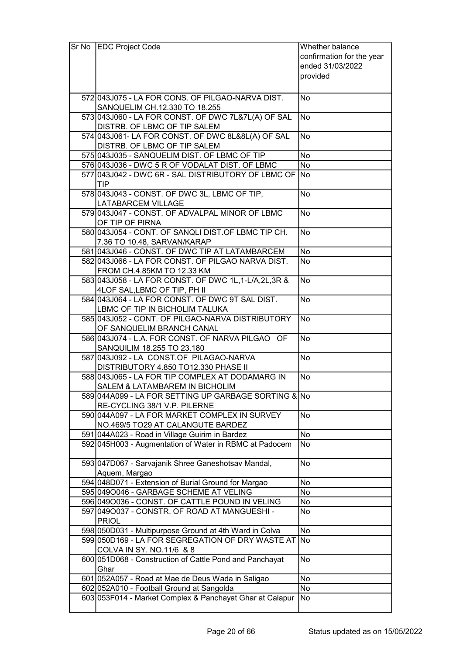| Sr No | <b>EDC Project Code</b>                                                              | Whether balance           |
|-------|--------------------------------------------------------------------------------------|---------------------------|
|       |                                                                                      | confirmation for the year |
|       |                                                                                      | ended 31/03/2022          |
|       |                                                                                      | provided                  |
|       |                                                                                      |                           |
|       | 572 043 J075 - LA FOR CONS. OF PILGAO-NARVA DIST.                                    | <b>No</b>                 |
|       | SANQUELIM CH.12.330 TO 18.255                                                        |                           |
|       | 573 043 060 - LA FOR CONST. OF DWC 7L&7L(A) OF SAL                                   | <b>No</b>                 |
|       | DISTRB. OF LBMC OF TIP SALEM                                                         |                           |
|       | 574 043 J061 - LA FOR CONST. OF DWC 8L&8L(A) OF SAL                                  | <b>No</b>                 |
|       | DISTRB. OF LBMC OF TIP SALEM                                                         |                           |
|       | 575 043 J035 - SANQUELIM DIST. OF LBMC OF TIP                                        | No                        |
|       | 576 043 036 - DWC 5 R OF VODALAT DIST. OF LBMC                                       | <b>No</b>                 |
|       | 577 043 J042 - DWC 6R - SAL DISTRIBUTORY OF LBMC OF No                               |                           |
|       | TIP                                                                                  |                           |
|       | 578 043 J043 - CONST. OF DWC 3L, LBMC OF TIP,                                        | <b>No</b>                 |
|       | <b>LATABARCEM VILLAGE</b>                                                            |                           |
|       | 579 043 J047 - CONST. OF ADVALPAL MINOR OF LBMC                                      | <b>No</b>                 |
|       | OF TIP OF PIRNA                                                                      |                           |
|       | 580 043 J054 - CONT. OF SANQLI DIST. OF LBMC TIP CH.                                 | <b>No</b>                 |
|       | 7.36 TO 10.48, SARVAN/KARAP                                                          |                           |
|       | 581 043 J046 - CONST. OF DWC TIP AT LATAMBARCEM                                      | No                        |
|       | 582 043 J066 - LA FOR CONST. OF PILGAO NARVA DIST.                                   | <b>No</b>                 |
|       | FROM CH.4.85KM TO 12.33 KM                                                           |                           |
|       | 583 043 058 - LA FOR CONST. OF DWC 1L, 1-L/A, 2L, 3R &                               | <b>No</b>                 |
|       | 4LOF SAL, LBMC OF TIP, PH II<br>584 043 J064 - LA FOR CONST. OF DWC 9T SAL DIST.     | <b>No</b>                 |
|       | LBMC OF TIP IN BICHOLIM TALUKA                                                       |                           |
|       | 585 043 J052 - CONT. OF PILGAO-NARVA DISTRIBUTORY                                    | <b>No</b>                 |
|       | OF SANQUELIM BRANCH CANAL                                                            |                           |
|       | 586 043 J074 - L.A. FOR CONST. OF NARVA PILGAO OF                                    | No                        |
|       | SANQUILIM 18.255 TO 23.180                                                           |                           |
|       | 587 043 J092 - LA CONST.OF PILAGAO-NARVA                                             | No                        |
|       | DISTRIBUTORY 4.850 TO12.330 PHASE II                                                 |                           |
|       | 588 043 J065 - LA FOR TIP COMPLEX AT DODAMARG IN                                     | No                        |
|       | SALEM & LATAMBAREM IN BICHOLIM                                                       |                           |
|       | 589 044A099 - LA FOR SETTING UP GARBAGE SORTING & No                                 |                           |
|       | RE-CYCLING 38/1 V.P. PILERNE                                                         |                           |
|       | 590 044A097 - LA FOR MARKET COMPLEX IN SURVEY                                        | <b>No</b>                 |
|       | NO.469/5 TO29 AT CALANGUTE BARDEZ                                                    |                           |
|       | 591 044A023 - Road in Village Guirim in Bardez                                       | No                        |
|       | 592 045 H003 - Augmentation of Water in RBMC at Padocem                              | No                        |
|       |                                                                                      |                           |
|       | 593 047 D067 - Sarvajanik Shree Ganeshotsav Mandal,                                  | <b>No</b>                 |
|       | Aquem, Margao                                                                        |                           |
|       | 594 048 D071 - Extension of Burial Ground for Margao                                 | No                        |
|       | 595 0490046 - GARBAGE SCHEME AT VELING                                               | No                        |
|       | 596 0490036 - CONST. OF CATTLE POUND IN VELING                                       | No                        |
|       | 597 0490037 - CONSTR. OF ROAD AT MANGUESHI -                                         | No                        |
|       | <b>PRIOL</b>                                                                         |                           |
|       | 598 050 D031 - Multipurpose Ground at 4th Ward in Colva                              | <b>No</b>                 |
|       | 599 050 D169 - LA FOR SEGREGATION OF DRY WASTE AT No                                 |                           |
|       | COLVA IN SY. NO.11/6 & 8<br>600 051 D068 - Construction of Cattle Pond and Panchayat | <b>No</b>                 |
|       | Ghar                                                                                 |                           |
|       | 601 052A057 - Road at Mae de Deus Wada in Saligao                                    | No                        |
|       | 602 052A010 - Football Ground at Sangolda                                            | No                        |
|       | 603 053 F014 - Market Complex & Panchayat Ghar at Calapur                            | No                        |
|       |                                                                                      |                           |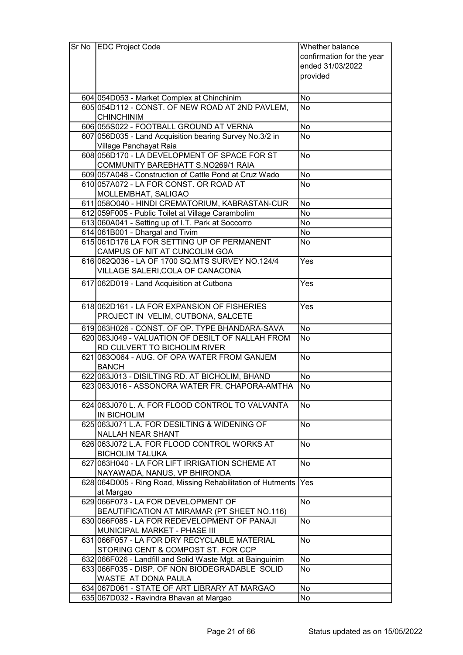| Sr No | <b>EDC Project Code</b>                                      | Whether balance           |
|-------|--------------------------------------------------------------|---------------------------|
|       |                                                              | confirmation for the year |
|       |                                                              | ended 31/03/2022          |
|       |                                                              | provided                  |
|       |                                                              |                           |
|       | 604 054 D053 - Market Complex at Chinchinim                  | No                        |
|       | 605 054 D112 - CONST. OF NEW ROAD AT 2ND PAVLEM,             | <b>No</b>                 |
|       | <b>CHINCHINIM</b>                                            |                           |
|       | 606 055 S022 - FOOTBALL GROUND AT VERNA                      | No                        |
|       | 607 056D035 - Land Acquisition bearing Survey No.3/2 in      | <b>No</b>                 |
|       | Village Panchayat Raia                                       |                           |
|       | 608 056 D170 - LA DEVELOPMENT OF SPACE FOR ST                | <b>No</b>                 |
|       | COMMUNITY BAREBHATT S.NO269/1 RAIA                           |                           |
|       | 609 057A048 - Construction of Cattle Pond at Cruz Wado       | No                        |
|       | 610 057A072 - LA FOR CONST. OR ROAD AT                       | <b>No</b>                 |
|       | MOLLEMBHAT, SALIGAO                                          |                           |
|       | 611 0580040 - HINDI CREMATORIUM, KABRASTAN-CUR               | <b>No</b>                 |
|       | 612 059 F005 - Public Toilet at Village Carambolim           | No                        |
|       | 613 060A041 - Setting up of I.T. Park at Soccorro            | No                        |
|       | 614 061 B001 - Dhargal and Tivim                             | No                        |
|       | 615061D176 LA FOR SETTING UP OF PERMANENT                    | <b>No</b>                 |
|       | CAMPUS OF NIT AT CUNCOLIM GOA                                |                           |
|       | 616 062 Q 036 - LA OF 1700 SQ. MTS SURVEY NO. 124/4          | Yes                       |
|       | VILLAGE SALERI, COLA OF CANACONA                             |                           |
|       | 617 062D019 - Land Acquisition at Cutbona                    | Yes                       |
|       |                                                              |                           |
|       | 618 062D161 - LA FOR EXPANSION OF FISHERIES                  | Yes                       |
|       | PROJECT IN VELIM, CUTBONA, SALCETE                           |                           |
|       | 619 063 H026 - CONST. OF OP. TYPE BHANDARA-SAVA              | <b>No</b>                 |
|       | 620 063 J049 - VALUATION OF DESILT OF NALLAH FROM            | <b>No</b>                 |
|       | RD CULVERT TO BICHOLIM RIVER                                 |                           |
|       | 621 0630064 - AUG. OF OPA WATER FROM GANJEM                  | <b>No</b>                 |
|       | <b>BANCH</b>                                                 |                           |
|       | 622 063 J013 - DISILTING RD. AT BICHOLIM, BHAND              | <b>No</b>                 |
|       | 623 063 J016 - ASSONORA WATER FR. CHAPORA-AMTHA              | No                        |
|       |                                                              |                           |
|       | 624 063 J070 L. A. FOR FLOOD CONTROL TO VALVANTA             | <b>No</b>                 |
|       | <b>IN BICHOLIM</b>                                           |                           |
|       | 625 063 J071 L.A. FOR DESILTING & WIDENING OF                | <b>No</b>                 |
|       | NALLAH NEAR SHANT                                            |                           |
|       | 626 063 J072 L.A. FOR FLOOD CONTROL WORKS AT                 | No                        |
|       | <b>BICHOLIM TALUKA</b>                                       |                           |
|       | 627 063 H040 - LA FOR LIFT IRRIGATION SCHEME AT              | <b>No</b>                 |
|       | NAYAWADA, NANUS, VP BHIRONDA                                 |                           |
|       | 628 064 D005 - Ring Road, Missing Rehabilitation of Hutments | Yes                       |
|       | at Margao                                                    |                           |
|       | 629 066 F073 - LA FOR DEVELOPMENT OF                         | <b>No</b>                 |
|       | BEAUTIFICATION AT MIRAMAR (PT SHEET NO.116)                  |                           |
|       | 630 066 F085 - LA FOR REDEVELOPMENT OF PANAJI                | No                        |
|       | MUNICIPAL MARKET - PHASE III                                 |                           |
|       | 631 066 F057 - LA FOR DRY RECYCLABLE MATERIAL                | <b>No</b>                 |
|       | STORING CENT & COMPOST ST. FOR CCP                           |                           |
|       | 632 066 F026 - Landfill and Solid Waste Mgt. at Bainguinim   | No                        |
|       | 633 066 F035 - DISP. OF NON BIODEGRADABLE SOLID              | <b>No</b>                 |
|       | WASTE AT DONA PAULA                                          |                           |
|       | 634 067 D061 - STATE OF ART LIBRARY AT MARGAO                | No                        |
|       | 635 067 D032 - Ravindra Bhavan at Margao                     | No                        |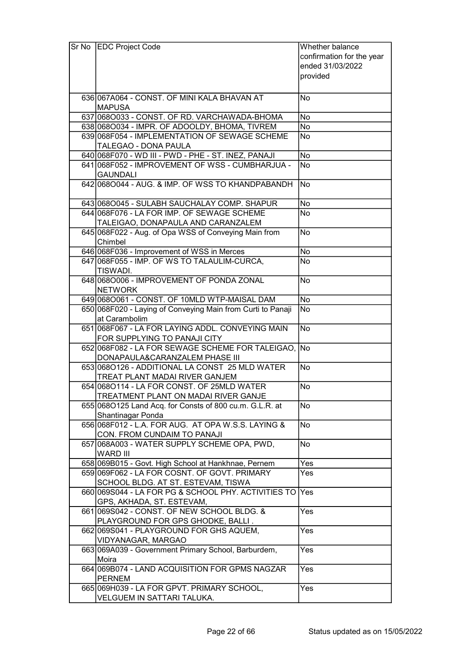| Sr No | <b>EDC Project Code</b>                                      | Whether balance           |
|-------|--------------------------------------------------------------|---------------------------|
|       |                                                              | confirmation for the year |
|       |                                                              | ended 31/03/2022          |
|       |                                                              | provided                  |
|       |                                                              |                           |
|       | 636 067A064 - CONST. OF MINI KALA BHAVAN AT                  | <b>No</b>                 |
|       | <b>MAPUSA</b>                                                |                           |
|       | 637 0680033 - CONST. OF RD. VARCHAWADA-BHOMA                 | No                        |
|       | 638 0680034 - IMPR. OF ADOOLDY, BHOMA, TIVREM                | No                        |
|       | 639 068 F054 - IMPLEMENTATION OF SEWAGE SCHEME               | No                        |
|       | TALEGAO - DONA PAULA                                         |                           |
|       | 640 068 F070 - WD III - PWD - PHE - ST. INEZ, PANAJI         | <b>No</b>                 |
|       | 641 068 F052 - IMPROVEMENT OF WSS - CUMBHARJUA -             | <b>No</b>                 |
|       | <b>GAUNDALI</b>                                              |                           |
|       | 642 068 0044 - AUG. & IMP. OF WSS TO KHANDPABANDH            | No                        |
|       |                                                              |                           |
|       | 643 068 0045 - SULABH SAUCHALAY COMP. SHAPUR                 | No                        |
|       | 644 068 F076 - LA FOR IMP. OF SEWAGE SCHEME                  | No                        |
|       | TALEIGAO, DONAPAULA AND CARANZALEM                           |                           |
|       | 645 068 F022 - Aug. of Opa WSS of Conveying Main from        | <b>No</b>                 |
|       | Chimbel                                                      |                           |
|       | 646 068 F036 - Improvement of WSS in Merces                  | No                        |
|       | 647 068 F055 - IMP. OF WS TO TALAULIM-CURCA,                 | <b>No</b>                 |
|       | TISWADI.                                                     |                           |
|       | 648 0680006 - IMPROVEMENT OF PONDA ZONAL                     | <b>No</b>                 |
|       | <b>NETWORK</b>                                               |                           |
|       | 649 068 0061 - CONST. OF 10 MLD WTP-MAISAL DAM               | No                        |
|       | 650 068 F020 - Laying of Conveying Main from Curti to Panaji | <b>No</b>                 |
|       | at Carambolim                                                |                           |
|       | 651 068 F067 - LA FOR LAYING ADDL. CONVEYING MAIN            | $\overline{No}$           |
|       | FOR SUPPLYING TO PANAJI CITY                                 |                           |
|       | 652 068 F082 - LA FOR SEWAGE SCHEME FOR TALEIGAO, No         |                           |
|       | DONAPAULA&CARANZALEM PHASE III                               |                           |
|       | 653 068 0126 - ADDITIONAL LA CONST 25 MLD WATER              | <b>No</b>                 |
|       | TREAT PLANT MADAI RIVER GANJEM                               |                           |
|       | 654 068 0114 - LA FOR CONST. OF 25 MLD WATER                 | No                        |
|       | <b>TREATMENT PLANT ON MADAI RIVER GANJE</b>                  |                           |
|       | 655 068 0125 Land Acq. for Consts of 800 cu.m. G.L.R. at     | <b>No</b>                 |
|       | Shantinagar Ponda                                            |                           |
|       | 656 068 F012 - L.A. FOR AUG. AT OPA W.S.S. LAYING &          | <b>No</b>                 |
|       | CON. FROM CUNDAIM TO PANAJI                                  |                           |
|       | 657 068A003 - WATER SUPPLY SCHEME OPA, PWD,                  | No                        |
|       | <b>WARD III</b>                                              |                           |
|       | 658 069 B015 - Govt. High School at Hankhnae, Pernem         | Yes                       |
|       | 659 069 F062 - LA FOR COSNT. OF GOVT. PRIMARY                | Yes                       |
|       | SCHOOL BLDG. AT ST. ESTEVAM, TISWA                           |                           |
|       | 660 069 S044 - LA FOR PG & SCHOOL PHY. ACTIVITIES TO Yes     |                           |
|       | GPS, AKHADA, ST. ESTEVAM,                                    |                           |
|       | 661 069 S042 - CONST. OF NEW SCHOOL BLDG. &                  | Yes                       |
|       | PLAYGROUND FOR GPS GHODKE, BALLI.                            |                           |
|       | 662 069 S041 - PLAYGROUND FOR GHS AQUEM,                     | Yes                       |
|       | VIDYANAGAR, MARGAO                                           |                           |
|       | 663 069 A039 - Government Primary School, Barburdem.         | Yes                       |
|       | Moira                                                        |                           |
|       | 664 069 B074 - LAND ACQUISITION FOR GPMS NAGZAR              | Yes                       |
|       | <b>PERNEM</b>                                                |                           |
|       | 665 069 H039 - LA FOR GPVT. PRIMARY SCHOOL,                  | Yes                       |
|       | VELGUEM IN SATTARI TALUKA.                                   |                           |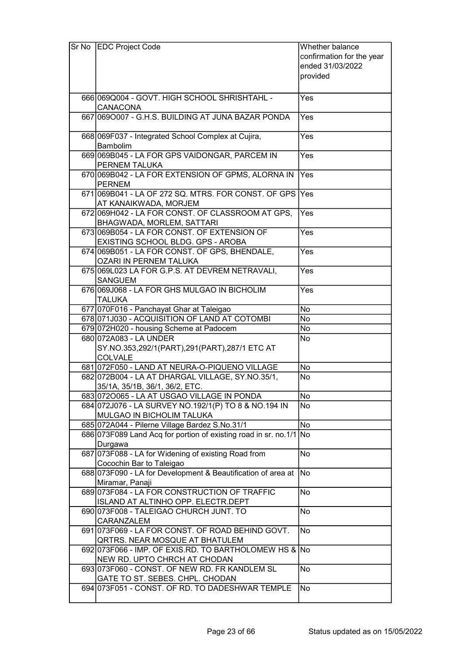| Sr No | <b>EDC Project Code</b>                                                        | Whether balance           |
|-------|--------------------------------------------------------------------------------|---------------------------|
|       |                                                                                | confirmation for the year |
|       |                                                                                | ended 31/03/2022          |
|       |                                                                                | provided                  |
|       |                                                                                |                           |
|       | 666069Q004 - GOVT. HIGH SCHOOL SHRISHTAHL -                                    | Yes                       |
|       | <b>CANACONA</b>                                                                |                           |
|       | 667 069 0007 - G.H.S. BUILDING AT JUNA BAZAR PONDA                             | Yes                       |
|       | 668 069 F037 - Integrated School Complex at Cujira,                            | Yes                       |
|       | Bambolim                                                                       |                           |
|       | 669 069 B045 - LA FOR GPS VAIDONGAR, PARCEM IN                                 | Yes                       |
|       | <b>PERNEM TALUKA</b>                                                           |                           |
|       | 670 069 B042 - LA FOR EXTENSION OF GPMS, ALORNA IN                             | Yes                       |
|       | <b>PERNEM</b><br>671 069 B041 - LA OF 272 SQ. MTRS. FOR CONST. OF GPS          | Yes                       |
|       | AT KANAIKWADA, MORJEM                                                          |                           |
|       | 672 069 H042 - LA FOR CONST. OF CLASSROOM AT GPS,                              | Yes                       |
|       | <b>BHAGWADA, MORLEM, SATTARI</b>                                               |                           |
|       | 673 069 B054 - LA FOR CONST. OF EXTENSION OF                                   | Yes                       |
|       | EXISTING SCHOOL BLDG. GPS - AROBA                                              |                           |
|       | 674 069 B051 - LA FOR CONST. OF GPS, BHENDALE,                                 | Yes                       |
|       | OZARI IN PERNEM TALUKA                                                         |                           |
|       | 675 069 L023 LA FOR G.P.S. AT DEVREM NETRAVALI,                                | Yes                       |
|       | <b>SANGUEM</b>                                                                 |                           |
|       | 676 069 J068 - LA FOR GHS MULGAO IN BICHOLIM<br><b>TALUKA</b>                  | Yes                       |
|       | 677 070 F016 - Panchayat Ghar at Taleigao                                      | No                        |
|       | 678 071 J030 - ACQUISITION OF LAND AT COTOMBI                                  | No                        |
|       | 679 072H020 - housing Scheme at Padocem                                        | No                        |
|       | 680 072 A083 - LA UNDER                                                        | No                        |
|       | SY.NO.353,292/1(PART),291(PART),287/1 ETC AT                                   |                           |
|       | <b>COLVALE</b>                                                                 |                           |
|       | 681 072F050 - LAND AT NEURA-O-PIQUENO VILLAGE                                  | No                        |
|       | 682 072B004 - LA AT DHARGAL VILLAGE, SY.NO.35/1,                               | No                        |
|       | 35/1A, 35/1B, 36/1, 36/2, ETC.                                                 |                           |
|       | 683 0720065 - LA AT USGAO VILLAGE IN PONDA                                     | No                        |
|       | 684 072J076 - LA SURVEY NO.192/1(P) TO 8 & NO.194 IN                           | No                        |
|       | MULGAO IN BICHOLIM TALUKA                                                      |                           |
|       | 685 072A044 - Pilerne Village Bardez S.No.31/1                                 | $\overline{No}$           |
|       | 686 073 F089 Land Acq for portion of existing road in sr. no.1/1               | No                        |
|       | Durgawa<br>687 073 F088 - LA for Widening of existing Road from                | No                        |
|       | Cocochin Bar to Taleigao                                                       |                           |
|       | 688 073 F090 - LA for Development & Beautification of area at                  | No                        |
|       | Miramar, Panaji                                                                |                           |
|       | 689 073 F084 - LA FOR CONSTRUCTION OF TRAFFIC                                  | No                        |
|       | ISLAND AT ALTINHO OPP. ELECTR.DEPT                                             |                           |
|       | 690 073 F008 - TALEIGAO CHURCH JUNT. TO                                        | No                        |
|       | CARANZALEM                                                                     |                           |
|       | 691 073 F069 - LA FOR CONST. OF ROAD BEHIND GOVT.                              | No                        |
|       | QRTRS. NEAR MOSQUE AT BHATULEM                                                 |                           |
|       | 692 073 F066 - IMP. OF EXIS.RD. TO BARTHOLOMEW HS & No                         |                           |
|       | NEW RD. UPTO CHRCH AT CHODAN<br>693 073 F060 - CONST. OF NEW RD. FR KANDLEM SL | No                        |
|       | GATE TO ST. SEBES. CHPL. CHODAN                                                |                           |
|       | 694 073 F051 - CONST. OF RD. TO DADESHWAR TEMPLE                               | No                        |
|       |                                                                                |                           |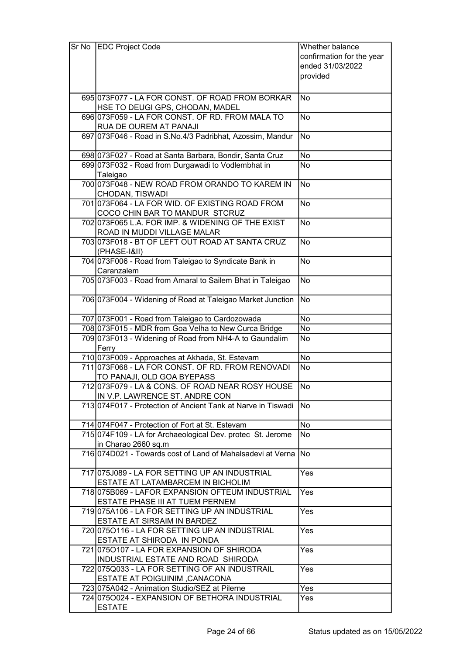| $Sr$ No | <b>EDC Project Code</b>                                          | Whether balance           |
|---------|------------------------------------------------------------------|---------------------------|
|         |                                                                  | confirmation for the year |
|         |                                                                  | ended 31/03/2022          |
|         |                                                                  | provided                  |
|         |                                                                  |                           |
|         | 695 073 F077 - LA FOR CONST. OF ROAD FROM BORKAR                 | No                        |
|         | HSE TO DEUGI GPS, CHODAN, MADEL                                  |                           |
|         |                                                                  |                           |
|         | 696 073 F059 - LA FOR CONST. OF RD. FROM MALA TO                 | <b>No</b>                 |
|         | RUA DE OUREM AT PANAJI                                           |                           |
|         | 697 073 F046 - Road in S.No.4/3 Padribhat, Azossim, Mandur       | <b>No</b>                 |
|         | 698 073 F027 - Road at Santa Barbara, Bondir, Santa Cruz         | <b>No</b>                 |
|         | 699 073 F032 - Road from Durgawadi to Vodlembhat in              | <b>No</b>                 |
|         |                                                                  |                           |
|         | Taleigao<br>700 073 F048 - NEW ROAD FROM ORANDO TO KAREM IN      |                           |
|         |                                                                  | <b>No</b>                 |
|         | CHODAN, TISWADI                                                  |                           |
|         | 701 073 F064 - LA FOR WID. OF EXISTING ROAD FROM                 | <b>No</b>                 |
|         | COCO CHIN BAR TO MANDUR STCRUZ                                   |                           |
|         | 702 073 F065 L.A. FOR IMP. & WIDENING OF THE EXIST               | <b>No</b>                 |
|         | ROAD IN MUDDI VILLAGE MALAR                                      |                           |
|         | 703 073 F018 - BT OF LEFT OUT ROAD AT SANTA CRUZ                 | <b>No</b>                 |
|         | (PHASE-I&II)                                                     |                           |
|         | 704 073 F006 - Road from Taleigao to Syndicate Bank in           | <b>No</b>                 |
|         | Caranzalem                                                       |                           |
|         | 705 073 F003 - Road from Amaral to Sailem Bhat in Taleigao       | No                        |
|         |                                                                  |                           |
|         | 706 073 F004 - Widening of Road at Taleigao Market Junction      | <b>No</b>                 |
|         |                                                                  |                           |
|         | 707 073 F001 - Road from Taleigao to Cardozowada                 | <b>No</b>                 |
|         | 708 073 F015 - MDR from Goa Velha to New Curca Bridge            | No                        |
|         | 709 073 F013 - Widening of Road from NH4-A to Gaundalim<br>Ferry | <b>No</b>                 |
|         | 710 073 F009 - Approaches at Akhada, St. Estevam                 | No                        |
|         | 711 073 F068 - LA FOR CONST. OF RD. FROM RENOVADI                | No                        |
|         | TO PANAJI, OLD GOA BYEPASS                                       |                           |
|         | 712 073 F079 - LA & CONS. OF ROAD NEAR ROSY HOUSE                | $\overline{\text{No}}$    |
|         | IN V.P. LAWRENCE ST. ANDRE CON                                   |                           |
|         | 713 074 F017 - Protection of Ancient Tank at Narve in Tiswadi No |                           |
|         |                                                                  |                           |
|         | 714 074 F047 - Protection of Fort at St. Estevam                 | <b>No</b>                 |
|         | 715 074 F109 - LA for Archaeological Dev. protec St. Jerome      | <b>No</b>                 |
|         | in Charao 2660 sq.m                                              |                           |
|         | 716 074 D021 - Towards cost of Land of Mahalsadevi at Verna      | <b>No</b>                 |
|         |                                                                  |                           |
|         | 717 075 J089 - LA FOR SETTING UP AN INDUSTRIAL                   | Yes                       |
|         | ESTATE AT LATAMBARCEM IN BICHOLIM                                |                           |
|         | 718 075 B069 - LAFOR EXPANSION OF TEUM INDUSTRIAL                | Yes                       |
|         | ESTATE PHASE III AT TUEM PERNEM                                  |                           |
|         | 719 075A106 - LA FOR SETTING UP AN INDUSTRIAL                    | Yes                       |
|         | ESTATE AT SIRSAIM IN BARDEZ                                      |                           |
|         | 720 075 0116 - LA FOR SETTING UP AN INDUSTRIAL                   | Yes                       |
|         | ESTATE AT SHIRODA IN PONDA                                       |                           |
|         | 721 0750107 - LA FOR EXPANSION OF SHIRODA                        | Yes                       |
|         | INDUSTRIAL ESTATE AND ROAD SHIRODA                               |                           |
|         | 722 075 Q033 - LA FOR SETTING OF AN INDUSTRAIL                   | Yes                       |
|         | <b>ESTATE AT POIGUINIM, CANACONA</b>                             |                           |
|         | 723 075A042 - Animation Studio/SEZ at Pilerne                    | Yes                       |
|         | 724 075 0024 - EXPANSION OF BETHORA INDUSTRIAL                   | Yes                       |
|         | <b>ESTATE</b>                                                    |                           |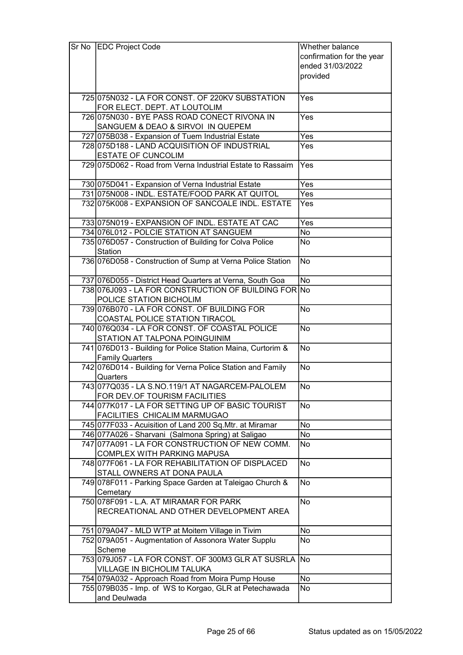| Sr No   EDC Project Code                                     | Whether balance           |
|--------------------------------------------------------------|---------------------------|
|                                                              | confirmation for the year |
|                                                              | ended 31/03/2022          |
|                                                              | provided                  |
|                                                              |                           |
| 725 075 N032 - LA FOR CONST. OF 220 KV SUBSTATION            | Yes                       |
|                                                              |                           |
| FOR ELECT. DEPT. AT LOUTOLIM                                 |                           |
| 726 075 NO30 - BYE PASS ROAD CONECT RIVONA IN                | Yes                       |
| SANGUEM & DEAO & SIRVOI IN QUEPEM                            |                           |
| 727 075B038 - Expansion of Tuem Industrial Estate            | Yes                       |
| 728 075 D188 - LAND ACQUISITION OF INDUSTRIAL                | Yes                       |
| <b>ESTATE OF CUNCOLIM</b>                                    |                           |
| 729 075 D062 - Road from Verna Industrial Estate to Rassaim  | Yes                       |
|                                                              |                           |
| 730 075 D041 - Expansion of Verna Industrial Estate          | Yes                       |
| 731 075N008 - INDL. ESTATE/FOOD PARK AT QUITOL               | Yes                       |
| 732 075K008 - EXPANSION OF SANCOALE INDL. ESTATE             | Yes                       |
|                                                              |                           |
| 733 075 N019 - EXPANSION OF INDL. ESTATE AT CAC              | Yes                       |
| 734 076 L012 - POLCIE STATION AT SANGUEM                     | No                        |
| 735 076 D057 - Construction of Building for Colva Police     | <b>No</b>                 |
| Station                                                      |                           |
| 736 076 D058 - Construction of Sump at Verna Police Station  | <b>No</b>                 |
|                                                              |                           |
| 737 076 D055 - District Head Quarters at Verna, South Goa    | No                        |
| 738 076 J093 - LA FOR CONSTRUCTION OF BUILDING FOR No        |                           |
| POLICE STATION BICHOLIM                                      |                           |
| 739 076 B070 - LA FOR CONST. OF BUILDING FOR                 | <b>No</b>                 |
| COASTAL POLICE STATION TIRACOL                               |                           |
| 740 076 Q034 - LA FOR CONST. OF COASTAL POLICE               | <b>No</b>                 |
| STATION AT TALPONA POINGUINIM                                |                           |
| 741 076 D013 - Building for Police Station Maina, Curtorim & | <b>No</b>                 |
| <b>Family Quarters</b>                                       |                           |
| 742 076 D014 - Building for Verna Police Station and Family  | <b>No</b>                 |
| Quarters                                                     |                           |
| 743 077 Q 035 - LA S.NO.119/1 AT NAGARCEM-PALOLEM            | No                        |
| FOR DEV.OF TOURISM FACILITIES                                |                           |
| 744 077K017 - LA FOR SETTING UP OF BASIC TOURIST             | <b>No</b>                 |
| FACILITIES CHICALIM MARMUGAO                                 |                           |
| 745 077 F033 - Acuisition of Land 200 Sq. Mtr. at Miramar    | No                        |
| 746 077A026 - Sharvani (Salmona Spring) at Saligao           | No                        |
| 747 077A091 - LA FOR CONSTRUCTION OF NEW COMM.               | No                        |
| COMPLEX WITH PARKING MAPUSA                                  |                           |
| 748 077 F061 - LA FOR REHABILITATION OF DISPLACED            | No                        |
|                                                              |                           |
| STALL OWNERS AT DONA PAULA                                   | No                        |
| 749 078 F011 - Parking Space Garden at Taleigao Church &     |                           |
| Cemetary<br>750 078 F091 - L.A. AT MIRAMAR FOR PARK          | <b>No</b>                 |
|                                                              |                           |
| RECREATIONAL AND OTHER DEVELOPMENT AREA                      |                           |
| 751 079A047 - MLD WTP at Moitem Village in Tivim             | No                        |
| 752 079A051 - Augmentation of Assonora Water Supplu          | No                        |
| Scheme                                                       |                           |
| 753 079 J057 - LA FOR CONST. OF 300M3 GLR AT SUSRLA No       |                           |
|                                                              |                           |
| VILLAGE IN BICHOLIM TALUKA                                   |                           |
| 754 079 A032 - Approach Road from Moira Pump House           | No                        |
| 755 079 B035 - Imp. of WS to Korgao, GLR at Petechawada      | No                        |
| and Deulwada                                                 |                           |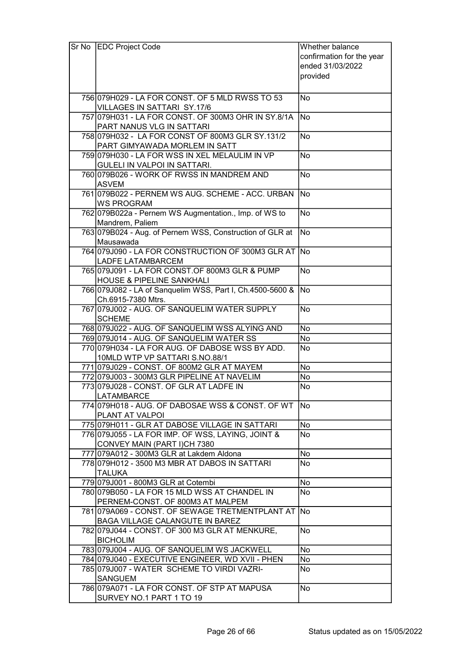| $Sr$ No | <b>EDC Project Code</b>                                                              | Whether balance           |
|---------|--------------------------------------------------------------------------------------|---------------------------|
|         |                                                                                      | confirmation for the year |
|         |                                                                                      | ended 31/03/2022          |
|         |                                                                                      | provided                  |
|         |                                                                                      |                           |
|         | 756 079 H029 - LA FOR CONST. OF 5 MLD RWSS TO 53                                     | No                        |
|         | <b>VILLAGES IN SATTARI SY.17/6</b>                                                   |                           |
|         | 757 079 H031 - LA FOR CONST. OF 300M3 OHR IN SY.8/1A                                 | No                        |
|         | PART NANUS VLG IN SATTARI                                                            |                           |
|         | 758 079 H032 - LA FOR CONST OF 800M3 GLR SY.131/2                                    | <b>No</b>                 |
|         | PART GIMYAWADA MORLEM IN SATT                                                        |                           |
|         | 759 079 H030 - LA FOR WSS IN XEL MELAULIM IN VP                                      | <b>No</b>                 |
|         | GULELI IN VALPOI IN SATTARI.                                                         |                           |
|         | 760 079 B026 - WORK OF RWSS IN MANDREM AND                                           | <b>No</b>                 |
|         | <b>ASVEM</b>                                                                         |                           |
|         | 761 079 B022 - PERNEM WS AUG. SCHEME - ACC. URBAN                                    | <b>No</b>                 |
|         | <b>WS PROGRAM</b>                                                                    |                           |
|         | 762 079 B022a - Pernem WS Augmentation., Imp. of WS to                               | <b>No</b>                 |
|         | Mandrem, Paliem                                                                      | <b>No</b>                 |
|         | 763 079 B024 - Aug. of Pernem WSS, Construction of GLR at<br>Mausawada               |                           |
|         | 764 079 J090 - LA FOR CONSTRUCTION OF 300M3 GLR AT                                   | <b>No</b>                 |
|         | <b>LADFE LATAMBARCEM</b>                                                             |                           |
|         | 765 079 J091 - LA FOR CONST. OF 800M3 GLR & PUMP                                     | <b>No</b>                 |
|         | <b>HOUSE &amp; PIPELINE SANKHALI</b>                                                 |                           |
|         | 766 079 J082 - LA of Sanquelim WSS, Part I, Ch.4500-5600 &                           | <b>No</b>                 |
|         | Ch.6915-7380 Mtrs.                                                                   |                           |
|         | 767 079 J002 - AUG. OF SANQUELIM WATER SUPPLY                                        | <b>No</b>                 |
|         | <b>SCHEME</b>                                                                        |                           |
|         | 768 079 J022 - AUG. OF SANQUELIM WSS ALYING AND                                      | No                        |
|         | 769 079 J014 - AUG. OF SANQUELIM WATER SS                                            | No                        |
|         | 770 079 H034 - LA FOR AUG. OF DABOSE WSS BY ADD.                                     | No                        |
|         | 10MLD WTP VP SATTARI S.NO.88/1                                                       |                           |
|         | 771 079 J029 - CONST. OF 800M2 GLR AT MAYEM                                          | No                        |
|         | 772 079 J003 - 300 M3 GLR PIPELINE AT NAVELIM                                        | No                        |
|         | 773 079 J028 - CONST. OF GLR AT LADFE IN                                             | No                        |
|         | <b>LATAMBARCE</b>                                                                    |                           |
|         | 774 079 H018 - AUG. OF DABOSAE WSS & CONST. OF WT                                    | No                        |
|         | PLANT AT VALPOI                                                                      |                           |
|         | 775 079 H011 - GLR AT DABOSE VILLAGE IN SATTARI                                      | No                        |
|         | 776 079 055 - LA FOR IMP. OF WSS, LAYING, JOINT &                                    | No                        |
|         | CONVEY MAIN (PART I)CH 7380                                                          |                           |
|         | 777 079A012 - 300M3 GLR at Lakdem Aldona                                             | No                        |
|         | 778 079 H012 - 3500 M3 MBR AT DABOS IN SATTARI                                       | No                        |
|         | <b>TALUKA</b>                                                                        |                           |
|         | 779 079 J001 - 800 M3 GLR at Cotembi                                                 | No                        |
|         | 780 079 B050 - LA FOR 15 MLD WSS AT CHANDEL IN                                       | No                        |
|         | PERNEM-CONST. OF 800M3 AT MALPEM<br>781 079 A069 - CONST. OF SEWAGE TRETMENTPLANT AT | No                        |
|         | BAGA VILLAGE CALANGUTE IN BAREZ                                                      |                           |
|         | 782 079 J044 - CONST. OF 300 M3 GLR AT MENKURE,                                      | No                        |
|         | <b>BICHOLIM</b>                                                                      |                           |
|         | 783 079 J004 - AUG. OF SANQUELIM WS JACKWELL                                         | No                        |
|         | 784 079 J040 - EXECUTIVE ENGINEER, WD XVII - PHEN                                    | No                        |
|         | 785 079 J007 - WATER SCHEME TO VIRDI VAZRI-                                          | No                        |
|         | <b>SANGUEM</b>                                                                       |                           |
|         | 786 079 A071 - LA FOR CONST. OF STP AT MAPUSA                                        | No                        |
|         | SURVEY NO.1 PART 1 TO 19                                                             |                           |
|         |                                                                                      |                           |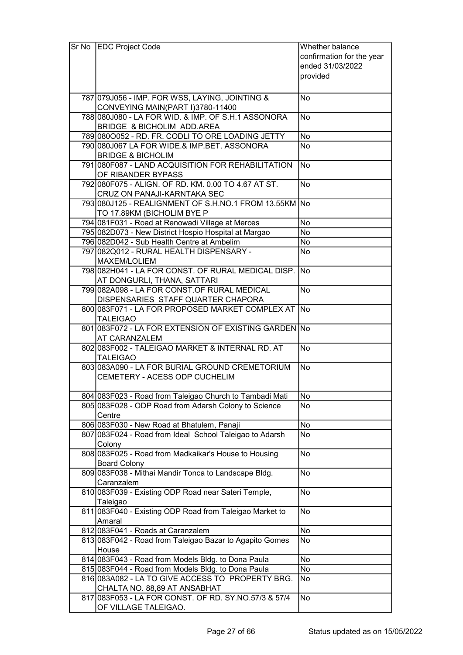| Sr No | <b>EDC Project Code</b>                                             | Whether balance           |  |  |
|-------|---------------------------------------------------------------------|---------------------------|--|--|
|       |                                                                     | confirmation for the year |  |  |
|       |                                                                     | ended 31/03/2022          |  |  |
|       |                                                                     | provided                  |  |  |
|       |                                                                     |                           |  |  |
|       | 787 079 J056 - IMP. FOR WSS, LAYING, JOINTING &                     | <b>No</b>                 |  |  |
|       | CONVEYING MAIN(PART I)3780-11400                                    |                           |  |  |
|       | 788 080 J080 - LA FOR WID. & IMP. OF S.H.1 ASSONORA                 | <b>No</b>                 |  |  |
|       | <b>BRIDGE &amp; BICHOLIM ADD.AREA</b>                               |                           |  |  |
|       | 789 080 0052 - RD. FR. CODLI TO ORE LOADING JETTY                   | No                        |  |  |
|       | 790 080 J067 LA FOR WIDE.& IMP.BET. ASSONORA                        | <b>No</b>                 |  |  |
|       | <b>BRIDGE &amp; BICHOLIM</b>                                        |                           |  |  |
|       | 791 080 F087 - LAND ACQUISITION FOR REHABILITATION                  | <b>No</b>                 |  |  |
|       | OF RIBANDER BYPASS                                                  |                           |  |  |
|       | 792 080 F075 - ALIGN. OF RD. KM. 0.00 TO 4.67 AT ST.                | <b>No</b>                 |  |  |
|       | <b>CRUZ ON PANAJI-KARNTAKA SEC</b>                                  |                           |  |  |
|       | 793 080 J125 - REALIGNMENT OF S.H.NO.1 FROM 13.55KM No              |                           |  |  |
|       | TO 17.89KM (BICHOLIM BYE P                                          |                           |  |  |
|       | 794 081 F031 - Road at Renowadi Village at Merces                   | No                        |  |  |
|       | 795 082D073 - New District Hospio Hospital at Margao                | <b>No</b>                 |  |  |
|       | 796 082D042 - Sub Health Centre at Ambelim                          | No                        |  |  |
|       | 797 082 Q 012 - RURAL HEALTH DISPENSARY -                           | <b>No</b>                 |  |  |
|       | MAXEM/LOLIEM                                                        |                           |  |  |
|       | 798 082 H041 - LA FOR CONST. OF RURAL MEDICAL DISP.                 | <b>No</b>                 |  |  |
|       | AT DONGURLI, THANA, SATTARI                                         |                           |  |  |
|       | 799 082A098 - LA FOR CONST.OF RURAL MEDICAL                         | <b>No</b>                 |  |  |
|       | DISPENSARIES STAFF QUARTER CHAPORA                                  |                           |  |  |
|       | 800 083 F071 - LA FOR PROPOSED MARKET COMPLEX AT                    | No                        |  |  |
|       | <b>TALEIGAO</b>                                                     |                           |  |  |
|       | 801 083 F072 - LA FOR EXTENSION OF EXISTING GARDEN No               |                           |  |  |
|       | <b>AT CARANZALEM</b>                                                |                           |  |  |
|       | 802 083 F002 - TALEIGAO MARKET & INTERNAL RD. AT<br><b>TALEIGAO</b> | <b>No</b>                 |  |  |
|       | 803 083A090 - LA FOR BURIAL GROUND CREMETORIUM                      | <b>No</b>                 |  |  |
|       | CEMETERY - ACESS ODP CUCHELIM                                       |                           |  |  |
|       |                                                                     |                           |  |  |
|       | 804 083F023 - Road from Taleigao Church to Tambadi Mati             | No                        |  |  |
|       | 805 083 F028 - ODP Road from Adarsh Colony to Science               | No                        |  |  |
|       | Centre                                                              |                           |  |  |
|       | 806 083 F030 - New Road at Bhatulem, Panaji                         | No                        |  |  |
|       | 807 083 F024 - Road from Ideal School Taleigao to Adarsh            | No                        |  |  |
|       | Colony                                                              |                           |  |  |
|       | 808 083 F025 - Road from Madkaikar's House to Housing               | <b>No</b>                 |  |  |
|       | <b>Board Colony</b>                                                 |                           |  |  |
|       | 809 083 F038 - Mithai Mandir Tonca to Landscape Bldg.               | <b>No</b>                 |  |  |
|       | Caranzalem                                                          |                           |  |  |
|       | 810 083 F039 - Existing ODP Road near Sateri Temple,                | No                        |  |  |
|       | Taleigao                                                            |                           |  |  |
|       | 811 083 F040 - Existing ODP Road from Taleigao Market to            | No                        |  |  |
|       | Amaral                                                              |                           |  |  |
|       | 812 083 F041 - Roads at Caranzalem                                  | No                        |  |  |
|       | 813 083 F042 - Road from Taleigao Bazar to Agapito Gomes            | No                        |  |  |
|       | House                                                               |                           |  |  |
|       | 814 083 F043 - Road from Models Bldg. to Dona Paula                 | No                        |  |  |
|       | 815 083 F044 - Road from Models Bldg. to Dona Paula                 | No                        |  |  |
|       | 816 083A082 - LA TO GIVE ACCESS TO PROPERTY BRG.                    | No                        |  |  |
|       | CHALTA NO. 88,89 AT ANSABHAT                                        |                           |  |  |
|       | 817 083 F053 - LA FOR CONST. OF RD. SY. NO. 57/3 & 57/4             | <b>No</b>                 |  |  |
|       | OF VILLAGE TALEIGAO.                                                |                           |  |  |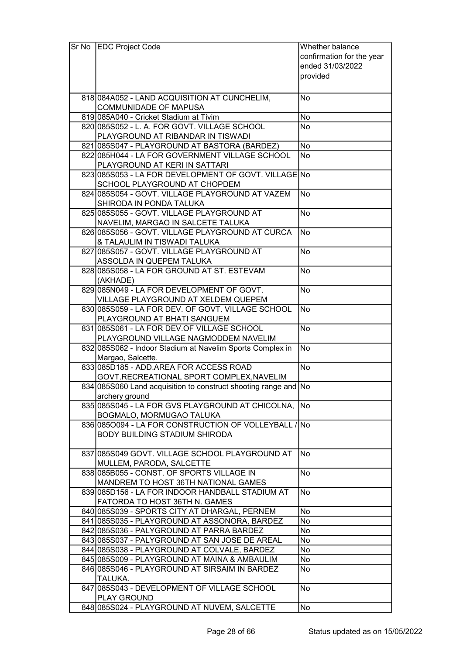| Sr No | <b>EDC Project Code</b>                                                            | Whether balance           |
|-------|------------------------------------------------------------------------------------|---------------------------|
|       |                                                                                    | confirmation for the year |
|       |                                                                                    | ended 31/03/2022          |
|       |                                                                                    | provided                  |
|       |                                                                                    |                           |
|       |                                                                                    |                           |
|       | 818 084A052 - LAND ACQUISITION AT CUNCHELIM,                                       | No                        |
|       | <b>COMMUNIDADE OF MAPUSA</b>                                                       |                           |
|       | 819 085 A040 - Cricket Stadium at Tivim                                            | No                        |
|       | 820 085 S052 - L. A. FOR GOVT. VILLAGE SCHOOL                                      | No                        |
|       | PLAYGROUND AT RIBANDAR IN TISWADI                                                  |                           |
|       | 821 085 S047 - PLAYGROUND AT BASTORA (BARDEZ)                                      | <b>No</b>                 |
|       | 822 085 H044 - LA FOR GOVERNMENT VILLAGE SCHOOL                                    | <b>No</b>                 |
|       | PLAYGROUND AT KERI IN SATTARI                                                      |                           |
|       | 823 085 S053 - LA FOR DEVELOPMENT OF GOVT. VILLAGE No                              |                           |
|       | SCHOOL PLAYGROUND AT CHOPDEM                                                       |                           |
|       | 824 085 S054 - GOVT. VILLAGE PLAYGROUND AT VAZEM                                   | <b>No</b>                 |
|       | SHIRODA IN PONDA TALUKA                                                            |                           |
|       | 825 085 S055 - GOVT. VILLAGE PLAYGROUND AT                                         | <b>No</b>                 |
|       | NAVELIM, MARGAO IN SALCETE TALUKA                                                  |                           |
|       | 826 085 S056 - GOVT. VILLAGE PLAYGROUND AT CURCA                                   | <b>No</b>                 |
|       | & TALAULIM IN TISWADI TALUKA                                                       |                           |
|       | 827 085 S057 - GOVT. VILLAGE PLAYGROUND AT                                         | N <sub>o</sub>            |
|       | ASSOLDA IN QUEPEM TALUKA                                                           |                           |
|       | 828 085 S058 - LA FOR GROUND AT ST. ESTEVAM                                        | <b>No</b>                 |
|       | (AKHADE)                                                                           |                           |
|       | 829 085 N049 - LA FOR DEVELOPMENT OF GOVT.                                         | No                        |
|       | VILLAGE PLAYGROUND AT XELDEM QUEPEM                                                |                           |
|       | 830 085 S059 - LA FOR DEV. OF GOVT. VILLAGE SCHOOL                                 | <b>No</b>                 |
|       | PLAYGROUND AT BHATI SANGUEM                                                        |                           |
|       | 831 085 S061 - LA FOR DEV. OF VILLAGE SCHOOL                                       | $\overline{No}$           |
|       | PLAYGROUND VILLAGE NAGMODDEM NAVELIM                                               |                           |
|       | 832 085 S062 - Indoor Stadium at Navelim Sports Complex in                         | <b>No</b>                 |
|       | Margao, Salcette.                                                                  |                           |
|       | 833 085 D185 - ADD AREA FOR ACCESS ROAD                                            | <b>No</b>                 |
|       | GOVT.RECREATIONAL SPORT COMPLEX, NAVELIM                                           |                           |
|       | 834 085 S060 Land acquisition to construct shooting range and No                   |                           |
|       | archery ground                                                                     |                           |
|       | 835 085 S045 - LA FOR GVS PLAYGROUND AT CHICOLNA,                                  | No                        |
|       |                                                                                    |                           |
|       | BOGMALO, MORMUGAO TALUKA<br>836 085 0094 - LA FOR CONSTRUCTION OF VOLLEY BALL / No |                           |
|       |                                                                                    |                           |
|       | <b>BODY BUILDING STADIUM SHIRODA</b>                                               |                           |
|       |                                                                                    |                           |
|       | 837 085 S049 GOVT. VILLAGE SCHOOL PLAYGROUND AT                                    | No                        |
|       | MULLEM, PARODA, SALCETTE                                                           |                           |
|       | 838 085 B055 - CONST, OF SPORTS VILLAGE IN                                         | <b>No</b>                 |
|       | MANDREM TO HOST 36TH NATIONAL GAMES                                                |                           |
|       | 839 085 D156 - LA FOR INDOOR HANDBALL STADIUM AT                                   | No                        |
|       | FATORDA TO HOST 36TH N. GAMES                                                      |                           |
|       | 840 085 S039 - SPORTS CITY AT DHARGAL, PERNEM                                      | No                        |
|       | 841 085 S035 - PLAYGROUND AT ASSONORA, BARDEZ                                      | No                        |
|       | 842 085S036 - PALYGROUND AT PARRA BARDEZ                                           | No                        |
|       | 843 085 S037 - PALYGROUND AT SAN JOSE DE AREAL                                     | No                        |
|       | 844 085 S038 - PLAYGROUND AT COLVALE, BARDEZ                                       | No                        |
|       | 845 085 S009 - PLAYGROUND AT MAINA & AMBAULIM                                      | No                        |
|       | 846 085 S046 - PLAYGROUND AT SIRSAIM IN BARDEZ                                     | No                        |
|       | TALUKA.                                                                            |                           |
|       | 847 085S043 - DEVELOPMENT OF VILLAGE SCHOOL                                        | <b>No</b>                 |
|       | <b>PLAY GROUND</b>                                                                 |                           |
|       | 848 085 S024 - PLAYGROUND AT NUVEM, SALCETTE                                       | No                        |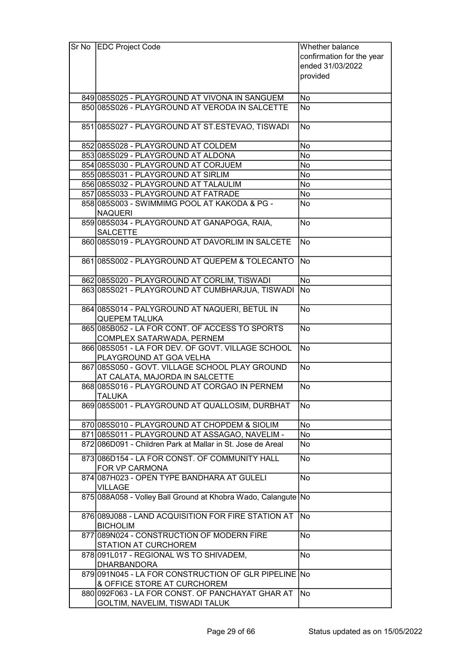| Sr No EDC Project Code                                                            | Whether balance           |
|-----------------------------------------------------------------------------------|---------------------------|
|                                                                                   | confirmation for the year |
|                                                                                   | ended 31/03/2022          |
|                                                                                   | provided                  |
|                                                                                   |                           |
| 849 085 S025 - PLAYGROUND AT VIVONA IN SANGUEM                                    | No                        |
| 850 085 S026 - PLAYGROUND AT VERODA IN SALCETTE                                   | <b>No</b>                 |
|                                                                                   |                           |
| 851 085 S027 - PLAYGROUND AT ST. ESTEVAO, TISWADI                                 | <b>No</b>                 |
| 852 085 S028 - PLAYGROUND AT COLDEM                                               | <b>No</b>                 |
| 853 085 S029 - PLAYGROUND AT ALDONA                                               | No                        |
| 854 085 S030 - PLAYGROUND AT CORJUEM                                              | <b>No</b>                 |
| 855 085 S031 - PLAYGROUND AT SIRLIM                                               | No                        |
| 856 085 S032 - PLAYGROUND AT TALAULIM                                             | No                        |
| 857 085 S033 - PLAYGROUND AT FATRADE                                              | No                        |
| 858 085 S003 - SWIMMIMG POOL AT KAKODA & PG -                                     | No                        |
| <b>NAQUERI</b>                                                                    |                           |
| 859 085 S034 - PLAYGROUND AT GANAPOGA, RAIA,                                      | <b>No</b>                 |
| <b>SALCETTE</b>                                                                   |                           |
| 860 085 S019 - PLAYGROUND AT DAVORLIM IN SALCETE                                  | <b>No</b>                 |
| 861 085 S002 - PLAYGROUND AT QUEPEM & TOLECANTO                                   | No)                       |
| 862 085 S020 - PLAYGROUND AT CORLIM, TISWADI                                      | No                        |
| 863 085 S021 - PLAYGROUND AT CUMBHARJUA, TISWADI                                  | No                        |
|                                                                                   |                           |
| 864 085 S014 - PALYGROUND AT NAQUERI, BETUL IN                                    | No                        |
| <b>QUEPEM TALUKA</b>                                                              |                           |
| 865 085 B052 - LA FOR CONT. OF ACCESS TO SPORTS                                   | $\overline{No}$           |
| COMPLEX SATARWADA, PERNEM                                                         |                           |
| 866 085 S051 - LA FOR DEV. OF GOVT. VILLAGE SCHOOL                                | <b>No</b>                 |
| PLAYGROUND AT GOA VELHA                                                           |                           |
| 867 085 S050 - GOVT. VILLAGE SCHOOL PLAY GROUND<br>AT CALATA, MAJORDA IN SALCETTE | <b>No</b>                 |
| 868 085 S016 - PLAYGROUND AT CORGAO IN PERNEM                                     | <b>No</b>                 |
| <b>TALUKA</b>                                                                     |                           |
| 869 085 S001 - PLAYGROUND AT QUALLOSIM, DURBHAT                                   | No                        |
|                                                                                   |                           |
| 870 085 S010 - PLAYGROUND AT CHOPDEM & SIOLIM                                     | No                        |
| 871 085 S011 - PLAYGROUND AT ASSAGAO, NAVELIM -                                   | No                        |
| 872 086 D091 - Children Park at Mallar in St. Jose de Areal                       | No                        |
| 873 086 D154 - LA FOR CONST. OF COMMUNITY HALL                                    | No                        |
| FOR VP CARMONA                                                                    |                           |
| 874 087 H023 - OPEN TYPE BANDHARA AT GULELI                                       | <b>No</b>                 |
| <b>VILLAGE</b>                                                                    |                           |
| 875 088A058 - Volley Ball Ground at Khobra Wado, Calangute No                     |                           |
| 876 089 J088 - LAND ACQUISITION FOR FIRE STATION AT                               | No.                       |
| <b>BICHOLIM</b>                                                                   |                           |
| 877 089 NO24 - CONSTRUCTION OF MODERN FIRE<br>STATION AT CURCHOREM                | <b>No</b>                 |
| 878 091 L017 - REGIONAL WS TO SHIVADEM,                                           | <b>No</b>                 |
| <b>DHARBANDORA</b>                                                                |                           |
| 879 091 N045 - LA FOR CONSTRUCTION OF GLR PIPELINE No                             |                           |
| & OFFICE STORE AT CURCHOREM                                                       |                           |
| 880 092 F063 - LA FOR CONST. OF PANCHAYAT GHAR AT                                 | <b>No</b>                 |
| GOLTIM, NAVELIM, TISWADI TALUK                                                    |                           |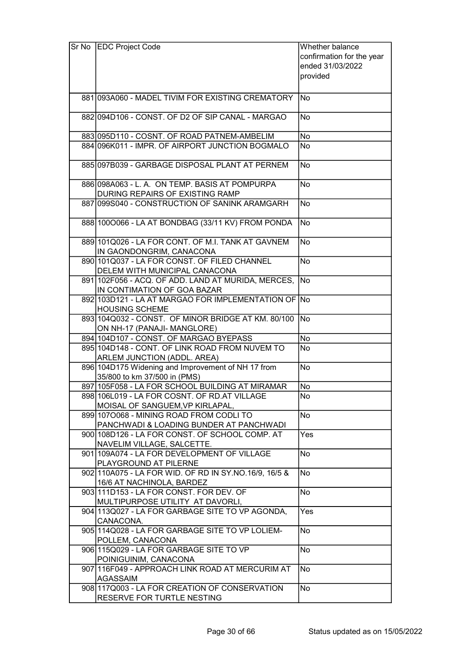| Sr No EDC Project Code                                                         | Whether balance           |
|--------------------------------------------------------------------------------|---------------------------|
|                                                                                | confirmation for the year |
|                                                                                | ended 31/03/2022          |
|                                                                                | provided                  |
|                                                                                |                           |
| 881 093A060 - MADEL TIVIM FOR EXISTING CREMATORY                               | <b>No</b>                 |
|                                                                                |                           |
| 882 094 D106 - CONST. OF D2 OF SIP CANAL - MARGAO                              | No                        |
| 883 095 D110 - COSNT. OF ROAD PATNEM-AMBELIM                                   | No                        |
| 884 096 K011 - IMPR. OF AIRPORT JUNCTION BOGMALO                               | No                        |
|                                                                                |                           |
| 885 097 B039 - GARBAGE DISPOSAL PLANT AT PERNEM                                | <b>No</b>                 |
| 886 098 A063 - L. A. ON TEMP. BASIS AT POMPURPA                                | <b>No</b>                 |
| DURING REPAIRS OF EXISTING RAMP                                                |                           |
| 887 099 S040 - CONSTRUCTION OF SANINK ARAMGARH                                 | <b>No</b>                 |
|                                                                                |                           |
| 888 1000066 - LA AT BONDBAG (33/11 KV) FROM PONDA                              | No                        |
| 889 101 Q 026 - LA FOR CONT. OF M.I. TANK AT GAVNEM                            | <b>No</b>                 |
| IN GAONDONGRIM, CANACONA                                                       |                           |
| 890 101 Q037 - LA FOR CONST, OF FILED CHANNEL<br>DELEM WITH MUNICIPAL CANACONA | <b>No</b>                 |
| 891 102F056 - ACQ. OF ADD. LAND AT MURIDA, MERCES,                             | <b>No</b>                 |
| IN CONTIMATION OF GOA BAZAR                                                    |                           |
| 892 103D121 - LA AT MARGAO FOR IMPLEMENTATION OF                               | <b>No</b>                 |
| <b>HOUSING SCHEME</b>                                                          |                           |
| 893 104 Q032 - CONST. OF MINOR BRIDGE AT KM. 80/100                            | No                        |
| ON NH-17 (PANAJI- MANGLORE)                                                    |                           |
| 894 104 D107 - CONST. OF MARGAO BYEPASS                                        | No                        |
| 895 104D148 - CONT. OF LINK ROAD FROM NUVEM TO<br><b>No</b>                    |                           |
| ARLEM JUNCTION (ADDL. AREA)                                                    |                           |
| 896 104D175 Widening and Improvement of NH 17 from<br><b>No</b>                |                           |
| 35/800 to km 37/500 in (PMS)                                                   |                           |
| 897 105 F058 - LA FOR SCHOOL BUILDING AT MIRAMAR                               | No                        |
| 898 106 L019 - LA FOR COSNT. OF RD. AT VILLAGE                                 | No                        |
| MOISAL OF SANGUEM, VP KIRLAPAL,                                                |                           |
| 899 1070068 - MINING ROAD FROM CODLITO                                         | <b>No</b>                 |
| PANCHWADI & LOADING BUNDER AT PANCHWADI                                        |                           |
| 900 108 D126 - LA FOR CONST. OF SCHOOL COMP. AT<br>NAVELIM VILLAGE, SALCETTE.  | Yes                       |
| 901 109A074 - LA FOR DEVELOPMENT OF VILLAGE                                    | <b>No</b>                 |
| PLAYGROUND AT PILERNE                                                          |                           |
| 902 110A075 - LA FOR WID. OF RD IN SY. NO. 16/9, 16/5 &                        | No                        |
| 16/6 AT NACHINOLA, BARDEZ                                                      |                           |
| 903 111 D153 - LA FOR CONST. FOR DEV. OF                                       | No                        |
| MULTIPURPOSE UTILITY AT DAVORLI,                                               | Yes                       |
| 904 113 Q 027 - LA FOR GARBAGE SITE TO VP AGONDA,<br>CANACONA.                 |                           |
| 905 114 Q028 - LA FOR GARBAGE SITE TO VP LOLIEM-                               | No                        |
| POLLEM, CANACONA                                                               |                           |
| 906 115 Q 029 - LA FOR GARBAGE SITE TO VP                                      | <b>No</b>                 |
| POINIGUINIM, CANACONA                                                          |                           |
| 907 116 F049 - APPROACH LINK ROAD AT MERCURIM AT<br><b>AGASSAIM</b>            | <b>No</b>                 |
| 908 117 Q003 - LA FOR CREATION OF CONSERVATION                                 | No                        |
| RESERVE FOR TURTLE NESTING                                                     |                           |
|                                                                                |                           |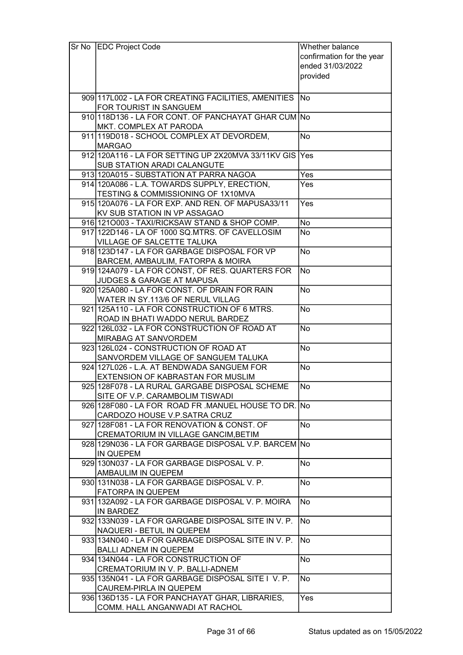| Sr No | <b>EDC Project Code</b>                                                              | Whether balance           |
|-------|--------------------------------------------------------------------------------------|---------------------------|
|       |                                                                                      | confirmation for the year |
|       |                                                                                      | ended 31/03/2022          |
|       |                                                                                      | provided                  |
|       |                                                                                      |                           |
|       | 909 117 L002 - LA FOR CREATING FACILITIES, AMENITIES                                 | No.                       |
|       | FOR TOURIST IN SANGUEM                                                               |                           |
|       | 910 118 D136 - LA FOR CONT. OF PANCHAYAT GHAR CUM No                                 |                           |
|       | MKT. COMPLEX AT PARODA                                                               |                           |
|       | 911 119 D018 - SCHOOL COMPLEX AT DEVORDEM,                                           | <b>No</b>                 |
|       | <b>MARGAO</b>                                                                        |                           |
|       | 912 120A116 - LA FOR SETTING UP 2X20MVA 33/11KV GIS Yes                              |                           |
|       | SUB STATION ARADI CALANGUTE                                                          |                           |
|       | 913 120A015 - SUBSTATION AT PARRA NAGOA                                              | Yes                       |
|       | 914 120A086 - L.A. TOWARDS SUPPLY, ERECTION,                                         | Yes                       |
|       | TESTING & COMMISSIONING OF 1X10MVA                                                   |                           |
|       | 915 120 A 076 - LA FOR EXP. AND REN, OF MAPUSA 33/11                                 | Yes                       |
|       | KV SUB STATION IN VP ASSAGAO                                                         |                           |
|       | 916 1210003 - TAXI/RICKSAW STAND & SHOP COMP.                                        | No                        |
|       | 917 122D146 - LA OF 1000 SQ.MTRS. OF CAVELLOSIM                                      | <b>No</b>                 |
|       | VILLAGE OF SALCETTE TALUKA                                                           |                           |
|       | 918 123 D147 - LA FOR GARBAGE DISPOSAL FOR VP                                        | <b>No</b>                 |
|       | BARCEM, AMBAULIM, FATORPA & MOIRA                                                    |                           |
|       | 919 124A079 - LA FOR CONST, OF RES. QUARTERS FOR                                     | <b>No</b>                 |
|       | JUDGES & GARAGE AT MAPUSA                                                            |                           |
|       | 920 125A080 - LA FOR CONST. OF DRAIN FOR RAIN                                        | No                        |
|       | WATER IN SY.113/6 OF NERUL VILLAG                                                    |                           |
|       | 921 125A110 - LA FOR CONSTRUCTION OF 6 MTRS.                                         | <b>No</b>                 |
|       | ROAD IN BHATI WADDO NERUL BARDEZ                                                     |                           |
|       | 922 126 L032 - LA FOR CONSTRUCTION OF ROAD AT                                        | <b>No</b>                 |
|       | MIRABAG AT SANVORDEM                                                                 |                           |
|       | 923 126 L024 - CONSTRUCTION OF ROAD AT                                               | <b>No</b>                 |
|       | SANVORDEM VILLAGE OF SANGUEM TALUKA                                                  |                           |
|       | 924 127L026 - L.A. AT BENDWADA SANGUEM FOR                                           | <b>No</b>                 |
|       | EXTENSION OF KABRASTAN FOR MUSLIM<br>925 128 F078 - LA RURAL GARGABE DISPOSAL SCHEME | No                        |
|       | SITE OF V.P. CARAMBOLIM TISWADI                                                      |                           |
|       | 926 128 F080 - LA FOR ROAD FR. MANUEL HOUSE TO DR. No                                |                           |
|       | CARDOZO HOUSE V.P.SATRA CRUZ                                                         |                           |
|       | 927 128 F081 - LA FOR RENOVATION & CONST. OF                                         | <b>No</b>                 |
|       | CREMATORIUM IN VILLAGE GANCIM, BETIM                                                 |                           |
|       | 928 129N036 - LA FOR GARBAGE DISPOSAL V.P. BARCEM No                                 |                           |
|       | <b>IN QUEPEM</b>                                                                     |                           |
|       | 929 130N037 - LA FOR GARBAGE DISPOSAL V. P.                                          | No                        |
|       | AMBAULIM IN QUEPEM                                                                   |                           |
|       | 930 131 NO38 - LA FOR GARBAGE DISPOSAL V. P.                                         | <b>No</b>                 |
|       | <b>FATORPA IN QUEPEM</b>                                                             |                           |
|       | 931 132A092 - LA FOR GARBAGE DISPOSAL V. P. MOIRA                                    | No                        |
|       | <b>IN BARDEZ</b>                                                                     |                           |
|       | 932 133N039 - LA FOR GARGABE DISPOSAL SITE IN V. P.                                  | No                        |
|       | NAQUERI - BETUL IN QUEPEM                                                            |                           |
|       | 933 134 NO40 - LA FOR GARBAGE DISPOSAL SITE IN V. P.                                 | No                        |
|       | <b>BALLI ADNEM IN QUEPEM</b>                                                         |                           |
|       | 934 134 NO44 - LA FOR CONSTRUCTION OF                                                | <b>No</b>                 |
|       | CREMATORIUM IN V. P. BALLI-ADNEM                                                     |                           |
|       | 935 135 NO41 - LA FOR GARBAGE DISPOSAL SITE I V. P.                                  | <b>No</b>                 |
|       | CAUREM-PIRLA IN QUEPEM                                                               |                           |
|       | 936 136 D135 - LA FOR PANCHAYAT GHAR, LIBRARIES,                                     | Yes                       |
|       | COMM. HALL ANGANWADI AT RACHOL                                                       |                           |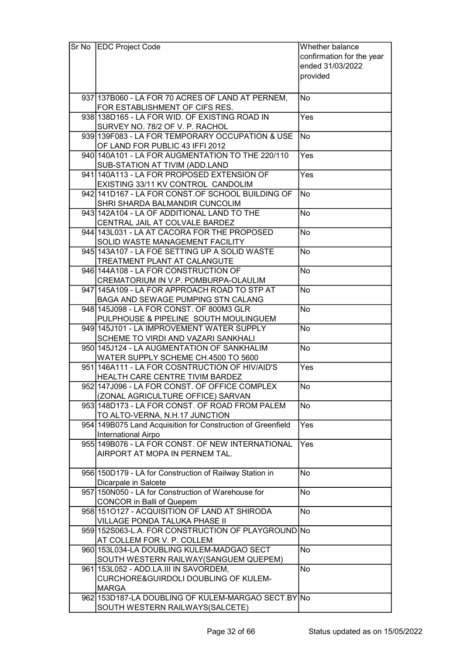| Sr No | <b>EDC Project Code</b>                                                               | Whether balance           |  |
|-------|---------------------------------------------------------------------------------------|---------------------------|--|
|       |                                                                                       | confirmation for the year |  |
|       |                                                                                       | ended 31/03/2022          |  |
|       |                                                                                       | provided                  |  |
|       |                                                                                       |                           |  |
|       | 937 137 B 060 - LA FOR 70 ACRES OF LAND AT PERNEM,                                    | No                        |  |
|       | FOR ESTABLISHMENT OF CIFS RES.                                                        |                           |  |
|       | 938 138 D165 - LA FOR WID. OF EXISTING ROAD IN                                        | Yes                       |  |
|       | SURVEY NO. 78/2 OF V. P. RACHOL                                                       |                           |  |
|       | 939 139 F083 - LA FOR TEMPORARY OCCUPATION & USE                                      | <b>No</b>                 |  |
|       | OF LAND FOR PUBLIC 43 IFFI 2012                                                       |                           |  |
|       | 940 140 A 101 - LA FOR AUGMENTATION TO THE 220/110                                    | Yes                       |  |
|       | SUB-STATION AT TIVIM (ADD.LAND                                                        |                           |  |
|       | 941 140 A 113 - LA FOR PROPOSED EXTENSION OF                                          | Yes                       |  |
|       | EXISTING 33/11 KV CONTROL CANDOLIM                                                    |                           |  |
|       | 942 141 D167 - LA FOR CONST. OF SCHOOL BUILDING OF                                    | <b>No</b>                 |  |
|       | SHRI SHARDA BALMANDIR CUNCOLIM                                                        |                           |  |
|       | 943 142A 104 - LA OF ADDITIONAL LAND TO THE                                           | No                        |  |
|       | CENTRAL JAIL AT COLVALE BARDEZ                                                        |                           |  |
|       | 944 143 L031 - LA AT CACORA FOR THE PROPOSED                                          | <b>No</b>                 |  |
|       | SOLID WASTE MANAGEMENT FACILITY                                                       |                           |  |
|       | 945 143A 107 - LA FOE SETTING UP A SOLID WASTE                                        | No                        |  |
|       | TREATMENT PLANT AT CALANGUTE                                                          |                           |  |
|       | 946 144A 108 - LA FOR CONSTRUCTION OF                                                 | <b>No</b>                 |  |
|       | CREMATORIUM IN V.P. POMBURPA-OLAULIM                                                  |                           |  |
|       | 947 145 A 109 - LA FOR APPROACH ROAD TO STP AT                                        | <b>No</b>                 |  |
|       | BAGA AND SEWAGE PUMPING STN CALANG                                                    |                           |  |
|       | 948 145 J098 - LA FOR CONST. OF 800M3 GLR                                             | <b>No</b>                 |  |
|       | PULPHOUSE & PIPELINE SOUTH MOULINGUEM                                                 |                           |  |
|       | 949 145 J101 - LA IMPROVEMENT WATER SUPPLY                                            | <b>No</b>                 |  |
|       | SCHEME TO VIRDI AND VAZARI SANKHALI                                                   |                           |  |
|       | 950 145J124 - LA AUGMENTATION OF SANKHALIM                                            | <b>No</b>                 |  |
|       | WATER SUPPLY SCHEME CH.4500 TO 5600<br>951 146A111 - LA FOR COSNTRUCTION OF HIV/AID'S |                           |  |
|       | HEALTH CARE CENTRE TIVIM BARDEZ                                                       | Yes                       |  |
|       | 952 147 J096 - LA FOR CONST. OF OFFICE COMPLEX                                        | <b>No</b>                 |  |
|       | (ZONAL AGRICULTURE OFFICE) SARVAN                                                     |                           |  |
|       | 953 148 D173 - LA FOR CONST. OF ROAD FROM PALEM                                       | <b>No</b>                 |  |
|       | TO ALTO-VERNA, N.H.17 JUNCTION                                                        |                           |  |
|       | 954 149B075 Land Acquisition for Construction of Greenfield                           | Yes                       |  |
|       | International Airpo                                                                   |                           |  |
|       | 955 149 B076 - LA FOR CONST. OF NEW INTERNATIONAL                                     | Yes                       |  |
|       | AIRPORT AT MOPA IN PERNEM TAL.                                                        |                           |  |
|       |                                                                                       |                           |  |
|       | 956 150 D179 - LA for Construction of Railway Station in                              | <b>No</b>                 |  |
|       | Dicarpale in Salcete                                                                  |                           |  |
|       | 957 150N050 - LA for Construction of Warehouse for                                    | No                        |  |
|       | <b>CONCOR in Balli of Quepem</b>                                                      |                           |  |
|       | 958 1510127 - ACQUISITION OF LAND AT SHIRODA                                          | <b>No</b>                 |  |
|       | VILLAGE PONDA TALUKA PHASE II                                                         |                           |  |
|       | 959 152 S063-L.A. FOR CONSTRUCTION OF PLAYGROUND No                                   |                           |  |
|       | AT COLLEM FOR V. P. COLLEM                                                            |                           |  |
|       | 960 153L034-LA DOUBLING KULEM-MADGAO SECT                                             | <b>No</b>                 |  |
|       | SOUTH WESTERN RAILWAY(SANGUEM QUEPEM)                                                 |                           |  |
|       | 961 153 L052 - ADD.LA.III IN SAVORDEM,                                                | <b>No</b>                 |  |
|       | CURCHORE&GUIRDOLI DOUBLING OF KULEM-                                                  |                           |  |
|       | <b>MARGA</b><br>962 153D187-LA DOUBLING OF KULEM-MARGAO SECT.BY No                    |                           |  |
|       | SOUTH WESTERN RAILWAYS(SALCETE)                                                       |                           |  |
|       |                                                                                       |                           |  |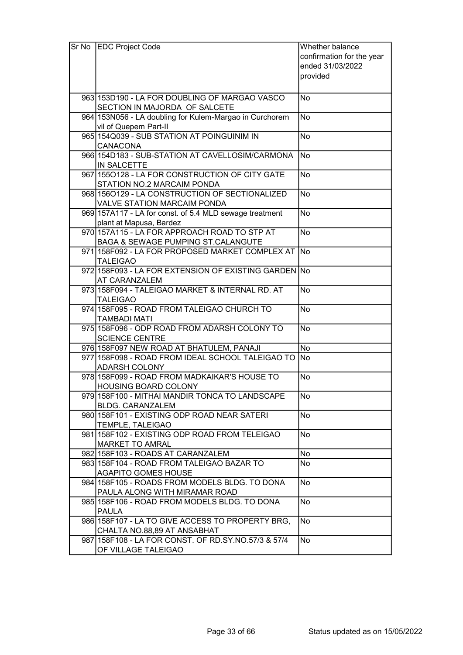| Sr No EDC Project Code                                                             | Whether balance<br>confirmation for the year<br>ended 31/03/2022<br>provided |  |
|------------------------------------------------------------------------------------|------------------------------------------------------------------------------|--|
| 963 153D190 - LA FOR DOUBLING OF MARGAO VASCO<br>SECTION IN MAJORDA OF SALCETE     | No                                                                           |  |
| 964 153N056 - LA doubling for Kulem-Margao in Curchorem<br>vil of Quepem Part-II   | <b>No</b>                                                                    |  |
| 965 154Q039 - SUB STATION AT POINGUINIM IN<br><b>CANACONA</b>                      | <b>No</b>                                                                    |  |
| 966 154 D183 - SUB-STATION AT CAVELLOSIM/CARMONA<br>IN SALCETTE                    | <b>No</b>                                                                    |  |
| 967 1550128 - LA FOR CONSTRUCTION OF CITY GATE<br>STATION NO.2 MARCAIM PONDA       | <b>No</b>                                                                    |  |
| 968 1560129 - LA CONSTRUCTION OF SECTIONALIZED<br>VALVE STATION MARCAIM PONDA      | <b>No</b>                                                                    |  |
| 969 157A117 - LA for const. of 5.4 MLD sewage treatment<br>plant at Mapusa, Bardez | <b>No</b>                                                                    |  |
| 970 157A115 - LA FOR APPROACH ROAD TO STP AT<br>BAGA & SEWAGE PUMPING ST.CALANGUTE | <b>No</b>                                                                    |  |
| 971 158 F092 - LA FOR PROPOSED MARKET COMPLEX AT<br><b>TALEIGAO</b>                | <b>No</b>                                                                    |  |
| 972 158 F093 - LA FOR EXTENSION OF EXISTING GARDEN No<br><b>AT CARANZALEM</b>      |                                                                              |  |
| 973 158 F094 - TALEIGAO MARKET & INTERNAL RD. AT<br><b>TALEIGAO</b>                | <b>No</b>                                                                    |  |
| 974 158 F095 - ROAD FROM TALEIGAO CHURCH TO<br><b>TAMBADI MATI</b>                 | <b>No</b>                                                                    |  |
| 975 158F096 - ODP ROAD FROM ADARSH COLONY TO<br><b>SCIENCE CENTRE</b>              | <b>No</b>                                                                    |  |
| 976 158F097 NEW ROAD AT BHATULEM, PANAJI                                           | No                                                                           |  |
| 977 158 F098 - ROAD FROM IDEAL SCHOOL TALEIGAO TO No                               |                                                                              |  |
| <b>ADARSH COLONY</b>                                                               |                                                                              |  |
| 978 158 F099 - ROAD FROM MADKAIKAR'S HOUSE TO                                      | No                                                                           |  |
| <b>HOUSING BOARD COLONY</b>                                                        |                                                                              |  |
| 979 158 F100 - MITHAI MANDIR TONCA TO LANDSCAPE<br><b>BLDG. CARANZALEM</b>         | No                                                                           |  |
| 980 158 F101 - EXISTING ODP ROAD NEAR SATERI<br>TEMPLE, TALEIGAO                   | No                                                                           |  |
| 981 158 F102 - EXISTING ODP ROAD FROM TELEIGAO<br><b>MARKET TO AMRAL</b>           | No                                                                           |  |
| 982 158 F103 - ROADS AT CARANZALEM                                                 |                                                                              |  |
| 983 158 F104 - ROAD FROM TALEIGAO BAZAR TO                                         | No<br>No                                                                     |  |
| <b>AGAPITO GOMES HOUSE</b>                                                         |                                                                              |  |
| 984 158 F105 - ROADS FROM MODELS BLDG. TO DONA<br>PAULA ALONG WITH MIRAMAR ROAD    | No                                                                           |  |
| 985 158 F106 - ROAD FROM MODELS BLDG. TO DONA<br><b>PAULA</b>                      | No                                                                           |  |
| 986 158 F107 - LA TO GIVE ACCESS TO PROPERTY BRG,<br>CHALTA NO.88,89 AT ANSABHAT   | <b>No</b>                                                                    |  |
| 987 158 F108 - LA FOR CONST. OF RD. SY. NO. 57/3 & 57/4<br>OF VILLAGE TALEIGAO     | No                                                                           |  |